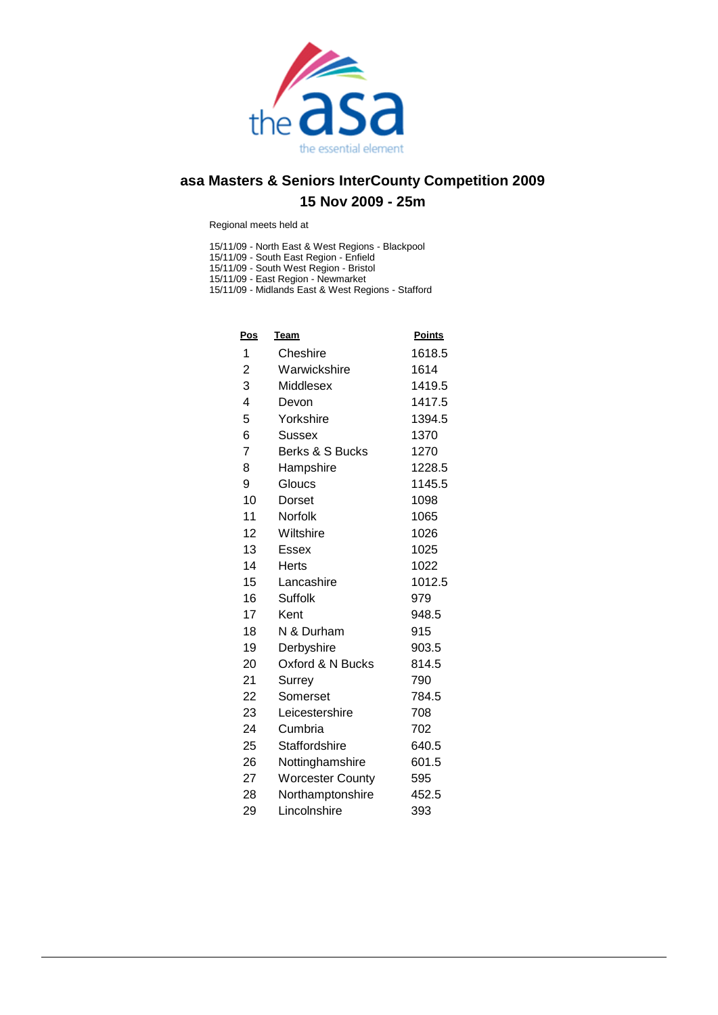

Regional meets held at

15/11/09 - North East & West Regions - Blackpool

15/11/09 - South East Region - Enfield

15/11/09 - South West Region - Bristol

15/11/09 - East Region - Newmarket

15/11/09 - Midlands East & West Regions - Stafford

| <b>Pos</b>     | <u>Team</u>             | <b>Points</b> |
|----------------|-------------------------|---------------|
| 1              | Cheshire                | 1618.5        |
| 2              | Warwickshire            | 1614          |
| 3              | Middlesex               | 1419.5        |
| 4              | Devon                   | 1417.5        |
| 5              | Yorkshire               | 1394.5        |
| 6              | Sussex                  | 1370          |
| $\overline{7}$ | Berks & S Bucks         | 1270          |
| 8              | Hampshire               | 1228.5        |
| 9              | Gloucs                  | 1145.5        |
| 10             | Dorset                  | 1098          |
| 11             | Norfolk                 | 1065          |
| 12             | Wiltshire               | 1026          |
| 13             | Essex                   | 1025          |
| 14             | Herts                   | 1022          |
| 15             | Lancashire              | 1012.5        |
| 16             | Suffolk                 | 979           |
| 17             | Kent                    | 948.5         |
| 18             | N & Durham              | 915           |
| 19             | Derbyshire              | 903.5         |
| 20             | Oxford & N Bucks        | 814.5         |
| 21             | Surrey                  | 790           |
| 22             | Somerset                | 784.5         |
| 23             | Leicestershire          | 708           |
| 24             | Cumbria                 | 702           |
| 25             | Staffordshire           | 640.5         |
| 26             | Nottinghamshire         | 601.5         |
| 27             | <b>Worcester County</b> | 595           |
| 28             | Northamptonshire        | 452.5         |
| 29             | Lincolnshire            | 393           |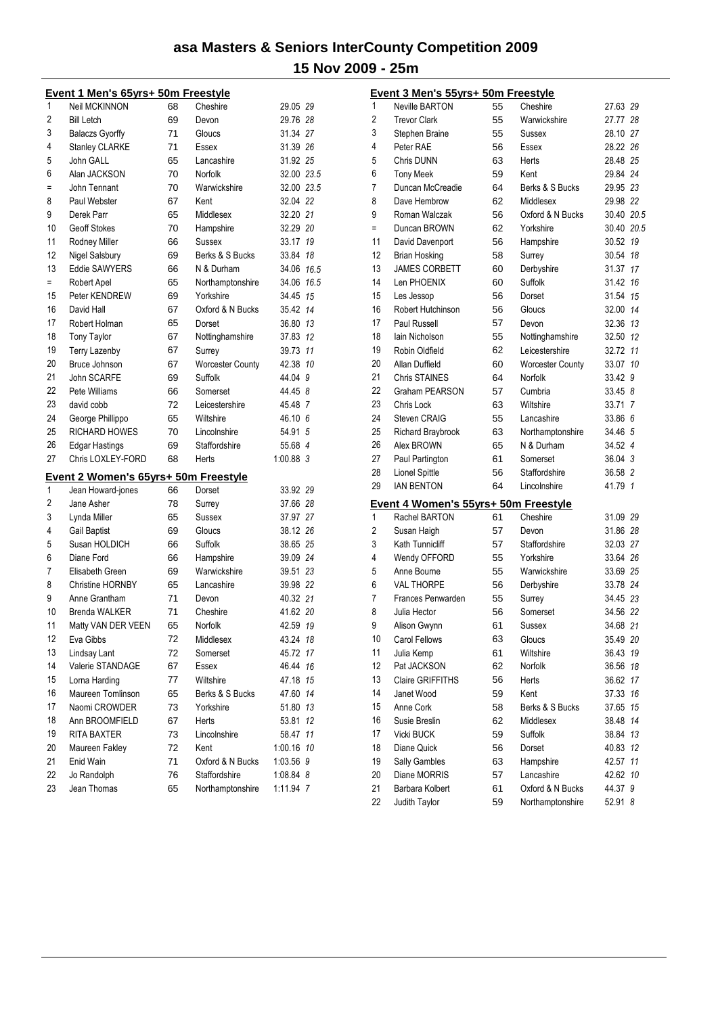|     | Event 1 Men's 65yrs+ 50m Freestyle          |          |                           |             |      |
|-----|---------------------------------------------|----------|---------------------------|-------------|------|
| 1   | <b>Neil MCKINNON</b>                        | 68       | Cheshire                  | 29.05 29    |      |
| 2   | <b>Bill Letch</b>                           | 69       | Devon                     | 29.76 28    |      |
| 3   | <b>Balaczs Gyorffy</b>                      | 71       | Gloucs                    | 31.34 27    |      |
| 4   | <b>Stanley CLARKE</b>                       | 71       | Essex                     | 31.39 26    |      |
| 5   | John GALL                                   | 65       | Lancashire                | 31.92 25    |      |
| 6   | Alan JACKSON                                | 70       | Norfolk                   | 32.00 23.5  |      |
| Ξ   | John Tennant                                | 70       | Warwickshire              | 32.00 23.5  |      |
| 8   | Paul Webster                                | 67       | Kent                      | 32.04 22    |      |
| 9   | Derek Parr                                  | 65       | Middlesex                 | 32.20 21    |      |
| 10  | <b>Geoff Stokes</b>                         | 70       | Hampshire                 | 32.29 20    |      |
| 11  | Rodney Miller                               | 66       | Sussex                    | 33.17       | 19   |
| 12  | Nigel Salsbury                              | 69       | Berks & S Bucks           | 33.84       | 18   |
| 13  | <b>Eddie SAWYERS</b>                        | 66       | N & Durham                | 34.06 16.5  |      |
| $=$ | Robert Apel                                 | 65       | Northamptonshire          | 34.06       | 16.5 |
| 15  | Peter KENDREW                               | 69       | Yorkshire                 | 34.45       | 15   |
| 16  | David Hall                                  | 67       | Oxford & N Bucks          | 35.42 14    |      |
| 17  | Robert Holman                               | 65       | Dorset                    | 36.80       | -13  |
| 18  | <b>Tony Taylor</b>                          | 67       | Nottinghamshire           | 37.83       | 12   |
| 19  | <b>Terry Lazenby</b>                        | 67       | Surrey                    | 39.73       | 11   |
| 20  | Bruce Johnson                               | 67       | <b>Worcester County</b>   | 42.38       | 10   |
| 21  | <b>John SCARFE</b>                          | 69       | Suffolk                   | 44.04 9     |      |
| 22  | Pete Williams                               | 66       | Somerset                  | 44.45 8     |      |
| 23  | david cobb                                  | 72       | Leicestershire            | 45.48 7     |      |
| 24  | George Phillippo                            | 65       | Wiltshire                 | $46.10\;6$  |      |
| 25  | <b>RICHARD HOWES</b>                        | 70       | Lincolnshire              | 54.91       | 5    |
| 26  | Edgar Hastings                              | 69       | Staffordshire             | 55.68 4     |      |
| 27  | Chris LOXLEY-FORD                           | 68       | Herts                     | $1:00.88$ 3 |      |
|     |                                             |          |                           |             |      |
| 1   | <b>Event 2 Women's 65yrs+ 50m Freestyle</b> | 66       | Dorset                    | 33.92 29    |      |
| 2   | Jean Howard-jones<br>Jane Asher             | 78       |                           | 37.66 28    |      |
| 3   |                                             | 65       | Surrey<br>Sussex          | 37.97 27    |      |
| 4   | Lynda Miller                                |          |                           | 38.12 26    |      |
| 5   | <b>Gail Baptist</b><br>Susan HOLDICH        | 69<br>66 | Gloucs<br>Suffolk         | 38.65 25    |      |
| 6   | Diane Ford                                  |          |                           | 39.09 24    |      |
| 7   | Elisabeth Green                             | 66       | Hampshire<br>Warwickshire | 39.51 23    |      |
| 8   | <b>Christine HORNBY</b>                     | 69       |                           | 39.98 22    |      |
| 9   |                                             | 65       | Lancashire<br>Devon       |             |      |
|     | Anne Grantham                               | 71       |                           | 40.32 21    |      |
| 10  | <b>Brenda WALKER</b>                        | 71       | Cheshire                  | 41.62 20    |      |
| 11  | Matty VAN DER VEEN                          | 65       | Norfolk                   | 42.59       | 19   |
| 12  | Eva Gibbs                                   | 72       | Middlesex                 | 43.24       | 18   |
| 13  | <b>Lindsay Lant</b>                         | 72       | Somerset                  | 45.72       | 17   |
| 14  | Valerie STANDAGE                            | 67       | Essex                     | 46.44       | 16   |
| 15  | Lorna Harding                               | 77       | Wiltshire                 | 47.18       | 15   |
| 16  | Maureen Tomlinson                           | 65       | Berks & S Bucks           | 47.60       | 14   |
| 17  | Naomi CROWDER                               | 73       | Yorkshire                 | 51.80       | 13   |
| 18  | Ann BROOMFIELD                              | 67       | Herts                     | 53.81       | 12   |
| 19  | <b>RITA BAXTER</b>                          | 73       | Lincolnshire              | 58.47       | 11   |
| 20  | Maureen Fakley                              | 72       | Kent                      | 1:00.16 10  |      |
| 21  | Enid Wain                                   | 71       | Oxford & N Bucks          | 1:03.56 9   |      |
| 22  | Jo Randolph                                 | 76       | Staffordshire             | 1:08.84 8   |      |
| 23  | Jean Thomas                                 | 65       | Northamptonshire          | 1:11.94 7   |      |

| <b>Neville BARTON</b> | 55                                                                                                                                                                                                                       | Cheshire                                                                               | 27.63 29                                                                                                                                                                                                                                          |                                                                                                                                                               |
|-----------------------|--------------------------------------------------------------------------------------------------------------------------------------------------------------------------------------------------------------------------|----------------------------------------------------------------------------------------|---------------------------------------------------------------------------------------------------------------------------------------------------------------------------------------------------------------------------------------------------|---------------------------------------------------------------------------------------------------------------------------------------------------------------|
| <b>Trevor Clark</b>   | 55                                                                                                                                                                                                                       | Warwickshire                                                                           | 27.77 28                                                                                                                                                                                                                                          |                                                                                                                                                               |
| Stephen Braine        | 55                                                                                                                                                                                                                       | Sussex                                                                                 | 28.10 27                                                                                                                                                                                                                                          |                                                                                                                                                               |
| Peter RAE             | 56                                                                                                                                                                                                                       | Essex                                                                                  | 28.22 26                                                                                                                                                                                                                                          |                                                                                                                                                               |
| Chris DUNN            | 63                                                                                                                                                                                                                       | Herts                                                                                  | 28.48 25                                                                                                                                                                                                                                          |                                                                                                                                                               |
| <b>Tony Meek</b>      | 59                                                                                                                                                                                                                       | Kent                                                                                   | 29.84 24                                                                                                                                                                                                                                          |                                                                                                                                                               |
| Duncan McCreadie      | 64                                                                                                                                                                                                                       | Berks & S Bucks                                                                        | 29.95 23                                                                                                                                                                                                                                          |                                                                                                                                                               |
| Dave Hembrow          | 62                                                                                                                                                                                                                       | Middlesex                                                                              | 29.98 22                                                                                                                                                                                                                                          |                                                                                                                                                               |
| Roman Walczak         | 56                                                                                                                                                                                                                       | Oxford & N Bucks                                                                       | 30.40 20.5                                                                                                                                                                                                                                        |                                                                                                                                                               |
| Duncan BROWN          | 62                                                                                                                                                                                                                       | Yorkshire                                                                              | 30.40 20.5                                                                                                                                                                                                                                        |                                                                                                                                                               |
| David Davenport       | 56                                                                                                                                                                                                                       | Hampshire                                                                              | 30.52 19                                                                                                                                                                                                                                          |                                                                                                                                                               |
| Brian Hosking         | 58                                                                                                                                                                                                                       | Surrey                                                                                 | 30.54 18                                                                                                                                                                                                                                          |                                                                                                                                                               |
| <b>JAMES CORBETT</b>  | 60                                                                                                                                                                                                                       | Derbyshire                                                                             | 31.37 17                                                                                                                                                                                                                                          |                                                                                                                                                               |
| Len PHOENIX           | 60                                                                                                                                                                                                                       | Suffolk                                                                                | 31.42 16                                                                                                                                                                                                                                          |                                                                                                                                                               |
| Les Jessop            | 56                                                                                                                                                                                                                       | Dorset                                                                                 | 31.54 15                                                                                                                                                                                                                                          |                                                                                                                                                               |
| Robert Hutchinson     | 56                                                                                                                                                                                                                       | Gloucs                                                                                 | 32.00 14                                                                                                                                                                                                                                          |                                                                                                                                                               |
| <b>Paul Russell</b>   | 57                                                                                                                                                                                                                       | Devon                                                                                  | 32.36 13                                                                                                                                                                                                                                          |                                                                                                                                                               |
| lain Nicholson        | 55                                                                                                                                                                                                                       | Nottinghamshire                                                                        | 32.50 12                                                                                                                                                                                                                                          |                                                                                                                                                               |
| Robin Oldfield        | 62                                                                                                                                                                                                                       | Leicestershire                                                                         | 32.72 11                                                                                                                                                                                                                                          |                                                                                                                                                               |
| Allan Duffield        | 60                                                                                                                                                                                                                       | <b>Worcester County</b>                                                                | 33.07 10                                                                                                                                                                                                                                          |                                                                                                                                                               |
| <b>Chris STAINES</b>  | 64                                                                                                                                                                                                                       | Norfolk                                                                                | 33.42 9                                                                                                                                                                                                                                           |                                                                                                                                                               |
| Graham PEARSON        | 57                                                                                                                                                                                                                       | Cumbria                                                                                | 33.45 8                                                                                                                                                                                                                                           |                                                                                                                                                               |
| Chris Lock            | 63                                                                                                                                                                                                                       | Wiltshire                                                                              | 33.71 7                                                                                                                                                                                                                                           |                                                                                                                                                               |
| <b>Steven CRAIG</b>   | 55                                                                                                                                                                                                                       | Lancashire                                                                             | 33.86 6                                                                                                                                                                                                                                           |                                                                                                                                                               |
| Richard Braybrook     | 63                                                                                                                                                                                                                       | Northamptonshire                                                                       | 34.46 5                                                                                                                                                                                                                                           |                                                                                                                                                               |
| Alex BROWN            | 65                                                                                                                                                                                                                       | N & Durham                                                                             | 34.52 4                                                                                                                                                                                                                                           |                                                                                                                                                               |
| Paul Partington       | 61                                                                                                                                                                                                                       | Somerset                                                                               | 36.04 3                                                                                                                                                                                                                                           |                                                                                                                                                               |
| <b>Lionel Spittle</b> | 56                                                                                                                                                                                                                       | Staffordshire                                                                          | 36.58 2                                                                                                                                                                                                                                           |                                                                                                                                                               |
| <b>IAN BENTON</b>     | 64                                                                                                                                                                                                                       | Lincolnshire                                                                           | 41.79 1                                                                                                                                                                                                                                           |                                                                                                                                                               |
|                       |                                                                                                                                                                                                                          |                                                                                        |                                                                                                                                                                                                                                                   |                                                                                                                                                               |
| Rachel BARTON         | 61                                                                                                                                                                                                                       | Cheshire                                                                               | 31.09 29                                                                                                                                                                                                                                          |                                                                                                                                                               |
|                       | 57                                                                                                                                                                                                                       | Devon                                                                                  | 31.86 28                                                                                                                                                                                                                                          |                                                                                                                                                               |
| Kath Tunnicliff       | 57                                                                                                                                                                                                                       | Staffordshire                                                                          | 32.03 27                                                                                                                                                                                                                                          |                                                                                                                                                               |
|                       | 55                                                                                                                                                                                                                       | Yorkshire                                                                              |                                                                                                                                                                                                                                                   |                                                                                                                                                               |
|                       |                                                                                                                                                                                                                          | Warwickshire                                                                           |                                                                                                                                                                                                                                                   |                                                                                                                                                               |
| <b>VAL THORPE</b>     |                                                                                                                                                                                                                          |                                                                                        |                                                                                                                                                                                                                                                   |                                                                                                                                                               |
| Frances Penwarden     |                                                                                                                                                                                                                          |                                                                                        |                                                                                                                                                                                                                                                   |                                                                                                                                                               |
| Julia Hector          | 56                                                                                                                                                                                                                       | Somerset                                                                               | 34.56 22                                                                                                                                                                                                                                          |                                                                                                                                                               |
|                       | 61                                                                                                                                                                                                                       |                                                                                        |                                                                                                                                                                                                                                                   |                                                                                                                                                               |
|                       |                                                                                                                                                                                                                          |                                                                                        | 35.49 20                                                                                                                                                                                                                                          |                                                                                                                                                               |
|                       |                                                                                                                                                                                                                          |                                                                                        |                                                                                                                                                                                                                                                   | 19                                                                                                                                                            |
|                       |                                                                                                                                                                                                                          | Norfolk                                                                                |                                                                                                                                                                                                                                                   | 18                                                                                                                                                            |
|                       |                                                                                                                                                                                                                          |                                                                                        |                                                                                                                                                                                                                                                   | 17                                                                                                                                                            |
|                       |                                                                                                                                                                                                                          |                                                                                        |                                                                                                                                                                                                                                                   | 16                                                                                                                                                            |
|                       |                                                                                                                                                                                                                          |                                                                                        |                                                                                                                                                                                                                                                   | 15                                                                                                                                                            |
| Susie Breslin         |                                                                                                                                                                                                                          |                                                                                        |                                                                                                                                                                                                                                                   | 14                                                                                                                                                            |
|                       |                                                                                                                                                                                                                          |                                                                                        |                                                                                                                                                                                                                                                   | 13                                                                                                                                                            |
|                       |                                                                                                                                                                                                                          |                                                                                        |                                                                                                                                                                                                                                                   | 12                                                                                                                                                            |
|                       |                                                                                                                                                                                                                          |                                                                                        |                                                                                                                                                                                                                                                   | 11                                                                                                                                                            |
| Diane MORRIS          |                                                                                                                                                                                                                          | Lancashire                                                                             |                                                                                                                                                                                                                                                   | 10                                                                                                                                                            |
|                       |                                                                                                                                                                                                                          |                                                                                        |                                                                                                                                                                                                                                                   |                                                                                                                                                               |
| Judith Taylor         | 59                                                                                                                                                                                                                       | Northamptonshire                                                                       | 52.91 8                                                                                                                                                                                                                                           |                                                                                                                                                               |
|                       | Susan Haigh<br>Wendy OFFORD<br>Anne Bourne<br>Alison Gwynn<br>Carol Fellows<br>Julia Kemp<br>Pat JACKSON<br>Claire GRIFFITHS<br>Janet Wood<br>Anne Cork<br>Vicki BUCK<br>Diane Quick<br>Sally Gambles<br>Barbara Kolbert | 55<br>56<br>55<br>63<br>61<br>62<br>56<br>59<br>58<br>62<br>59<br>56<br>63<br>57<br>61 | Event 3 Men's 55yrs+ 50m Freestyle<br><u>Event 4 Women's 55yrs+ 50m Freestyle</u><br>Derbyshire<br>Surrey<br>Sussex<br>Gloucs<br>Wiltshire<br>Herts<br>Kent<br>Berks & S Bucks<br>Middlesex<br>Suffolk<br>Dorset<br>Hampshire<br>Oxford & N Bucks | 33.64 26<br>33.69 25<br>33.78 24<br>34.45 23<br>34.68 21<br>36.43<br>36.56<br>36.62<br>37.33<br>37.65<br>38.48<br>38.84<br>40.83<br>42.57<br>42.62<br>44.37 9 |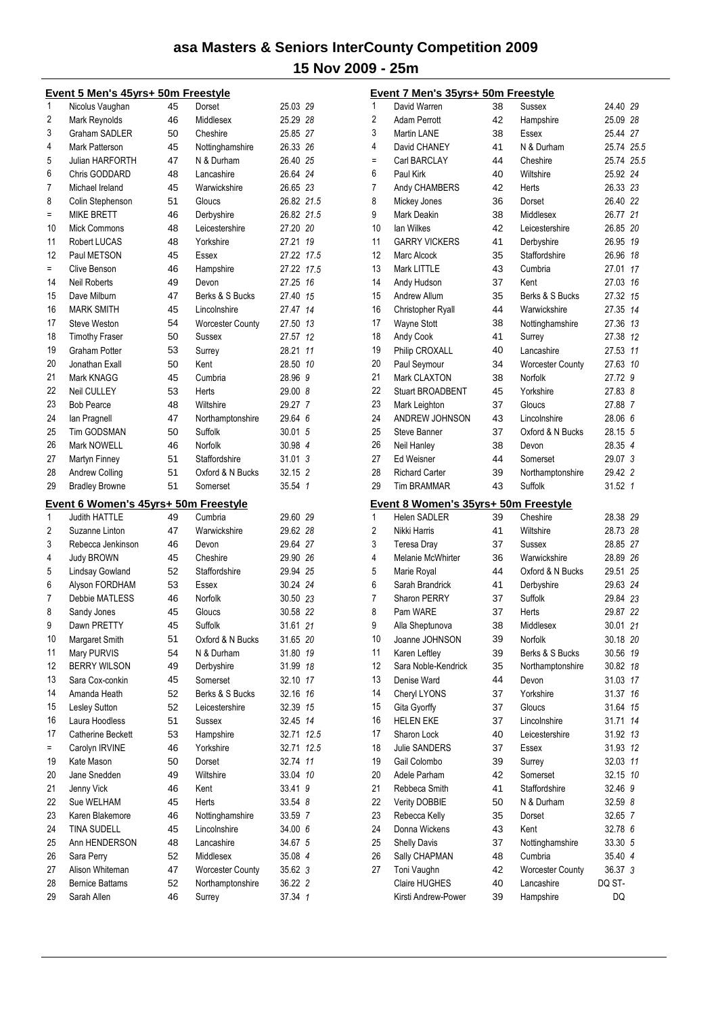|          | Event 5 Men's 45yrs+ 50m Freestyle    |          |                            |                    |      |
|----------|---------------------------------------|----------|----------------------------|--------------------|------|
| 1        | Nicolus Vaughan                       | 45       | Dorset                     | 25.03 29           |      |
| 2        | Mark Reynolds                         | 46       | Middlesex                  | 25.29 28           |      |
| 3        | Graham SADLER                         | 50       | Cheshire                   | 25.85 27           |      |
| 4        | Mark Patterson                        | 45       | Nottinghamshire            | 26.33 26           |      |
| 5        | Julian HARFORTH                       | 47       | N & Durham                 | 26.40 25           |      |
| 6        | Chris GODDARD                         | 48       | Lancashire                 | 26.64 24           |      |
| 7        | Michael Ireland                       | 45       | Warwickshire               | 26.65 23           |      |
| 8        | Colin Stephenson                      | 51       | Gloucs                     | 26.82 21.5         |      |
| Ξ        | <b>MIKE BRETT</b>                     | 46       | Derbyshire                 | 26.82 21.5         |      |
| 10       | <b>Mick Commons</b>                   | 48       | Leicestershire             | 27.20 20           |      |
| 11       | Robert LUCAS                          | 48       | Yorkshire                  | 27.21              | 19   |
| 12       | Paul METSON                           | 45       | Essex                      | 27.22 17.5         |      |
| $=$      | Clive Benson                          | 46       | Hampshire                  | 27.22 17.5         |      |
| 14       | <b>Neil Roberts</b>                   | 49       | Devon                      | 27.25 16           |      |
| 15       | Dave Milburn                          | 47       | Berks & S Bucks            | 27.40              | 15   |
| 16       | <b>MARK SMITH</b>                     | 45       | Lincolnshire               | 27.47              | 14   |
| 17       | <b>Steve Weston</b>                   | 54       | <b>Worcester County</b>    | 27.50 13           |      |
| 18       | <b>Timothy Fraser</b>                 | 50       | Sussex                     | 27.57              | 12   |
| 19       | <b>Graham Potter</b>                  | 53       | Surrey                     | 28.21              | 11   |
| 20       | Jonathan Exall                        | 50       | Kent                       | 28.50              | 10   |
| 21       | Mark KNAGG                            | 45       | Cumbria                    | 28.96 9            |      |
| 22       | Neil CULLEY                           |          |                            |                    |      |
| 23       |                                       | 53       | Herts                      | 29.00 8            |      |
|          | <b>Bob Pearce</b>                     | 48       | Wiltshire                  | 29.27 7            |      |
| 24       | lan Pragnell                          | 47       | Northamptonshire           | 29.64 6            |      |
| 25       | Tim GODSMAN                           | 50       | Suffolk                    | 30.01 5            |      |
| 26       | <b>Mark NOWELL</b>                    | 46       | Norfolk                    | 30.98 4            |      |
| 27       | Martyn Finney                         | 51       | Staffordshire              | 31.013             |      |
| 28       | <b>Andrew Colling</b>                 | 51       | Oxford & N Bucks           | 32.15 2            |      |
| 29       | <b>Bradley Browne</b>                 | 51       | Somerset                   | 35.54 1            |      |
|          | Event 6 Women's 45yrs+ 50m Freestyle  |          |                            |                    |      |
| 1        | <b>Judith HATTLE</b>                  | 49       | Cumbria                    | 29.60 29           |      |
| 2        | Suzanne Linton                        | 47       | Warwickshire               | 29.62 28           |      |
| 3        | Rebecca Jenkinson                     | 46       | Devon                      | 29.64 27           |      |
| 4        | <b>Judy BROWN</b>                     | 45       | Cheshire                   | 29.90 26           |      |
| 5        | Lindsay Gowland                       | 52       | Staffordshire              | 29.94 25           |      |
| 6        | Alyson FORDHAM                        | 53       | Essex                      | 30.24 24           |      |
| 7        | Debbie MATLESS                        | 46       | Norfolk                    | 30.50 23           |      |
| 8        | Sandy Jones                           | 45       | Gloucs                     | 30.58 22           |      |
| 9        | Dawn PRETTY                           | 45       | Suffolk                    | 31.61              | 21   |
| 10       | Margaret Smith                        | 51       | Oxford & N Bucks           | 31.65 20           |      |
| 11       | Mary PURVIS                           | 54       | N & Durham                 | 31.80 19           |      |
| 12       | <b>BERRY WILSON</b>                   | 49       | Derbyshire                 | 31.99              | 18   |
| 13       | Sara Cox-conkin                       | 45       | Somerset                   | 32.10 17           |      |
| 14       | Amanda Heath                          | 52       | Berks & S Bucks            | 32.16              | 16   |
| 15       | Lesley Sutton                         | 52       | Leicestershire             | 32.39              | 15   |
| 16       | Laura Hoodless                        | 51       | Sussex                     | 32.45 14           |      |
| 17       | Catherine Beckett                     | 53       | Hampshire                  | 32.71              | 12.5 |
| $=$      |                                       |          |                            |                    |      |
| 19       |                                       | 46       | Yorkshire                  | 32.71              | 12.5 |
|          | Carolyn IRVINE<br>Kate Mason          |          | Dorset                     |                    | 11   |
|          |                                       | 50       |                            | 32.74              |      |
| 20       | Jane Snedden                          | 49       | Wiltshire                  | 33.04 10           |      |
| 21<br>22 | Jenny Vick                            | 46       | Kent                       | 33.41 9            |      |
|          | Sue WELHAM                            | 45       | Herts                      | 33.54 8            |      |
| 23       | Karen Blakemore                       | 46       | Nottinghamshire            | 33.59 7            |      |
| 24       | <b>TINA SUDELL</b>                    | 45       | Lincolnshire               | 34.00 6            |      |
| 25       | Ann HENDERSON                         | 48       | Lancashire                 | 34.67 5            |      |
| 26       | Sara Perry                            | 52       | Middlesex                  | 35.08 4            |      |
| 27       | Alison Whiteman                       | 47       | <b>Worcester County</b>    | 35.62 3            |      |
| 28<br>29 | <b>Bernice Battams</b><br>Sarah Allen | 52<br>46 | Northamptonshire<br>Surrey | 36.22 2<br>37.34 1 |      |

|     | Event 7 Men's 35yrs+ 50m Freestyle          |          |                         |                  |    |
|-----|---------------------------------------------|----------|-------------------------|------------------|----|
| 1   | David Warren                                | 38       | Sussex                  | 24.40 29         |    |
| 2   | <b>Adam Perrott</b>                         | 42       | Hampshire               | 25.09 28         |    |
| 3   | <b>Martin LANE</b>                          | 38       | Essex                   | 25.44 27         |    |
| 4   | David CHANEY                                | 41       | N & Durham              | 25.74 25.5       |    |
| $=$ | Carl BARCLAY                                | 44       | Cheshire                | 25.74 25.5       |    |
| 6   | Paul Kirk                                   | 40       | Wiltshire               | 25.92 24         |    |
| 7   | Andy CHAMBERS                               | 42       | Herts                   | 26.33 23         |    |
| 8   | Mickey Jones                                | 36       | Dorset                  | 26.40 22         |    |
| 9   | <b>Mark Deakin</b>                          | 38       | Middlesex               | 26.77 21         |    |
| 10  | lan Wilkes                                  | 42       | Leicestershire          | 26.85 20         |    |
| 11  | <b>GARRY VICKERS</b>                        | 41       | Derbyshire              | 26.95 19         |    |
| 12  | Marc Alcock                                 | 35       | Staffordshire           | 26.96 18         |    |
| 13  | Mark LITTLE                                 | 43       | Cumbria                 | 27.01            | 17 |
| 14  | Andy Hudson                                 | 37       | Kent                    | 27.03 16         |    |
| 15  | Andrew Allum                                | 35       | Berks & S Bucks         | 27.32 15         |    |
| 16  | Christopher Ryall                           | 44       | Warwickshire            | 27.35 14         |    |
| 17  | <b>Wayne Stott</b>                          | 38       | Nottinghamshire         | 27.36 13         |    |
| 18  | Andy Cook                                   | 41       | Surrey                  | 27.38 12         |    |
| 19  | Philip CROXALL                              | 40       | Lancashire              | 27.53 11         |    |
| 20  | Paul Seymour                                | 34       | <b>Worcester County</b> | 27.63 10         |    |
| 21  | <b>Mark CLAXTON</b>                         | 38       | Norfolk                 | 27.72 9          |    |
| 22  | <b>Stuart BROADBENT</b>                     | 45       | Yorkshire               | 27.83 8          |    |
| 23  | Mark Leighton                               | 37       | Gloucs                  | 27.88 7          |    |
| 24  | ANDREW JOHNSON                              | 43       | Lincolnshire            | 28.06 6          |    |
| 25  | <b>Steve Banner</b>                         | 37       | Oxford & N Bucks        | 28.15 5          |    |
| 26  | Neil Hanley                                 | 38       | Devon                   | 28.35 4          |    |
| 27  | <b>Ed Weisner</b>                           | 44       | Somerset                | 29.07 3          |    |
| 28  | <b>Richard Carter</b>                       | 39       | Northamptonshire        | 29.42 2          |    |
| 29  | <b>Tim BRAMMAR</b>                          | 43       | Suffolk                 | 31.52 1          |    |
|     |                                             |          |                         |                  |    |
|     |                                             |          |                         |                  |    |
|     | Event 8 Women's 35yrs+ 50m Freestyle        |          |                         |                  |    |
| 1   | <b>Helen SADLER</b>                         | 39       | Cheshire                | 28.38 29         |    |
| 2   | Nikki Harris                                | 41       | Wiltshire               | 28.73 28         |    |
| 3   | Teresa Dray                                 | 37       | Sussex                  | 28.85 27         |    |
| 4   | <b>Melanie McWhirter</b>                    | 36       | Warwickshire            | 28.89 26         |    |
| 5   | Marie Royal                                 | 44       | Oxford & N Bucks        | 29.51 25         |    |
| 6   | Sarah Brandrick                             | 41       | Derbyshire              | 29.63 24         |    |
| 7   | Sharon PERRY                                | 37       | Suffolk                 | 29.84 23         |    |
| 8   | Pam WARE                                    | 37       | Herts                   | 29.87 22         |    |
| 9   | Alla Sheptunova                             | 38       | Middlesex               | 30.01 21         |    |
| 10  | Joanne JOHNSON                              | 39       | Norfolk                 | 30.18 2 <i>0</i> |    |
| 11  | Karen Leftley                               | 39       | Berks & S Bucks         | 30.56 19         |    |
| 12  | Sara Noble-Kendrick                         | 35       | Northamptonshire        | 30.82            | 18 |
| 13  | Denise Ward                                 | 44       | Devon                   | 31.03 17         |    |
| 14  | Cheryl LYONS                                | 37       | Yorkshire               | 31.37 16         |    |
| 15  | Gita Gyorffy                                | 37       | Gloucs                  | 31.64            | 15 |
| 16  | <b>HELEN EKE</b>                            | 37       | Lincolnshire            | 31.71            | 14 |
| 17  | Sharon Lock                                 | 40       | Leicestershire          | 31.92 13         |    |
| 18  | Julie SANDERS                               | 37       | Essex                   | 31.93            | 12 |
| 19  | Gail Colombo                                | 39       | Surrey                  | 32.03 11         |    |
| 20  | Adele Parham                                | 42       | Somerset                | 32.15 10         |    |
| 21  | Rebbeca Smith                               | 41       | Staffordshire           | 32.46 9          |    |
| 22  | Verity DOBBIE                               | 50       | N & Durham              | 32.59 8          |    |
| 23  | Rebecca Kelly                               | 35       | Dorset                  | 32.65 7          |    |
| 24  | Donna Wickens                               | 43       | Kent                    | 32.78 6          |    |
| 25  | <b>Shelly Davis</b>                         | 37       | Nottinghamshire         | 33.30 5          |    |
| 26  | Sally CHAPMAN                               | 48       | Cumbria                 | 35.40 4          |    |
| 27  | Toni Vaughn                                 | 42       | <b>Worcester County</b> | 36.37 3          |    |
|     | <b>Claire HUGHES</b><br>Kirsti Andrew-Power | 40<br>39 | Lancashire<br>Hampshire | DQ ST-<br>DQ     |    |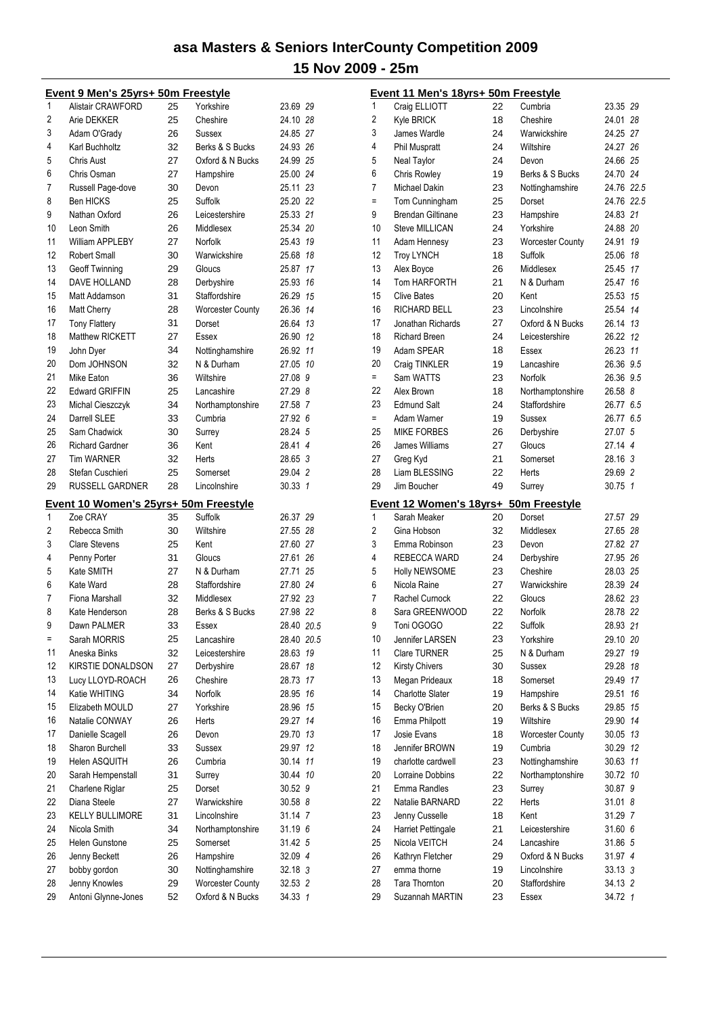|     | Event 9 Men's 25yrs+ 50m Freestyle    |    |                         |            |                |
|-----|---------------------------------------|----|-------------------------|------------|----------------|
| 1   | <b>Alistair CRAWFORD</b>              | 25 | Yorkshire               | 23.69 29   |                |
| 2   | Arie DEKKER                           | 25 | Cheshire                | 24.10 28   |                |
| 3   | Adam O'Grady                          | 26 | Sussex                  | 24.85 27   |                |
| 4   | Karl Buchholtz                        | 32 | Berks & S Bucks         | 24.93 26   |                |
| 5   | Chris Aust                            | 27 | Oxford & N Bucks        | 24.99 25   |                |
| 6   | Chris Osman                           | 27 | Hampshire               | 25.00 24   |                |
| 7   | Russell Page-dove                     | 30 | Devon                   | 25.11      | 23             |
| 8   | <b>Ben HICKS</b>                      | 25 | Suffolk                 | 25.20 22   |                |
| 9   | Nathan Oxford                         | 26 | Leicestershire          | 25.33 21   |                |
| 10  | Leon Smith                            | 26 | Middlesex               | 25.34 20   |                |
| 11  | William APPLEBY                       | 27 | Norfolk                 | 25.43      | 19             |
| 12  | <b>Robert Small</b>                   | 30 | Warwickshire            | 25.68      | 18             |
| 13  | <b>Geoff Twinning</b>                 | 29 | Gloucs                  | 25.87      | 17             |
| 14  | DAVE HOLLAND                          | 28 | Derbyshire              | 25.93      | 16             |
| 15  | <b>Matt Addamson</b>                  | 31 | Staffordshire           | 26.29 15   |                |
| 16  | <b>Matt Cherry</b>                    | 28 | <b>Worcester County</b> | 26.36      | 14             |
| 17  | <b>Tony Flattery</b>                  | 31 | Dorset                  | 26.64      | 13             |
| 18  | Matthew RICKETT                       | 27 | Essex                   | 26.90      | -12            |
| 19  | John Dyer                             | 34 | Nottinghamshire         | 26.92      | 11             |
| 20  |                                       | 32 |                         |            |                |
|     | Dom JOHNSON                           |    | N & Durham              | 27.05      | 10             |
| 21  | Mike Eaton                            | 36 | Wiltshire               | 27.08      | 9              |
| 22  | <b>Edward GRIFFIN</b>                 | 25 | Lancashire              | 27.29      | -8             |
| 23  | Michal Cieszczyk                      | 34 | Northamptonshire        | 27.58      | 7              |
| 24  | Darrell SLEE                          | 33 | Cumbria                 | 27.92      | -6             |
| 25  | Sam Chadwick                          | 30 | Surrey                  | 28.24      | 5              |
| 26  | <b>Richard Gardner</b>                | 36 | Kent                    | 28.41      | 4              |
| 27  | <b>Tim WARNER</b>                     | 32 | Herts                   | 28.65      | 3              |
| 28  | Stefan Cuschieri                      | 25 | Somerset                | 29.04      | 2              |
| 29  | <b>RUSSELL GARDNER</b>                | 28 | Lincolnshire            | 30.33      | $\mathbf{1}$   |
|     | Event 10 Women's 25yrs+ 50m Freestyle |    |                         |            |                |
| 1   | Zoe CRAY                              | 35 | Suffolk                 | 26.37      | 29             |
| 2   | Rebecca Smith                         | 30 | Wiltshire               | 27.55 28   |                |
| 3   | <b>Clare Stevens</b>                  | 25 | Kent                    | 27.60      | 27             |
| 4   | Penny Porter                          | 31 | Gloucs                  | 27.61      | 26             |
| 5   | Kate SMITH                            | 27 | N & Durham              | 27.71      | 25             |
| 6   | Kate Ward                             | 28 | Staffordshire           | 27.80 24   |                |
| 7   | Fiona Marshall                        | 32 | Middlesex               | 27.92 23   |                |
| 8   | Kate Henderson                        | 28 | Berks & S Bucks         | 27.98 22   |                |
| 9   | Dawn PALMER                           | 33 | Essex                   | 28.40 20.5 |                |
| $=$ | Sarah MORRIS                          | 25 | Lancashire              | 28.40      | 20.5           |
| 11  | Aneska Binks                          | 32 | Leicestershire          | 28.63      | 19             |
| 12  | KIRSTIE DONALDSON                     | 27 | Derbyshire              | 28.67      | 18             |
| 13  | Lucy LLOYD-ROACH                      | 26 | Cheshire                | 28.73      | 17             |
| 14  | Katie WHITING                         | 34 | Norfolk                 | 28.95      | 16             |
| 15  | Elizabeth MOULD                       | 27 | Yorkshire               | 28.96      | 15             |
| 16  | Natalie CONWAY                        | 26 | Herts                   | 29.27      | 14             |
| 17  | Danielle Scagell                      | 26 | Devon                   | 29.70      | 13             |
| 18  | Sharon Burchell                       | 33 | Sussex                  | 29.97      | 12             |
| 19  | Helen ASQUITH                         | 26 | Cumbria                 | 30.14      | 11             |
| 20  | Sarah Hempenstall                     | 31 | Surrey                  | 30.44      | 10             |
| 21  | Charlene Riglar                       | 25 | Dorset                  | 30.52 9    |                |
| 22  | Diana Steele                          | 27 | Warwickshire            | 30.58 8    |                |
| 23  | <b>KELLY BULLIMORE</b>                | 31 | Lincolnshire            | 31.14 7    |                |
| 24  | Nicola Smith                          | 34 | Northamptonshire        | 31.19 6    |                |
| 25  | <b>Helen Gunstone</b>                 | 25 | Somerset                | 31.42 5    |                |
| 26  | Jenny Beckett                         | 26 | Hampshire               | 32.09 4    |                |
| 27  | bobby gordon                          | 30 | Nottinghamshire         | 32.18 3    |                |
| 28  | Jenny Knowles                         | 29 | <b>Worcester County</b> | 32.53      | $\overline{2}$ |
| 29  | Antoni Glynne-Jones                   | 52 | Oxford & N Bucks        | 34.33      | $\mathbf{1}$   |
|     |                                       |    |                         |            |                |

|                | <u> Event 11 Men's 18yrs+ 50m Freestyle</u> |          |                         |                    |    |
|----------------|---------------------------------------------|----------|-------------------------|--------------------|----|
| 1              | Craig ELLIOTT                               | 22       | Cumbria                 | 23.35 29           |    |
| $\overline{c}$ | Kyle BRICK                                  | 18       | Cheshire                | 24.01 28           |    |
| 3              | James Wardle                                | 24       | Warwickshire            | 24.25 27           |    |
| 4              | <b>Phil Muspratt</b>                        | 24       | Wiltshire               | 24.27 26           |    |
| 5              | Neal Taylor                                 | 24       | Devon                   | 24.66 25           |    |
| 6              | Chris Rowley                                | 19       | Berks & S Bucks         | 24.70 24           |    |
| 7              | Michael Dakin                               | 23       | Nottinghamshire         | 24.76 22.5         |    |
| $\equiv$       | Tom Cunningham                              | 25       | Dorset                  | 24.76 22.5         |    |
| 9              | Brendan Giltinane                           | 23       | Hampshire               | 24.83 21           |    |
| 10             | Steve MILLICAN                              | 24       | Yorkshire               | 24.88 20           |    |
| 11             | Adam Hennesy                                | 23       | <b>Worcester County</b> | 24.91 19           |    |
| 12             | <b>Troy LYNCH</b>                           | 18       | Suffolk                 | 25.06 18           |    |
| 13             | Alex Boyce                                  | 26       | Middlesex               | 25.45 17           |    |
| 14             | <b>Tom HARFORTH</b>                         | 21       | N & Durham              | 25.47 16           |    |
| 15             | <b>Clive Bates</b>                          | 20       | Kent                    | 25.53 15           |    |
| 16             | <b>RICHARD BELL</b>                         | 23       | Lincolnshire            | 25.54 14           |    |
| 17             | Jonathan Richards                           | 27       | Oxford & N Bucks        | 26.14 13           |    |
| 18             | <b>Richard Breen</b>                        | 24       | Leicestershire          | 26.22 12           |    |
| 19             | Adam SPEAR                                  | 18       | Essex                   | 26.23 11           |    |
| 20             | Craig TINKLER                               | 19       | Lancashire              | 26.36 9.5          |    |
| $=$            | Sam WATTS                                   | 23       | Norfolk                 | 26.36 9.5          |    |
| 22             | Alex Brown                                  | 18       | Northamptonshire        | 26.58 8            |    |
| 23             | <b>Edmund Salt</b>                          | 24       | Staffordshire           | 26.77 6.5          |    |
| $=$            | Adam Warner                                 | 19       | Sussex                  | 26.77 6.5          |    |
| 25             | <b>MIKE FORBES</b>                          | 26       | Derbyshire              | 27.07 5            |    |
| 26             | James Williams                              | 27       | Gloucs                  | 27.14 4            |    |
| 27             | Greg Kyd                                    | 21       | Somerset                | 28.16 3            |    |
| 28             | Liam BLESSING                               | 22       | Herts                   | 29.69 2            |    |
| 29             | Jim Boucher                                 | 49       | Surrey                  | 30.75 1            |    |
|                |                                             |          |                         |                    |    |
|                | Event 12 Women's 18yrs+ 50m Freestyle       |          |                         |                    |    |
| 1              | Sarah Meaker                                | 20       | Dorset                  | 27.57 29           |    |
| 2              | Gina Hobson                                 | 32       | Middlesex               | 27.65 28           |    |
| 3              | Emma Robinson                               | 23       | Devon                   | 27.82 27           |    |
| 4              | REBECCA WARD                                | 24       | Derbyshire              | 27.95 26           |    |
| 5              | <b>Holly NEWSOME</b>                        | 23       | Cheshire                | 28.03 25           |    |
| 6              | Nicola Raine                                | 27       | Warwickshire            | 28.39 24           |    |
| 7              | Rachel Curnock                              | 22       | Gloucs                  | 28.62 23           |    |
| 8              | Sara GREENWOOD                              | 22       | Norfolk                 | 28.78 22           |    |
| 9              | Toni OGOGO                                  | 22       | Suffolk                 | 28.93 21           |    |
| 10             | Jennifer LARSEN                             | 23       | Yorkshire               | 29.10 20           |    |
| 11             | <b>Clare TURNER</b>                         | 25       | N & Durham              | 29.27 19           |    |
| 12             | <b>Kirsty Chivers</b>                       | 30       | Sussex                  | 29.28              | 18 |
| 13             | Megan Prideaux                              | 18       | Somerset                | 29.49              | 17 |
| 14             | <b>Charlotte Slater</b>                     | 19       | Hampshire               | 29.51              | 16 |
| 15             | Becky O'Brien                               | 20       | Berks & S Bucks         | 29.85              | 15 |
| 16             | Emma Philpott                               | 19       | Wiltshire               | 29.90              | 14 |
| 17             | Josie Evans                                 | 18       | <b>Worcester County</b> | 30.05 13           |    |
| 18             | Jennifer BROWN                              | 19       | Cumbria                 | 30.29 12           |    |
| 19             | charlotte cardwell                          | 23       | Nottinghamshire         | 30.63 11           |    |
| 20             | Lorraine Dobbins                            | 22       | Northamptonshire        | 30.72 10           |    |
| 21             | Emma Randles                                | 23       | Surrey                  | 30.87 9            |    |
| 22             | Natalie BARNARD                             | 22       | Herts                   | 31.01 8            |    |
| 23             | Jenny Cusselle                              | 18       | Kent                    | 31.29 7            |    |
| 24             | Harriet Pettingale                          | 21       | Leicestershire          | 31.60 6            |    |
| 25             | Nicola VEITCH                               | 24       | Lancashire              | 31.86 5            |    |
| 26             | Kathryn Fletcher                            | 29       | Oxford & N Bucks        | 31.97 4            |    |
| 27             | emma thorne                                 | 19       | Lincolnshire            | 33.13 3            |    |
| 28<br>29       | Tara Thornton<br>Suzannah MARTIN            | 20<br>23 | Staffordshire<br>Essex  | 34.13 2<br>34.72 1 |    |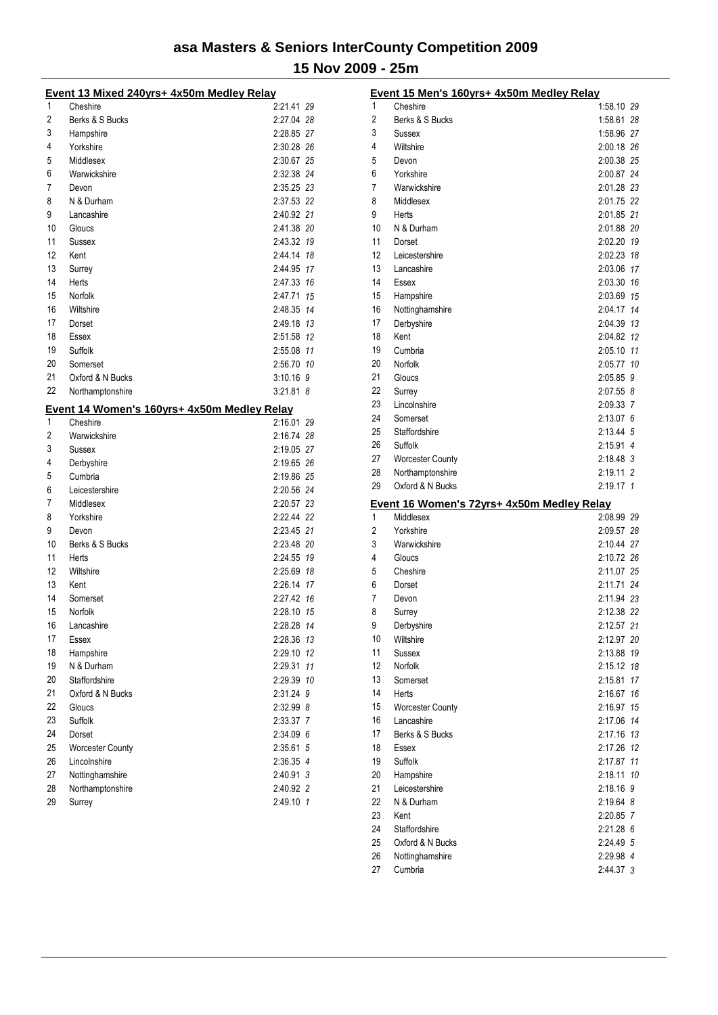|          | Event 13 Mixed 240yrs+ 4x50m Medley Relay   |             |  |
|----------|---------------------------------------------|-------------|--|
| 1        | Cheshire                                    | 2:21.41 29  |  |
| 2        | Berks & S Bucks                             | 2:27.04 28  |  |
| 3        | Hampshire                                   | 2:28.85 27  |  |
| 4        | Yorkshire                                   | 2:30.28 26  |  |
| 5        | Middlesex                                   | 2:30.67 25  |  |
| 6        | Warwickshire                                | 2:32.38 24  |  |
| 7        | Devon                                       | 2:35.25 23  |  |
| 8        | N & Durham                                  | 2:37.53 22  |  |
| 9        | Lancashire                                  | 2:40.92 21  |  |
| 10       | Gloucs                                      | 2:41.38 20  |  |
| 11       | Sussex                                      | 2:43.32 19  |  |
| 12       | Kent                                        | 2:44.14 18  |  |
| 13       | Surrey                                      | 2:44.95 17  |  |
| 14       | Herts                                       | 2.47.33 16  |  |
| 15       | Norfolk                                     | 2:47.71 15  |  |
| 16       | Wiltshire                                   | 2:48.35 14  |  |
| 17       | Dorset                                      | 2.49.18 13  |  |
| 18       | Essex                                       | 2:51.58 12  |  |
| 19       | Suffolk                                     | 2:55.08 11  |  |
| 20       | Somerset                                    | 2:56.70 10  |  |
| 21       | Oxford & N Bucks                            | $3:10.16$ 9 |  |
| 22       | Northamptonshire                            | $3:21.81$ 8 |  |
|          | Event 14 Women's 160yrs+ 4x50m Medley Relay |             |  |
| 1        | Cheshire                                    | 2:16.01 29  |  |
| 2        | Warwickshire                                | 2:16.74 28  |  |
| 3        | Sussex                                      | 2:19.05 27  |  |
| 4        | Derbyshire                                  | 2:19.65 26  |  |
| 5        | Cumbria                                     | 2:19.86 25  |  |
| 6        | Leicestershire                              | 2:20.56 24  |  |
| 7        | Middlesex                                   | 2:20.57 23  |  |
| 8        | Yorkshire                                   | 2:22.44 22  |  |
| 9        | Devon                                       | 2:23.45 21  |  |
| 10       | Berks & S Bucks                             | 2:23.48 20  |  |
| 11       | <b>Herts</b>                                | 2:24.55 19  |  |
| 12       | Wiltshire                                   | 2:25.69 18  |  |
| 13       | Kent                                        | 2:26.14 17  |  |
| 14       | Somerset                                    | 2:27.42 16  |  |
| 15       | Norfolk                                     | 2:28.10 15  |  |
|          | Lancashire                                  | 2:28.28 14  |  |
| 16       |                                             |             |  |
| 17<br>18 | Essex                                       | 2:28.36 13  |  |
|          | Hampshire<br>N & Durham                     | 2:29.10 12  |  |
| 19       |                                             | 2:29.31 11  |  |
| 20       | Staffordshire                               | 2:29.39 10  |  |
| 21       | Oxford & N Bucks                            | 2:31.24 9   |  |
| 22       | Gloucs                                      | 2:32.99 8   |  |
| 23       | Suffolk                                     | 2:33.37 7   |  |
| 24       | Dorset                                      | 2:34.09 6   |  |
| 25       | <b>Worcester County</b>                     | 2:35.61 5   |  |
| 26       | Lincolnshire                                | 2:36.35 4   |  |
| 27       | Nottinghamshire                             | 2:40.91 3   |  |
| 28       | Northamptonshire                            | 2:40.92 2   |  |
| 29       | Surrey                                      | 2:49.10 1   |  |

|    | Event 15 Men's 160yrs+ 4x50m Medley Relay  |            |    |
|----|--------------------------------------------|------------|----|
| 1  | Cheshire                                   | 1:58.10 29 |    |
| 2  | Berks & S Bucks                            | 1:58.61 28 |    |
| 3  | Sussex                                     | 1:58.96 27 |    |
| 4  | Wiltshire                                  | 2:00.18 26 |    |
| 5  | Devon                                      | 2:00.38 25 |    |
| 6  | Yorkshire                                  | 2:00.87 24 |    |
| 7  | Warwickshire                               | 2:01.28 23 |    |
| 8  | Middlesex                                  | 2:01.75 22 |    |
| 9  | Herts                                      | 2:01.85 21 |    |
| 10 | N & Durham                                 | 2:01.88 20 |    |
| 11 | Dorset                                     | 2:02.20    | 19 |
| 12 | Leicestershire                             | 2:02.23 18 |    |
| 13 | Lancashire                                 | 2:03.06    | 17 |
| 14 | Essex                                      | 2:03.30    | 16 |
| 15 | Hampshire                                  | 2:03.69    | 15 |
| 16 | Nottinghamshire                            | 2:04.17    | 14 |
| 17 | Derbyshire                                 | 2:04.39 13 |    |
| 18 | Kent                                       | 2:04.82 12 |    |
| 19 | Cumbria                                    | 2:05.10 11 |    |
| 20 | Norfolk                                    | 2:05.77 10 |    |
| 21 | Gloucs                                     | 2:05.85    | 9  |
| 22 | Surrey                                     | 2:07.55 8  |    |
| 23 | Lincolnshire                               | 2:09.33 7  |    |
| 24 | Somerset                                   | 2:13.076   |    |
| 25 | Staffordshire                              | 2:13.44 5  |    |
| 26 | Suffolk                                    | 2:15.91 4  |    |
| 27 | <b>Worcester County</b>                    | 2:18.48 3  |    |
| 28 | Northamptonshire                           | 2:19.11 2  |    |
| 29 | Oxford & N Bucks                           | 2:19.17 1  |    |
|    | Event 16 Women's 72yrs+ 4x50m Medley Relay |            |    |
| 1  | Middlesex                                  | 2:08.99 29 |    |
| 2  | Yorkshire                                  | 2:09.57 28 |    |
| 3  | Warwickshire                               | 2:10.44 27 |    |
| 4  | Gloucs                                     | 2:10.72 26 |    |
| 5  | Cheshire                                   | 2:11.07 25 |    |
| 6  | Dorset                                     | 2:11.71 24 |    |
| 7  | Devon                                      | 2:11.94 23 |    |
| 8  | Surrey                                     | 2:12.38 22 |    |
| 9  | Derbyshire                                 | 2:12.57 21 |    |
| 10 | Wiltshire                                  | 2:12.97 20 |    |
| 11 | Sussex                                     | 2:13.88    | 19 |
| 12 | Norfolk                                    | 2:15.12    | 18 |
| 13 | Somerset                                   | 2:15.81    | 17 |
| 14 | Herts                                      | 2:16.67    | 16 |
| 15 | <b>Worcester County</b>                    | 2:16.97    | 15 |
| 16 | Lancashire                                 | 2:17.06    | 14 |
| 17 | Berks & S Bucks                            | 2:17.16    | 13 |
| 18 | Essex                                      | 2:17.26    | 12 |
| 19 | Suffolk                                    | 2:17.87    | 11 |
| 20 | Hampshire                                  | 2:18.11    | 10 |
| 21 | Leicestershire                             | 2:18.16 9  |    |
| 22 | N & Durham                                 | 2:19.64 8  |    |
| 23 | Kent                                       | 2:20.85 7  |    |
| 24 | Staffordshire                              | 2:21.28 6  |    |
| 25 | Oxford & N Bucks                           | 2:24.49 5  |    |
| 26 | Nottinghamshire                            | 2:29.98 4  |    |
| 27 | Cumbria                                    | 2:44.37 3  |    |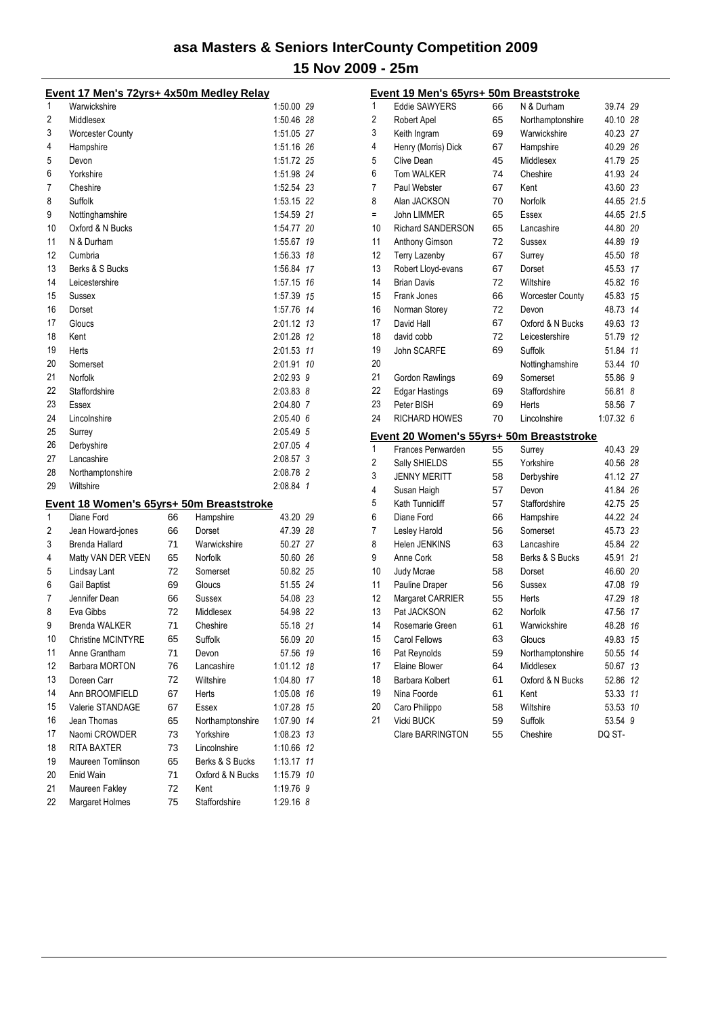| Event 17 Men's 72yrs+ 4x50m Medley Relay                                        |                         |  |  |  |  |  |
|---------------------------------------------------------------------------------|-------------------------|--|--|--|--|--|
| 1<br>Warwickshire                                                               | 1:50.00 29              |  |  |  |  |  |
| 2<br>Middlesex                                                                  | 1:50.46 28              |  |  |  |  |  |
| 3<br><b>Worcester County</b>                                                    | 1:51.05 27              |  |  |  |  |  |
| 4<br>Hampshire                                                                  | 1:51.16 26              |  |  |  |  |  |
| 5<br>Devon                                                                      | 1:51.72 25              |  |  |  |  |  |
| 6<br>Yorkshire                                                                  | 1:51.98 24              |  |  |  |  |  |
| 7<br>Cheshire                                                                   | 1:52.54 23              |  |  |  |  |  |
| 8<br>Suffolk                                                                    | 1:53.15 22              |  |  |  |  |  |
| 9<br>Nottinghamshire                                                            | 1:54.59 21              |  |  |  |  |  |
| 10<br>Oxford & N Bucks                                                          | 1:54.77 20              |  |  |  |  |  |
| 11<br>N & Durham                                                                | 1:55.67 19              |  |  |  |  |  |
| 12<br>Cumbria                                                                   | 1:56.33 18              |  |  |  |  |  |
| 13<br>Berks & S Bucks                                                           | 1:56.84 17              |  |  |  |  |  |
| 14<br>Leicestershire                                                            | 1:57.15 16              |  |  |  |  |  |
| 15<br>Sussex                                                                    | 1:57.39 15              |  |  |  |  |  |
| 16<br>Dorset                                                                    | 1:57.76 14              |  |  |  |  |  |
| 17<br>Gloucs                                                                    | 2:01.12 13              |  |  |  |  |  |
| 18<br>Kent                                                                      | 2:01.28 12              |  |  |  |  |  |
| 19<br>Herts                                                                     | 2:01.53 11              |  |  |  |  |  |
| 20<br>Somerset                                                                  | 2:01.91 10              |  |  |  |  |  |
| 21<br>Norfolk                                                                   | 2:02.93 9               |  |  |  |  |  |
| 22<br>Staffordshire                                                             | 2:03.83 8               |  |  |  |  |  |
| 23<br>Essex                                                                     | 2:04.80 7               |  |  |  |  |  |
| 24<br>Lincolnshire                                                              | 2:05.406                |  |  |  |  |  |
| 25<br>Surrey                                                                    | 2:05.49 5               |  |  |  |  |  |
| Derbyshire<br>26                                                                | 2:07.05 4               |  |  |  |  |  |
| 27<br>Lancashire                                                                | 2:08.57 3               |  |  |  |  |  |
| 28<br>Northamptonshire                                                          | 2:08.78 2               |  |  |  |  |  |
| 29<br>Wiltshire                                                                 | 2:08.84 1               |  |  |  |  |  |
| Event 18 Women's 65yrs+ 50m Breaststroke                                        |                         |  |  |  |  |  |
| Diane Ford<br>1<br>66<br>Hampshire                                              | 43.20 29                |  |  |  |  |  |
| 2<br>Jean Howard-jones<br>66<br>Dorset                                          | 47.39 28                |  |  |  |  |  |
| 3<br>Brenda Hallard<br>71<br>Warwickshire                                       | 50.27 27                |  |  |  |  |  |
| Matty VAN DER VEEN<br>Norfolk<br>4<br>65                                        | 50.60 26                |  |  |  |  |  |
| Lindsay Lant<br>72<br>5<br>Somerset                                             | 50.82 25                |  |  |  |  |  |
| <b>Gail Baptist</b><br>6<br>Gloucs<br>69                                        | 51.55 24                |  |  |  |  |  |
| Jennifer Dean<br>7<br>66<br>Sussex                                              | 54.08 23                |  |  |  |  |  |
| 8<br>Eva Gibbs<br>72<br>Middlesex                                               | 54.98 22                |  |  |  |  |  |
| Brenda WALKER<br>9<br>71<br>Cheshire                                            | 55.18 21                |  |  |  |  |  |
| Christine MCINTYRE<br>10<br>Suffolk<br>65                                       | 56.09 20                |  |  |  |  |  |
| 11<br>71<br>Anne Grantham<br>Devon                                              | 57.56 19                |  |  |  |  |  |
| 12<br>Barbara MORTON<br>76<br>Lancashire                                        | 1:01.12 18              |  |  |  |  |  |
| 13<br>Doreen Carr<br>Wiltshire<br>72                                            | 1:04.80 17              |  |  |  |  |  |
| 14<br>Ann BROOMFIELD<br>67<br>Herts                                             | 1:05.08 16              |  |  |  |  |  |
| 15<br>Valerie STANDAGE<br>67<br>Essex                                           | 1:07.28 15              |  |  |  |  |  |
| 16<br>Jean Thomas<br>65<br>Northamptonshire                                     | 1:07.90 14              |  |  |  |  |  |
| 17<br>Naomi CROWDER<br>73<br>Yorkshire                                          | 1:08.23 13              |  |  |  |  |  |
| 18<br>RITA BAXTER<br>Lincolnshire<br>73                                         | 1:10.66 12              |  |  |  |  |  |
| 19<br>Maureen Tomlinson<br>Berks & S Bucks<br>65                                |                         |  |  |  |  |  |
|                                                                                 |                         |  |  |  |  |  |
|                                                                                 | 1:13.17 11              |  |  |  |  |  |
| 20<br>Enid Wain<br>71<br>Oxford & N Bucks<br>21<br>Maureen Fakley<br>72<br>Kent | 1:15.79 10<br>1:19.76 9 |  |  |  |  |  |

|     | <u>Event 19 Men's 65yrs+ 50m Breaststroke</u> |    |                         |            |    |
|-----|-----------------------------------------------|----|-------------------------|------------|----|
| 1   | <b>Eddie SAWYERS</b>                          | 66 | N & Durham              | 39.74 29   |    |
| 2   | Robert Apel                                   | 65 | Northamptonshire        | 40.10 28   |    |
| 3   | Keith Ingram                                  | 69 | Warwickshire            | 40.23 27   |    |
| 4   | Henry (Morris) Dick                           | 67 | Hampshire               | 40.29 26   |    |
| 5   | Clive Dean                                    | 45 | Middlesex               | 41.79 25   |    |
| 6   | <b>Tom WALKER</b>                             | 74 | Cheshire                | 41.93 24   |    |
| 7   | Paul Webster                                  | 67 | Kent                    | 43.60 23   |    |
| 8   | Alan JACKSON                                  | 70 | Norfolk                 | 44.65 21.5 |    |
| $=$ | John LIMMER                                   | 65 | Essex                   | 44.65 21.5 |    |
| 10  | <b>Richard SANDERSON</b>                      | 65 | Lancashire              | 44.80 20   |    |
| 11  | Anthony Gimson                                | 72 | Sussex                  | 44.89      | 19 |
| 12  | <b>Terry Lazenby</b>                          | 67 | Surrey                  | 45.50 18   |    |
| 13  | Robert Lloyd-evans                            | 67 | Dorset                  | 45.53 17   |    |
| 14  | <b>Brian Davis</b>                            | 72 | Wiltshire               | 45.82 16   |    |
| 15  | Frank Jones                                   | 66 | <b>Worcester County</b> | 45.83 15   |    |
| 16  | Norman Storey                                 | 72 | Devon                   | 48.73 14   |    |
| 17  | David Hall                                    | 67 | Oxford & N Bucks        | 49.63 13   |    |
| 18  | david cobb                                    | 72 | Leicestershire          | 51.79 12   |    |
| 19  | John SCARFE                                   | 69 | Suffolk                 | 51.84      | 11 |
| 20  |                                               |    | Nottinghamshire         | 53.44      | 10 |
| 21  | <b>Gordon Rawlings</b>                        | 69 | Somerset                | 55.86      | 9  |
| 22  | <b>Edgar Hastings</b>                         | 69 | Staffordshire           | 56.81      | -8 |
| 23  | Peter BISH                                    | 69 | Herts                   | 58.56      | 7  |
| 24  | <b>RICHARD HOWES</b>                          | 70 | Lincolnshire            | 1:07.326   |    |
|     | Event 20 Women's 55yrs+ 50m Breaststroke      |    |                         |            |    |
| 1   | Frances Penwarden                             | 55 | Surrey                  | 40.43 29   |    |
| 2   | Sally SHIELDS                                 | 55 | Yorkshire               | 40.56 28   |    |
| 3   | <b>JENNY MERITT</b>                           | 58 | Derbyshire              | 41.12 27   |    |
| 4   | Susan Haigh                                   | 57 | Devon                   | 41.84 26   |    |
| 5   | <b>Kath Tunnicliff</b>                        | 57 | Staffordshire           | 42.75 25   |    |
| 6   | Diane Ford                                    | 66 | Hampshire               | 44.22 24   |    |
| 7   | Lesley Harold                                 | 56 | Somerset                | 45.73 23   |    |
| 8   | Helen JENKINS                                 | 63 | Lancashire              | 45.84 22   |    |
| 9   | Anne Cork                                     | 58 | Berks & S Bucks         | 45.91 21   |    |
| 10  | <b>Judy Mcrae</b>                             | 58 | Dorset                  | 46.60 20   |    |
| 11  | Pauline Draper                                | 56 | Sussex                  | 47.08      | 19 |
| 12  | Margaret CARRIER                              | 55 | Herts                   | 47.29      | 18 |
| 13  | Pat JACKSON                                   | 62 | Norfolk                 | 47.56      | 17 |
| 14  | Rosemarie Green                               | 61 | Warwickshire            | 48.28      | 16 |
| 15  | Carol Fellows                                 | 63 | Gloucs                  | 49.83      | 15 |
| 16  | Pat Reynolds                                  | 59 | Northamptonshire        | 50.55      | 14 |
| 17  | Elaine Blower                                 | 64 | Middlesex               | 50.67      | 13 |
| 18  | Barbara Kolbert                               | 61 | Oxford & N Bucks        | 52.86      | 12 |
| 19  | Nina Foorde                                   | 61 | Kent                    | 53.33      | 11 |
| 20  | Caro Philippo                                 | 58 | Wiltshire               | 53.53      | 10 |
| 21  | Vicki BUCK                                    | 59 | Suffolk                 | 53.54 9    |    |
|     | Clare BARRINGTON                              | 55 | Cheshire                | DQ ST-     |    |
|     |                                               |    |                         |            |    |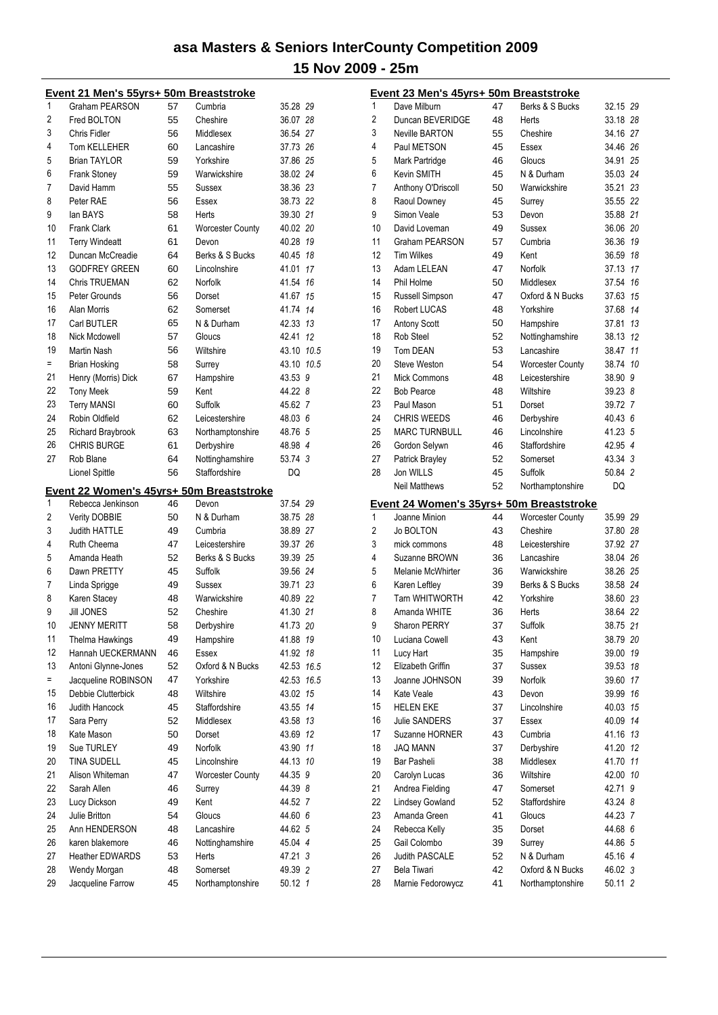|     | Event 21 Men's 55yrs+ 50m Breaststroke   |    |                         |            |    |
|-----|------------------------------------------|----|-------------------------|------------|----|
| 1   | Graham PEARSON                           | 57 | Cumbria                 | 35.28 29   |    |
| 2   | Fred BOLTON                              | 55 | Cheshire                | 36.07 28   |    |
| 3   | Chris Fidler                             | 56 | Middlesex               | 36.54 27   |    |
| 4   | Tom KELLEHER                             | 60 | Lancashire              | 37.73 26   |    |
| 5   | <b>Brian TAYLOR</b>                      | 59 | Yorkshire               | 37.86 25   |    |
| 6   | <b>Frank Stoney</b>                      | 59 | Warwickshire            | 38.02 24   |    |
| 7   | David Hamm                               | 55 | Sussex                  | 38.36 23   |    |
| 8   | Peter RAE                                | 56 | Essex                   | 38.73 22   |    |
| 9   |                                          |    |                         |            |    |
|     | lan BAYS                                 | 58 | Herts                   | 39.30 21   |    |
| 10  | <b>Frank Clark</b>                       | 61 | <b>Worcester County</b> | 40.02 20   |    |
| 11  | <b>Terry Windeatt</b>                    | 61 | Devon                   | 40.28 19   |    |
| 12  | Duncan McCreadie                         | 64 | Berks & S Bucks         | 40.45      | 18 |
| 13  | <b>GODFREY GREEN</b>                     | 60 | Lincolnshire            | 41.01      | 17 |
| 14  | <b>Chris TRUEMAN</b>                     | 62 | Norfolk                 | 41.54      | 16 |
| 15  | Peter Grounds                            | 56 | Dorset                  | 41.67      | 15 |
| 16  | <b>Alan Morris</b>                       | 62 | Somerset                | 41.74 14   |    |
| 17  | Carl BUTLER                              | 65 | N & Durham              | 42.33 13   |    |
| 18  | Nick Mcdowell                            | 57 | Gloucs                  | 42.41 12   |    |
| 19  | <b>Martin Nash</b>                       | 56 | Wiltshire               | 43.10 10.5 |    |
| Ξ   | <b>Brian Hosking</b>                     | 58 | Surrey                  | 43.10 10.5 |    |
| 21  | Henry (Morris) Dick                      | 67 | Hampshire               | 43.53 9    |    |
| 22  | <b>Tony Meek</b>                         | 59 | Kent                    | 44.22 8    |    |
| 23  | <b>Terry MANSI</b>                       | 60 | Suffolk                 | 45.62 7    |    |
| 24  | Robin Oldfield                           | 62 | Leicestershire          | 48.03 6    |    |
| 25  | Richard Braybrook                        |    |                         |            |    |
|     |                                          | 63 | Northamptonshire        | 48.76 5    |    |
| 26  | <b>CHRIS BURGE</b>                       | 61 | Derbyshire              | 48.98 4    |    |
| 27  | Rob Blane                                | 64 | Nottinghamshire         | 53.74 3    |    |
|     | Lionel Spittle                           | 56 | Staffordshire           | DQ         |    |
|     | Event 22 Women's 45yrs+ 50m Breaststroke |    |                         |            |    |
| 1   | Rebecca Jenkinson                        | 46 | Devon                   | 37.54 29   |    |
| 2   | <b>Verity DOBBIE</b>                     | 50 | N & Durham              | 38.75 28   |    |
| 3   | <b>Judith HATTLE</b>                     | 49 | Cumbria                 | 38.89 27   |    |
| 4   | Ruth Cheema                              | 47 | Leicestershire          | 39.37 26   |    |
| 5   | Amanda Heath                             | 52 | Berks & S Bucks         | 39.39 25   |    |
| 6   | Dawn PRETTY                              | 45 | Suffolk                 | 39.56 24   |    |
| 7   | Linda Sprigge                            | 49 | Sussex                  | 39.71 23   |    |
| 8   | Karen Stacey                             | 48 | Warwickshire            | 40.89 22   |    |
| 9   | <b>Jill JONES</b>                        | 52 | Cheshire                | 41.30 21   |    |
| 10  |                                          |    |                         |            |    |
|     | <b>JENNY MERITT</b>                      | 58 | Derbyshire              | 41.73 20   |    |
| 11  | <b>Thelma Hawkings</b>                   | 49 | Hampshire               | 41.88 19   |    |
| 12  | Hannah UECKERMANN                        | 46 | Essex                   | 41.92      | 18 |
| 13  | Antoni Glynne-Jones                      | 52 | Oxford & N Bucks        | 42.53 16.5 |    |
| $=$ | Jacqueline ROBINSON                      | 47 | Yorkshire               | 42.53 16.5 |    |
| 15  | Debbie Clutterbick                       | 48 | Wiltshire               | 43.02      | 15 |
| 16  | Judith Hancock                           | 45 | Staffordshire           | 43.55 14   |    |
| 17  | Sara Perry                               | 52 | Middlesex               | 43.58 13   |    |
| 18  | Kate Mason                               | 50 | Dorset                  | 43.69 12   |    |
| 19  | Sue TURLEY                               | 49 | Norfolk                 | 43.90 11   |    |
| 20  | TINA SUDELL                              | 45 | Lincolnshire            | 44.13 10   |    |
| 21  | Alison Whiteman                          | 47 | Worcester County        | 44.35 9    |    |
| 22  | Sarah Allen                              | 46 | Surrey                  | 44.39 8    |    |
| 23  | Lucy Dickson                             | 49 | Kent                    | 44.52 7    |    |
| 24  | Julie Britton                            | 54 | Gloucs                  | 44.60 6    |    |
|     |                                          |    |                         |            |    |
| 25  | Ann HENDERSON                            | 48 | Lancashire              | 44.62 5    |    |
| 26  | karen blakemore                          | 46 | Nottinghamshire         | 45.04 4    |    |
| 27  | <b>Heather EDWARDS</b>                   | 53 | Herts                   | 47.21 3    |    |
| 28  | Wendy Morgan                             | 48 | Somerset                | 49.39 2    |    |
| 29  | Jacqueline Farrow                        | 45 | Northamptonshire        | 50.12 1    |    |

|                | Event 23 Men's 45yrs+ 50m Breaststroke   |          |                         |                |          |
|----------------|------------------------------------------|----------|-------------------------|----------------|----------|
| 1              | Dave Milburn                             | 47       | Berks & S Bucks         | 32.15 29       |          |
| $\overline{2}$ | Duncan BEVERIDGE                         | 48       | Herts                   | 33.18 28       |          |
| 3              | <b>Neville BARTON</b>                    | 55       | Cheshire                | 34.16 27       |          |
| 4              | Paul METSON                              | 45       | Essex                   | 34.46 26       |          |
| 5              | Mark Partridge                           | 46       | Gloucs                  | 34.91          | 25       |
| 6              | Kevin SMITH                              | 45       | N & Durham              | 35.03 24       |          |
| 7              | Anthony O'Driscoll                       | 50       | Warwickshire            | 35.21 23       |          |
| 8              | Raoul Downey                             | 45       | Surrey                  | 35.55 22       |          |
| 9              | Simon Veale                              | 53       | Devon                   | 35.88 21       |          |
| 10             | David Loveman                            | 49       | Sussex                  | 36.06 20       |          |
| 11             | Graham PEARSON                           | 57       | Cumbria                 | 36.36          | 19       |
| 12             | <b>Tim Wilkes</b>                        | 49       | Kent                    | 36.59          | 18       |
| 13             | Adam LELEAN                              | 47       | Norfolk                 | 37.13          | 17       |
| 14             | Phil Holme                               | 50       | Middlesex               | 37.54          | 16       |
| 15             | Russell Simpson                          | 47       | Oxford & N Bucks        | 37.63          | 15       |
| 16             | <b>Robert LUCAS</b>                      | 48       | Yorkshire               | 37.68          | 14       |
| 17             | <b>Antony Scott</b>                      | 50       | Hampshire               | 37.81          | 13       |
| 18             | Rob Steel                                | 52       | Nottinghamshire         | 38.13          | 12       |
| 19             | <b>Tom DEAN</b>                          | 53       | Lancashire              | 38.47          | 11       |
| 20             | <b>Steve Weston</b>                      | 54       | <b>Worcester County</b> | 38.74          | 10       |
| 21             | <b>Mick Commons</b>                      | 48       | Leicestershire          | 38.90 9        |          |
| 22             | <b>Bob Pearce</b>                        | 48       | Wiltshire               | 39.23 8        |          |
| 23             | Paul Mason                               | 51       | Dorset                  | 39.72 7        |          |
| 24             | <b>CHRIS WEEDS</b>                       | 46       | Derbyshire              | 40.43 6        |          |
| 25             | <b>MARC TURNBULL</b>                     | 46       | Lincolnshire            | 41.23 5        |          |
| 26             | Gordon Selywn                            | 46       | Staffordshire           | 42.95 4        |          |
| 27             | Patrick Brayley                          | 52       | Somerset                | 43.34 3        |          |
| 28             | Jon WILLS                                | 45       | Suffolk                 | 50.84 2        |          |
|                |                                          |          |                         |                |          |
|                | <b>Neil Matthews</b>                     | 52       | Northamptonshire        | DQ             |          |
|                | Event 24 Women's 35yrs+ 50m Breaststroke |          |                         |                |          |
| 1              | Joanne Minion                            | 44       | <b>Worcester County</b> | 35.99 29       |          |
| $\overline{2}$ | Jo BOLTON                                | 43       | Cheshire                | 37.80 28       |          |
| 3              | mick commons                             | 48       | Leicestershire          | 37.92 27       |          |
| 4              | Suzanne BROWN                            | 36       | Lancashire              | 38.04 26       |          |
| 5              | Melanie McWhirter                        | 36       | Warwickshire            | 38.26 25       |          |
| 6              | Karen Leftley                            | 39       | Berks & S Bucks         | 38.58 24       |          |
| 7              | <b>Tarn WHITWORTH</b>                    | 42       | Yorkshire               | 38.60 23       |          |
| 8              | Amanda WHITE                             | 36       | Herts                   | 38.64 22       |          |
| 9              | Sharon PERRY                             | 37       | Suffolk                 | 38.75 21       |          |
| 10             | Luciana Cowell                           | 43       | Kent                    | 38.79 20       |          |
| 11             | Lucy Hart                                | 35       | Hampshire               | 39.00          | 19       |
| 12             | Elizabeth Griffin<br>Joanne JOHNSON      | 37       | Sussex                  | 39.53          | 18       |
| 13<br>14       |                                          | 39       | Norfolk                 | 39.60          | 17       |
|                | Kate Veale                               | 43       | Devon                   | 39.99          | 16       |
| 15<br>16       | <b>HELEN EKE</b><br><b>Julie SANDERS</b> | 37       | Lincolnshire            | 40.03          | 15<br>14 |
| 17             | Suzanne HORNER                           | 37<br>43 | Essex<br>Cumbria        | 40.09<br>41.16 | 13       |
| 18             | <b>JAQ MANN</b>                          | 37       |                         | 41.20          | 12       |
| 19             | <b>Bar Pasheli</b>                       | 38       | Derbyshire<br>Middlesex | 41.70          | 11       |
| 20             | Carolyn Lucas                            | 36       | Wiltshire               | 42.00          | 10       |
| 21             | Andrea Fielding                          | 47       | Somerset                | 42.71          | 9        |
| 22             | <b>Lindsey Gowland</b>                   | 52       | Staffordshire           | 43.24 8        |          |
| 23             | Amanda Green                             | 41       | Gloucs                  | 44.23 7        |          |
| 24             | Rebecca Kelly                            | 35       | Dorset                  | 44.68 6        |          |
| 25             | Gail Colombo                             | 39       | Surrey                  | 44.86 5        |          |
| 26             | Judith PASCALE                           | 52       | N & Durham              | 45.16 4        |          |
| 27             | Bela Tiwari                              | 42       | Oxford & N Bucks        | 46.02 3        |          |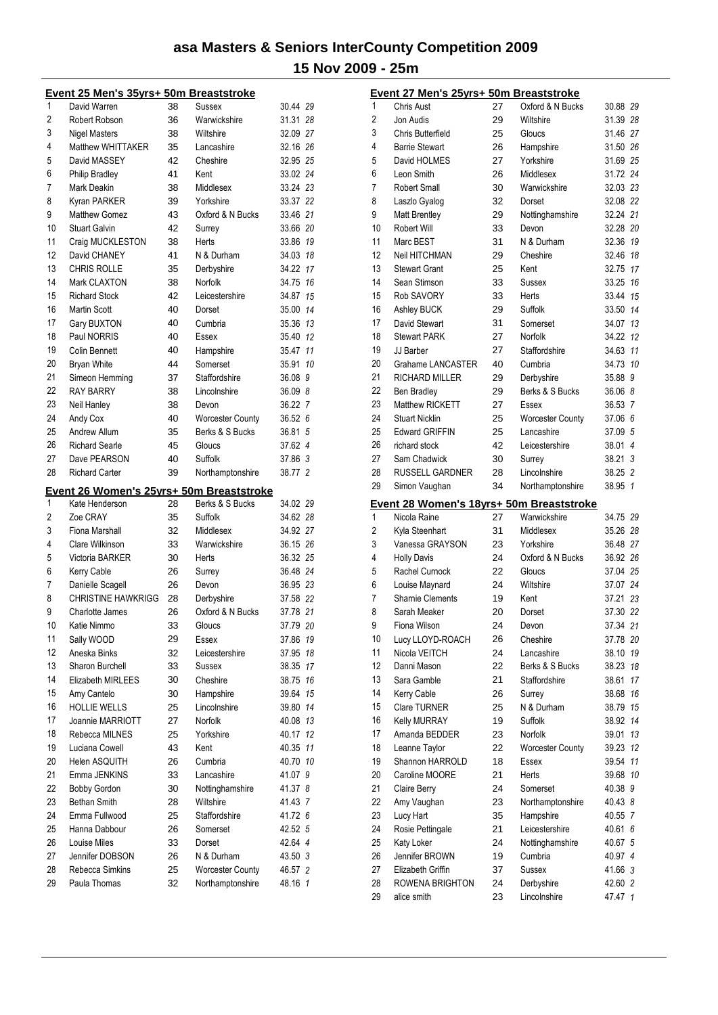|          | <u>Event 25 Men's 35yrs+ 50m Breaststroke</u> |          |                                             |                  |     |
|----------|-----------------------------------------------|----------|---------------------------------------------|------------------|-----|
| 1        | David Warren                                  | 38       | Sussex                                      | 30.44 29         |     |
| 2        | Robert Robson                                 | 36       | Warwickshire                                | 31.31            | -28 |
| 3        | Nigel Masters                                 | 38       | Wiltshire                                   | 32.09 27         |     |
| 4        | Matthew WHITTAKER                             | 35       | Lancashire                                  | 32.16 26         |     |
| 5        | David MASSEY                                  | 42       | Cheshire                                    | 32.95 25         |     |
| 6        | <b>Philip Bradley</b>                         | 41       | Kent                                        | 33.02 24         |     |
| 7        | Mark Deakin                                   | 38       | Middlesex                                   | 33.24 23         |     |
|          |                                               |          |                                             |                  |     |
| 8        | Kyran PARKER                                  | 39       | Yorkshire                                   | 33.37 22         |     |
| 9        | <b>Matthew Gomez</b>                          | 43       | Oxford & N Bucks                            | 33.46 21         |     |
| 10       | <b>Stuart Galvin</b>                          | 42       | Surrey                                      | 33.66 20         |     |
| 11       | Craig MUCKLESTON                              | 38       | Herts                                       | 33.86 19         |     |
| 12       | David CHANEY                                  | 41       | N & Durham                                  | 34.03 18         |     |
| 13       | <b>CHRIS ROLLE</b>                            | 35       | Derbyshire                                  | 34.22 17         |     |
| 14       | Mark CLAXTON                                  | 38       | Norfolk                                     | 34.75 16         |     |
| 15       | <b>Richard Stock</b>                          | 42       | Leicestershire                              | 34.87            | 15  |
| 16       | <b>Martin Scott</b>                           | 40       | Dorset                                      | 35.00 14         |     |
| 17       | Gary BUXTON                                   | 40       | Cumbria                                     | 35.36 13         |     |
| 18       | Paul NORRIS                                   | 40       | Essex                                       | 35.40 12         |     |
| 19       | <b>Colin Bennett</b>                          | 40       | Hampshire                                   | 35.47            | 11  |
| 20       | <b>Bryan White</b>                            | 44       | Somerset                                    | 35.91            | 10  |
|          |                                               |          |                                             |                  |     |
| 21       | Simeon Hemming                                | 37       | Staffordshire                               | 36.08 9          |     |
| 22       | <b>RAY BARRY</b>                              | 38       | Lincolnshire                                | 36.09 8          |     |
| 23       | Neil Hanley                                   | 38       | Devon                                       | 36.22 7          |     |
| 24       | Andy Cox                                      | 40       | <b>Worcester County</b>                     | 36.52 6          |     |
| 25       | Andrew Allum                                  | 35       | Berks & S Bucks                             | 36.81            | 5   |
| 26       | <b>Richard Searle</b>                         | 45       | Gloucs                                      | 37.62 4          |     |
| 27       | Dave PEARSON                                  | 40       | Suffolk                                     | 37.86 3          |     |
| 28       | <b>Richard Carter</b>                         | 39       | Northamptonshire                            | 38.77 2          |     |
|          |                                               |          |                                             |                  |     |
|          |                                               |          |                                             |                  |     |
|          |                                               |          | Event 26 Women's 25yrs+ 50m Breaststroke    |                  |     |
| 1        | Kate Henderson                                | 28       | Berks & S Bucks                             | 34.02 29         |     |
| 2        | Zoe CRAY                                      | 35       | Suffolk                                     | 34.62 28         |     |
| 3        | Fiona Marshall                                | 32       | Middlesex                                   | 34.92 27         |     |
| 4        | <b>Clare Wilkinson</b>                        | 33       | Warwickshire                                | 36.15 26         |     |
| 5        | Victoria BARKER                               | 30       | Herts                                       | 36.32 25         |     |
| 6        | Kerry Cable                                   | 26       | Surrey                                      | 36.48 24         |     |
| 7        | Danielle Scagell                              | 26       | Devon                                       | 36.95 23         |     |
| 8        | <b>CHRISTINE HAWKRIGG</b>                     | 28       | Derbyshire                                  | 37.58 22         |     |
| 9        | Charlotte James                               | 26       | Oxford & N Bucks                            | 37.78 21         |     |
| 10       | Katie Nimmo                                   | 33       | Gloucs                                      | 37.79            | -20 |
| 11       |                                               | 29       | Essex                                       | 37.86            | 19  |
|          | Sally WOOD                                    |          |                                             |                  |     |
| 12       | Aneska Binks                                  | 32       | Leicestershire                              | 37.95            | 18  |
| 13       | Sharon Burchell                               | 33       | Sussex                                      | 38.35 17         |     |
| 14       | Elizabeth MIRLEES                             | 30       | Cheshire                                    | 38.75 16         |     |
| 15       | Amy Cantelo                                   | 30       | Hampshire                                   | 39.64            | 15  |
| 16       | <b>HOLLIE WELLS</b>                           | 25       | Lincolnshire                                | 39.80            | 14  |
| 17       | Joannie MARRIOTT                              | 27       | Norfolk                                     | 40.08 13         |     |
| 18       | Rebecca MILNES                                | 25       | Yorkshire                                   | 40.17            | 12  |
| 19       | Luciana Cowell                                | 43       | Kent                                        | 40.35            | 11  |
| 20       | Helen ASQUITH                                 | 26       | Cumbria                                     | 40.70 10         |     |
| 21       | Emma JENKINS                                  | 33       | Lancashire                                  | 41.07 9          |     |
| 22       | <b>Bobby Gordon</b>                           | 30       | Nottinghamshire                             | 41.37 8          |     |
| 23       | <b>Bethan Smith</b>                           | 28       | Wiltshire                                   | 41.43 7          |     |
| 24       | Emma Fullwood                                 | 25       | Staffordshire                               | 41.72 6          |     |
|          | Hanna Dabbour                                 | 26       | Somerset                                    |                  |     |
| 25       |                                               |          |                                             | 42.52 5          |     |
| 26       | Louise Miles                                  | 33       | Dorset                                      | 42.64 4          |     |
| 27       | Jennifer DOBSON                               | 26       | N & Durham                                  | 43.50 3          |     |
| 28<br>29 | Rebecca Simkins<br>Paula Thomas               | 25<br>32 | <b>Worcester County</b><br>Northamptonshire | 46.57<br>48.16 1 | 2   |

|                | Event 27 Men's 25yrs+ 50m Breaststroke   |    |                  |             |
|----------------|------------------------------------------|----|------------------|-------------|
| 1              | <b>Chris Aust</b>                        | 27 | Oxford & N Bucks | 30.88 29    |
| $\overline{c}$ | Jon Audis                                | 29 | Wiltshire        | 31.39 28    |
| 3              | <b>Chris Butterfield</b>                 | 25 | Gloucs           | 31.46 27    |
| 4              | <b>Barrie Stewart</b>                    | 26 | Hampshire        | 31.50 26    |
| 5              | David HOLMES                             | 27 | Yorkshire        | 31.69 25    |
| 6              | Leon Smith                               | 26 | Middlesex        | 31.72 24    |
| 7              | <b>Robert Small</b>                      | 30 | Warwickshire     | 32.03 23    |
| 8              | Laszlo Gyalog                            | 32 | Dorset           | 32.08 22    |
| 9              | Matt Brentley                            | 29 | Nottinghamshire  | 32.24 21    |
| 10             | Robert Will                              | 33 | Devon            | 32.28 20    |
| 11             | Marc BEST                                | 31 | N & Durham       | 19<br>32.36 |
| 12             | Neil HITCHMAN                            | 29 | Cheshire         | 32.46<br>18 |
| 13             | <b>Stewart Grant</b>                     | 25 | Kent             | 32.75<br>17 |
| 14             | Sean Stimson                             | 33 | Sussex           | 33.25<br>16 |
| 15             | <b>Rob SAVORY</b>                        | 33 | Herts            | 33.44<br>15 |
| 16             | Ashley BUCK                              | 29 | Suffolk          | 33.50 14    |
| 17             | David Stewart                            | 31 | Somerset         | 34.07<br>13 |
| 18             | <b>Stewart PARK</b>                      | 27 | Norfolk          | 34.22<br>12 |
| 19             | JJ Barber                                | 27 | Staffordshire    | 11<br>34.63 |
| 20             | Grahame LANCASTER                        | 40 | Cumbria          | 34.73<br>10 |
| 21             | <b>RICHARD MILLER</b>                    | 29 | Derbyshire       | 35.88 9     |
| 22             | <b>Ben Bradley</b>                       | 29 | Berks & S Bucks  | 36.06 8     |
| 23             | Matthew RICKETT                          | 27 | Essex            | 36.53 7     |
| 24             | <b>Stuart Nicklin</b>                    | 25 | Worcester County | 37.06 6     |
| 25             | <b>Edward GRIFFIN</b>                    | 25 | Lancashire       | 37.09 5     |
| 26             | richard stock                            | 42 | Leicestershire   | 38.01 4     |
| 27             | Sam Chadwick                             | 30 | Surrey           | 38.21 3     |
| 28             | <b>RUSSELL GARDNER</b>                   | 28 | Lincolnshire     | 38.25 2     |
| 29             |                                          | 34 |                  |             |
|                | Simon Vaughan                            |    | Northamptonshire | 38.95 1     |
|                |                                          |    |                  |             |
|                | Event 28 Women's 18yrs+ 50m Breaststroke |    |                  |             |
| 1              | Nicola Raine                             | 27 | Warwickshire     | 34.75 29    |
| 2              | Kyla Steenhart                           | 31 | Middlesex        | 35.26 28    |
| 3              | Vanessa GRAYSON                          | 23 | Yorkshire        | 36.48 27    |
| 4              | <b>Holly Davis</b>                       | 24 | Oxford & N Bucks | 36.92 26    |
| 5              | Rachel Curnock                           | 22 | Gloucs           | 37.04 25    |
| 6              | Louise Maynard                           | 24 | Wiltshire        | 37.07 24    |
| 7              | <b>Sharnie Clements</b>                  | 19 | Kent             | 37.21 23    |
| 8              | Sarah Meaker                             | 20 | Dorset           | 37.30 22    |
| 9              | Fiona Wilson                             | 24 | Devon            | 37.34 21    |
| 10             | Lucy LLOYD-ROACH                         | 26 | Cheshire         | 37.78 20    |
| 11             | Nicola VEITCH                            | 24 | Lancashire       | 38.10<br>19 |
| 12             | Danni Mason                              | 22 | Berks & S Bucks  | 38.23<br>18 |
| 13             | Sara Gamble                              | 21 | Staffordshire    | 38.61<br>17 |
| 14             | Kerry Cable                              | 26 | Surrey           | 38.68<br>16 |
| 15             | Clare TURNER                             | 25 | N & Durham       | 38.79<br>15 |
| 16             | <b>Kelly MURRAY</b>                      | 19 | <b>Suffolk</b>   | 38.92<br>14 |
| 17             | Amanda BEDDER                            | 23 | Norfolk          | 13<br>39.01 |
| 18             | Leanne Taylor                            | 22 | Worcester County | 39.23<br>12 |
| 19             | Shannon HARROLD                          | 18 | Essex            | 39.54<br>11 |
| 20             | Caroline MOORE                           | 21 | Herts            | 39.68<br>10 |
| 21             | <b>Claire Berry</b>                      | 24 | Somerset         | 40.38 9     |
| 22             | Amy Vaughan                              | 23 | Northamptonshire | 40.43 8     |
| 23             | Lucy Hart                                | 35 | Hampshire        | 40.55 7     |
| 24             | Rosie Pettingale                         | 21 | Leicestershire   | 40.61 6     |
| 25             | Katy Loker                               | 24 | Nottinghamshire  | 40.67 5     |
| 26             | Jennifer BROWN                           | 19 | Cumbria          | 40.97 4     |
| 27             | Elizabeth Griffin                        | 37 | Sussex           | 41.66 3     |
| 28<br>29       | ROWENA BRIGHTON                          | 24 | Derbyshire       | 42.60 2     |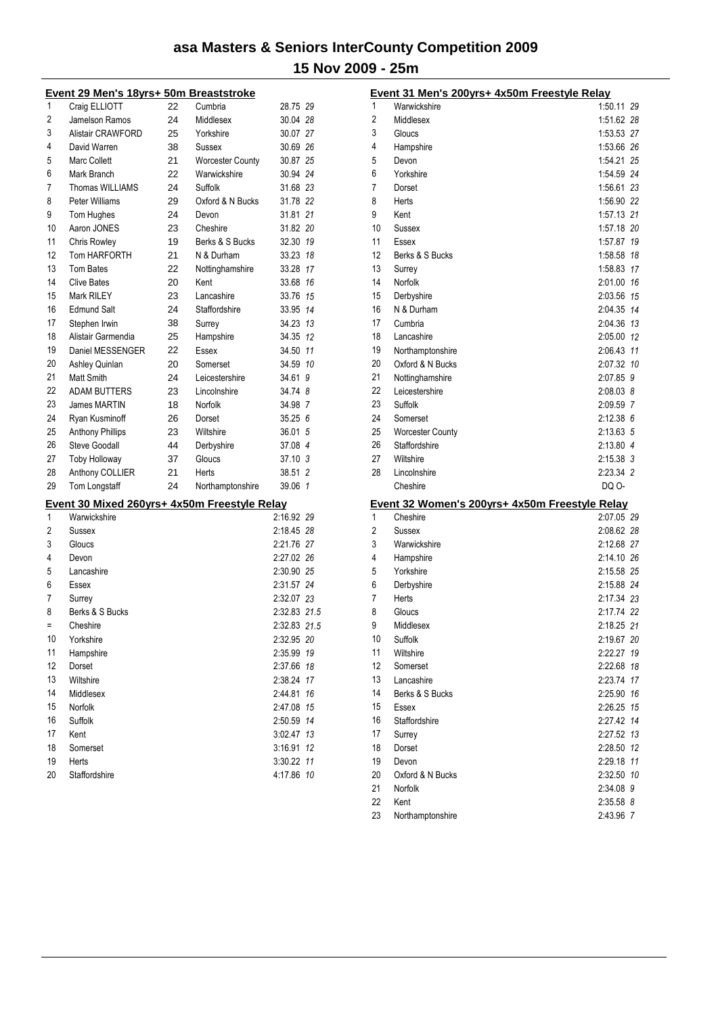#### **Event 29 Men's 18yrs+ 50m Breaststroke**

| 1        | Craig ELLIOTT                                                | 22 | Cumbria                 | 28.75 29                 |    |
|----------|--------------------------------------------------------------|----|-------------------------|--------------------------|----|
| 2        | Jamelson Ramos                                               | 24 | Middlesex               | 30.04 28                 |    |
| 3        | Alistair CRAWFORD                                            | 25 | Yorkshire               | 30.07 27                 |    |
| 4        | David Warren                                                 | 38 | Sussex                  | 30.69 26                 |    |
| 5        | <b>Marc Collett</b>                                          | 21 | <b>Worcester County</b> | 30.87 25                 |    |
| 6        | Mark Branch                                                  | 22 | Warwickshire            | 30.94 24                 |    |
| 7        | <b>Thomas WILLIAMS</b>                                       | 24 | Suffolk                 | 31.68 23                 |    |
| 8        | Peter Williams                                               | 29 | Oxford & N Bucks        | 31.78 22                 |    |
| 9        | Tom Hughes                                                   | 24 | Devon                   | 31.81 21                 |    |
| 10       | Aaron JONES                                                  | 23 | Cheshire                | 31.82 20                 |    |
| 11       | <b>Chris Rowley</b>                                          | 19 | Berks & S Bucks         | 32.30 19                 |    |
| 12       | Tom HARFORTH                                                 | 21 | N & Durham              | 33.23 18                 |    |
| 13       | Tom Bates                                                    | 22 | Nottinghamshire         | 33.28                    | 17 |
| 14       | <b>Clive Bates</b>                                           | 20 | Kent                    | 33.68                    | 16 |
| 15       | Mark RILEY                                                   | 23 | Lancashire              | 33.76                    | 15 |
| 16       | <b>Edmund Salt</b>                                           | 24 | <b>Staffordshire</b>    | 33.95                    | 14 |
| 17       | Stephen Irwin                                                | 38 | Surrey                  | 34.23 13                 |    |
| 18       | Alistair Garmendia                                           | 25 | Hampshire               | 34.35                    | 12 |
| 19       | Daniel MESSENGER                                             | 22 | Essex                   | 34.50                    | 11 |
| 20       | Ashley Quinlan                                               | 20 | Somerset                | 34.59 10                 |    |
| 21       | Matt Smith                                                   | 24 | Leicestershire          | 34.61                    | 9  |
| 22       | <b>ADAM BUTTERS</b>                                          | 23 | Lincolnshire            | 34.74 8                  |    |
| 23       | <b>James MARTIN</b>                                          | 18 | Norfolk                 | 34.98 7                  |    |
| 24       | Ryan Kusminoff                                               | 26 | Dorset                  | 35.256                   |    |
| 25       | <b>Anthony Phillips</b>                                      | 23 | Wiltshire               | 36.01 5                  |    |
| 26       | <b>Steve Goodall</b>                                         | 44 | Derbyshire              | 37.08 4                  |    |
| 27       | <b>Toby Holloway</b>                                         | 37 | Gloucs                  | 37.10 <sub>3</sub>       |    |
| 28       | Anthony COLLIER                                              | 21 | Herts                   | 38.51 2                  |    |
| 29       | Tom Longstaff                                                | 24 | Northamptonshire        | 39.06 1                  |    |
|          |                                                              |    |                         |                          |    |
| 1        | Event 30 Mixed 260yrs+ 4x50m Freestyle Relay<br>Warwickshire |    |                         | 2:16.92 29               |    |
| 2        |                                                              |    |                         |                          |    |
| 3        | Sussex                                                       |    |                         | 2:18.45 28               |    |
| 4        | Gloucs                                                       |    |                         | 2:21.76 27               |    |
|          | Devon                                                        |    |                         | 2:27.02 26               |    |
| 5        | Lancashire                                                   |    |                         | 2:30.90 25<br>2:31.57 24 |    |
| 6<br>7   | Essex                                                        |    |                         |                          |    |
|          | Surrey<br>Berks & S Bucks                                    |    |                         | 2:32.07 23               |    |
| 8<br>$=$ |                                                              |    |                         | 2:32.83 21.5             |    |
|          | Cheshire                                                     |    |                         | 2:32.83 21.5             |    |
| 10       | Yorkshire                                                    |    |                         | 2:32.95 20               |    |
| 11       | Hampshire                                                    |    |                         | 2:35.99 19               |    |
| 12       | Dorset                                                       |    |                         | 2:37.66                  | 18 |
| 13       | Wiltshire                                                    |    |                         | 2:38.24                  | 17 |
| 14       | Middlesex                                                    |    |                         | 2:44.81                  | 16 |
| 15       | Norfolk                                                      |    |                         | 2:47.08                  | 15 |
| 16       | Suffolk                                                      |    |                         | 2:50.59                  | 14 |
| 17       | Kent                                                         |    |                         | 3:02.47                  | 13 |
| 18<br>19 | Somerset                                                     |    |                         | 3:16.91                  | 12 |
|          | Herts                                                        |    |                         | 3:30.22 11               |    |

Staffordshire 4:17.86 *10*

|          | Event 31 Men's 200yrs+ 4x50m Freestyle Relay   |                        |    |
|----------|------------------------------------------------|------------------------|----|
| 1        | Warwickshire                                   | 1:50.11 29             |    |
| 2        | Middlesex                                      | 1:51.62 28             |    |
| 3        | Gloucs                                         | 1:53.53 27             |    |
| 4        | Hampshire                                      | 1:53.66 26             |    |
| 5        | Devon                                          | 1:54.21 25             |    |
| 6        | Yorkshire                                      | 1:54.59 24             |    |
| 7        | Dorset                                         | 1:56.61 23             |    |
| 8        | Herts                                          | 1:56.90 22             |    |
| 9        | Kent                                           | 1:57.13 21             |    |
| 10       | Sussex                                         | 1:57.18 20             |    |
| 11       | Essex                                          | 1:57.87 19             |    |
| 12       | Berks & S Bucks                                | 1:58.58 18             |    |
| 13       | Surrey                                         | 1:58.83 17             |    |
| 14       | Norfolk                                        | 2:01.00 16             |    |
| 15       | Derbyshire                                     | 2:03.56 15             |    |
| 16       | N & Durham                                     | 2:04.35 14             |    |
| 17       | Cumbria                                        | 2:04.36 13             |    |
| 18       | Lancashire                                     | 2:05.00 12             |    |
| 19       | Northamptonshire                               | 2:06.43 11             |    |
| 20       | Oxford & N Bucks                               | 2:07.32 10             |    |
| 21       | Nottinghamshire                                | 2:07.85 9              |    |
| 22       | Leicestershire                                 | 2:08.03 8              |    |
| 23       | Suffolk                                        | 2:09.59 7              |    |
| 24       | Somerset                                       | 2:12.386               |    |
| 25       | <b>Worcester County</b>                        | $2:13.63$ 5            |    |
| 26       | Staffordshire                                  | 2:13.80 4              |    |
| 27       | Wiltshire                                      | 2:15.38 3              |    |
| 28       | Lincolnshire                                   | 2:23.34 2              |    |
|          | Cheshire                                       | DQ 0-                  |    |
|          | Event 32 Women's 200yrs+ 4x50m Freestyle Relay |                        |    |
| 1        | Cheshire                                       | 2:07.05 29             |    |
| 2        | Sussex                                         | 2:08.62 28             |    |
| 3        | Warwickshire                                   | 2:12.68 27             |    |
| 4        | Hampshire                                      | 2:14.10 26             |    |
| 5        | Yorkshire                                      | 2:15.58 25             |    |
| 6        | Derbyshire                                     | 2:15.88 24             |    |
| 7        | Herts                                          | 2:17.34 23             |    |
| 8        | Gloucs                                         | 2:17.74 22             |    |
| 9        | Middlesex                                      | 2:18.25 21             |    |
| 10       | Suffolk                                        | 2:19.67 20             |    |
| 11       | Wiltshire                                      | 2:22.27                | 19 |
| 12       | Somerset                                       | 2:22.68                | 18 |
| 13       | Lancashire                                     | 2:23.74 17             |    |
| 14       | Berks & S Bucks                                | 2:25.90 16             |    |
| 15       | Essex                                          | 2:26.25 15             |    |
| 16       | Staffordshire                                  | 2:27.42 14             |    |
| 17       | Surrey                                         | 2:27.52 13             |    |
| 18       | Dorset                                         | 2:28.50 12             |    |
| 19       | Devon                                          | 2:29.18 11             |    |
|          |                                                |                        |    |
| 20       | Oxford & N Bucks                               | 2:32.50 10             |    |
| 21       | Norfolk                                        | 2:34.08 9              |    |
| 22<br>23 | Kent<br>Northamptonshire                       | 2:35.58 8<br>2:43.96 7 |    |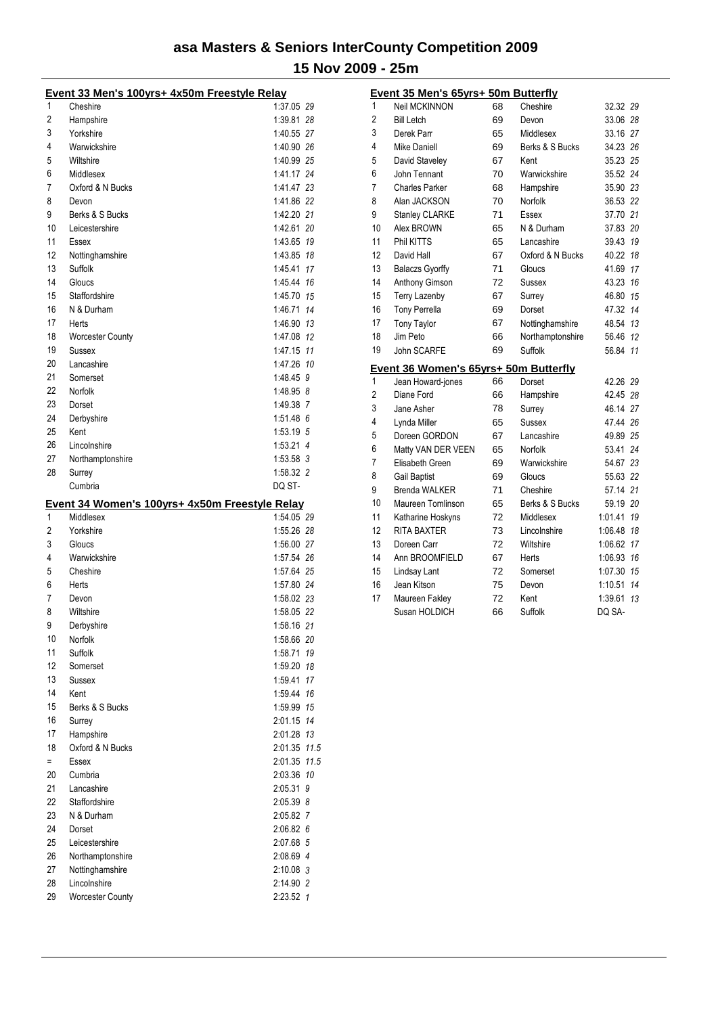|          | Event 33 Men's 100yrs+ 4x50m Freestyle Relay   |                        |  |
|----------|------------------------------------------------|------------------------|--|
| 1        | Cheshire                                       | 1:37.05 29             |  |
| 2        | Hampshire                                      | 1:39.81 28             |  |
| 3        | Yorkshire                                      | 1:40.55 27             |  |
| 4        | Warwickshire                                   | 1:40.90 26             |  |
| 5        | Wiltshire                                      | 1:40.99 25             |  |
| 6        | Middlesex                                      | 1:41.17 24             |  |
| 7        | Oxford & N Bucks                               | 1.41.47 23             |  |
| 8        | Devon                                          | 1:41.86 22             |  |
| 9        | Berks & S Bucks                                | 1:42.20 21             |  |
| 10       | Leicestershire                                 | 1:42.61 20             |  |
| 11       | Essex                                          | 1:43.65 19             |  |
| 12       | Nottinghamshire                                | 1:43.85 18             |  |
| 13       | Suffolk                                        | 1:45.41 17             |  |
| 14       | Gloucs                                         | 1.45.44 16             |  |
| 15       | Staffordshire                                  | 1:45.70 15             |  |
| 16       | N & Durham                                     | 1:46.71 14             |  |
| 17       | Herts                                          | 1:46.90 13             |  |
| 18       | Worcester County                               | 1:47.08 12             |  |
| 19       | Sussex                                         | 1:47.15 11             |  |
| 20       | Lancashire                                     | 1:47.26 10             |  |
| 21       | Somerset                                       | 1:48.45 9              |  |
| 22       | Norfolk                                        | 1:48.95 8              |  |
| 23       | Dorset                                         | 1:49.38 7              |  |
| 24       | Derbyshire                                     | $1:51.48$ 6            |  |
| 25       | Kent                                           | 1:53.19 5              |  |
| 26       | Lincolnshire                                   | $1:53.21$ 4            |  |
| 27       | Northamptonshire                               | 1:53.58 3              |  |
| 28       | Surrey                                         | 1:58.32 2              |  |
|          | Cumbria                                        | DQ ST-                 |  |
|          |                                                |                        |  |
|          |                                                |                        |  |
|          | Event 34 Women's 100yrs+ 4x50m Freestyle Relay |                        |  |
| 1        | Middlesex                                      | 1:54.05 29             |  |
| 2        | Yorkshire                                      | 1:55.26 28             |  |
| 3        | Gloucs                                         | 1:56.00 27             |  |
| 4        | Warwickshire                                   | 1:57.54 26             |  |
| 5        | Cheshire                                       | 1:57.64 25             |  |
| 6        | Herts                                          | 1:57.80 24             |  |
| 7        | Devon                                          | 1:58.02 23             |  |
| 8        | Wiltshire                                      | 1:58.05 22             |  |
| 9        | Derbyshire                                     | 1:58.16 21             |  |
| 10       | Norfolk                                        | 1:58.66 20             |  |
| 11       | Suffolk                                        | 1:58.71 19             |  |
| 12       | Somerset                                       | 1:59.20 18             |  |
| 13       | Sussex                                         | 1:59.41 17             |  |
| 14       | Kent                                           | 1:59.44 16             |  |
| 15       | Berks & S Bucks                                | 1:59.99 15             |  |
| 16       | Surrey                                         | 2:01.15 14             |  |
| 17       | Hampshire                                      | 2:01.28 13             |  |
| 18       | Oxford & N Bucks                               | 2:01.35 11.5           |  |
| Ξ.       | Essex                                          | 2:01.35 11.5           |  |
| 20       | Cumbria                                        | 2:03.36 10             |  |
| 21       | Lancashire                                     | 2:05.31 9              |  |
| 22       | Staffordshire                                  | 2:05.39 8              |  |
| 23       | N & Durham                                     | 2:05.82 7              |  |
| 24       | Dorset                                         | 2:06.82 6              |  |
| 25       | Leicestershire                                 | 2:07.68 5              |  |
| 26       | Northamptonshire                               | 2:08.69 4              |  |
| 27       | Nottinghamshire                                | 2:10.08 3              |  |
| 28<br>29 | Lincolnshire<br><b>Worcester County</b>        | 2:14.90 2<br>2:23.52 1 |  |

|    | Event 35 Men's 65yrs+ 50m Butterfly   |    |                  |               |
|----|---------------------------------------|----|------------------|---------------|
| 1  | <b>Neil MCKINNON</b>                  | 68 | Cheshire         | 32.32 29      |
| 2  | <b>Bill Letch</b>                     | 69 | Devon            | 33.06 28      |
| 3  | Derek Parr                            | 65 | Middlesex        | 33.16 27      |
| 4  | <b>Mike Daniell</b>                   | 69 | Berks & S Bucks  | 34.23 26      |
| 5  | David Staveley                        | 67 | Kent             | 35.23 25      |
| 6  | John Tennant                          | 70 | Warwickshire     | 35.52 24      |
| 7  | <b>Charles Parker</b>                 | 68 | Hampshire        | 35.90 23      |
| 8  | Alan JACKSON                          | 70 | Norfolk          | 36.53 22      |
| 9  | <b>Stanley CLARKE</b>                 | 71 | Essex            | 37.70 21      |
| 10 | Alex BROWN                            | 65 | N & Durham       | 37.83 20      |
| 11 | Phil KITTS                            | 65 | Lancashire       | 39.43 19      |
| 12 | David Hall                            | 67 | Oxford & N Bucks | 40.22 18      |
| 13 | <b>Balaczs Gyorffy</b>                | 71 | Gloucs           | 41.69 17      |
| 14 | Anthony Gimson                        | 72 | Sussex           | 43.23 16      |
| 15 | <b>Terry Lazenby</b>                  | 67 | Surrey           | 46.80 15      |
| 16 | <b>Tony Perrella</b>                  | 69 | Dorset           | 47.32 14      |
| 17 | <b>Tony Taylor</b>                    | 67 | Nottinghamshire  | 48.54 13      |
| 18 | Jim Peto                              | 66 | Northamptonshire | 56.46 12      |
| 19 | John SCARFE                           | 69 | Suffolk          | 56.84 11      |
|    | Event 36 Women's 65yrs+ 50m Butterfly |    |                  |               |
| 1  | Jean Howard-jones                     | 66 | Dorset           | 42.26 29      |
| 2  | Diane Ford                            | 66 | Hampshire        | 42.45 28      |
| 3  | Jane Asher                            | 78 | Surrey           | 46.14 27      |
| 4  | Lynda Miller                          | 65 | Sussex           | 47.44 26      |
| 5  | Doreen GORDON                         | 67 | Lancashire       | 49.89 25      |
| 6  | Matty VAN DER VEEN                    | 65 | Norfolk          | 53.41 24      |
| 7  | Elisabeth Green                       | 69 | Warwickshire     | 54.67 23      |
| 8  | <b>Gail Baptist</b>                   | 69 | Gloucs           | 55.63 22      |
| 9  | Brenda WALKER                         | 71 | Cheshire         | 57.14 21      |
| 10 | Maureen Tomlinson                     | 65 | Berks & S Bucks  | 59.19 20      |
| 11 | Katharine Hoskyns                     | 72 | Middlesex        | 1:01.41 19    |
| 12 | <b>RITA BAXTER</b>                    | 73 | Lincolnshire     | 1:06.48 18    |
| 13 | Doreen Carr                           | 72 | Wiltshire        | 1:06.62 17    |
| 14 | Ann BROOMFIELD                        | 67 | Herts            | 1:06.93 16    |
| 15 | Lindsay Lant                          | 72 | Somerset         | 1:07.30 15    |
|    |                                       |    |                  |               |
| 16 | Jean Kitson                           | 75 | Devon            | 1:10.51<br>14 |
| 17 | Maureen Fakley                        | 72 | Kent             | 1:39.61<br>13 |
|    | Susan HOLDICH                         | 66 | Suffolk          | DQ SA-        |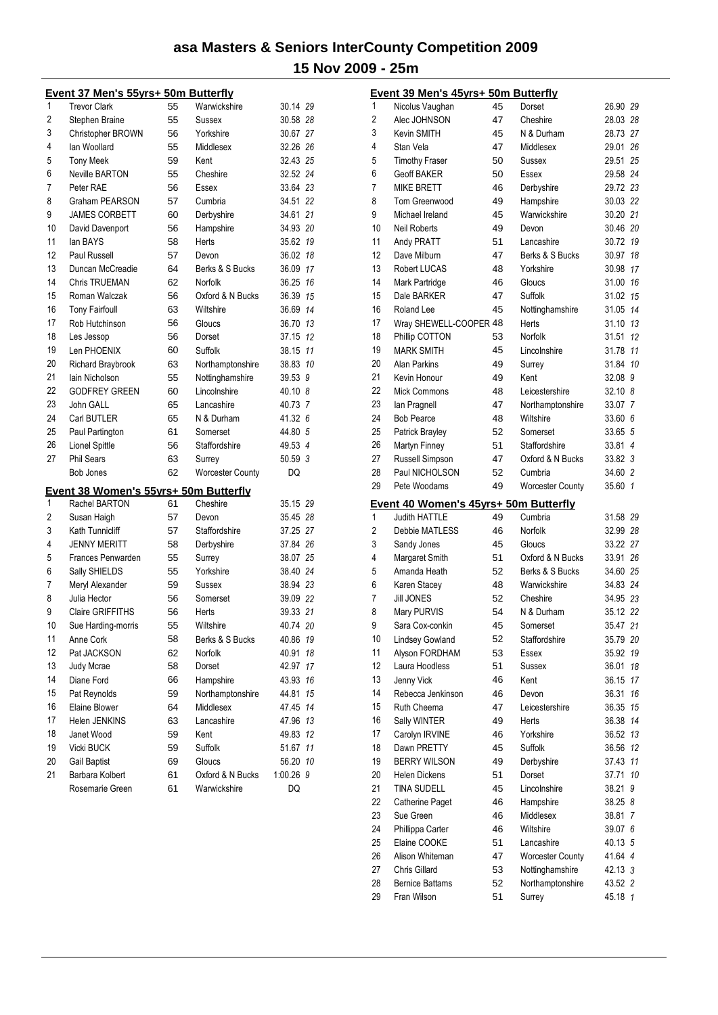|    | Event 37 Men's 55yrs+ 50m Butterfly                    |    |                         |           |     |
|----|--------------------------------------------------------|----|-------------------------|-----------|-----|
| 1  | <b>Trevor Clark</b>                                    | 55 | Warwickshire            | 30.14 29  |     |
| 2  | Stephen Braine                                         | 55 | Sussex                  | 30.58     | -28 |
| 3  | <b>Christopher BROWN</b>                               | 56 | Yorkshire               | 30.67 27  |     |
| 4  | lan Woollard                                           | 55 | Middlesex               | 32.26     | 26  |
| 5  | <b>Tony Meek</b>                                       | 59 | Kent                    | 32.43 25  |     |
| 6  | <b>Neville BARTON</b>                                  | 55 | Cheshire                | 32.52 24  |     |
| 7  | Peter RAE                                              | 56 | Essex                   | 33.64 23  |     |
| 8  | <b>Graham PEARSON</b>                                  | 57 | Cumbria                 | 34.51 22  |     |
| 9  | <b>JAMES CORBETT</b>                                   | 60 | Derbyshire              | 34.61 21  |     |
| 10 | David Davenport                                        | 56 | Hampshire               | 34.93 20  |     |
| 11 | lan BAYS                                               | 58 | Herts                   | 35.62     | 19  |
| 12 | Paul Russell                                           | 57 | Devon                   | 36.02     | 18  |
| 13 | Duncan McCreadie                                       | 64 | Berks & S Bucks         | 36.09     | 17  |
| 14 | <b>Chris TRUEMAN</b>                                   | 62 | Norfolk                 | 36.25     | 16  |
| 15 | Roman Walczak                                          | 56 | Oxford & N Bucks        | 36.39     | 15  |
| 16 | <b>Tony Fairfoull</b>                                  | 63 | Wiltshire               | 36.69     | 14  |
| 17 | Rob Hutchinson                                         | 56 | Gloucs                  | 36.70     | 13  |
| 18 | Les Jessop                                             | 56 | Dorset                  | 37.15     | 12  |
| 19 | Len PHOENIX                                            | 60 | Suffolk                 | 38.15     | 11  |
| 20 | <b>Richard Braybrook</b>                               | 63 | Northamptonshire        | 38.83     | 10  |
| 21 | lain Nicholson                                         | 55 | Nottinghamshire         | 39.53     | 9   |
| 22 | <b>GODEREY GREEN</b>                                   | 60 | Lincolnshire            | 40.10 8   |     |
| 23 | John GALL                                              | 65 | Lancashire              | 40.73 7   |     |
| 24 | Carl BUTLER                                            | 65 | N & Durham              | 41.32 6   |     |
| 25 | Paul Partington                                        | 61 | Somerset                | 44.80 5   |     |
| 26 | Lionel Spittle                                         | 56 | Staffordshire           | 49.53 4   |     |
| 27 | <b>Phil Sears</b>                                      | 63 | Surrey                  | 50.59 3   |     |
|    | <b>Bob Jones</b>                                       | 62 | <b>Worcester County</b> | DQ        |     |
|    |                                                        |    |                         |           |     |
| 1  | Event 38 Women's 55yrs+ 50m Butterfly<br>Rachel BARTON | 61 | Cheshire                | 35.15 29  |     |
| 2  | Susan Haigh                                            | 57 | Devon                   | 35.45     | -28 |
| 3  | Kath Tunnicliff                                        | 57 | Staffordshire           | 37.25     | 27  |
| 4  | <b>JENNY MERITT</b>                                    | 58 | Derbyshire              | 37.84     | 26  |
| 5  | Frances Penwarden                                      | 55 | Surrey                  | 38.07 25  |     |
| 6  | Sally SHIELDS                                          | 55 | Yorkshire               | 38.40 24  |     |
| 7  | Meryl Alexander                                        | 59 | Sussex                  | 38.94 23  |     |
| 8  | Julia Hector                                           | 56 | Somerset                | 39.09 22  |     |
| 9  | Claire GRIFFITHS                                       | 56 | Herts                   | 39.33 21  |     |
| 10 | Sue Harding-morris                                     | 55 | Wiltshire               | 40.74 20  |     |
| 11 | Anne Cork                                              | 58 | Berks & S Bucks         | 40.86     | 19  |
| 12 | Pat JACKSON                                            | 62 | Norfolk                 | 40.91     | 18  |
| 13 | Judy Mcrae                                             | 58 | Dorset                  | 42.97     | 17  |
| 14 | Diane Ford                                             | 66 | Hampshire               | 43.93     | 16  |
| 15 | Pat Reynolds                                           | 59 | Northamptonshire        | 44.81     | 15  |
| 16 | Elaine Blower                                          | 64 | Middlesex               | 47.45     | 14  |
| 17 | Helen JENKINS                                          | 63 | Lancashire              | 47.96     | 13  |
| 18 | Janet Wood                                             | 59 | Kent                    | 49.83     | 12  |
| 19 | Vicki BUCK                                             | 59 | Suffolk                 | 51.67     | 11  |
| 20 | <b>Gail Baptist</b>                                    | 69 | Gloucs                  | 56.20     | 10  |
| 21 | Barbara Kolbert                                        | 61 | Oxford & N Bucks        | 1:00.26 9 |     |
|    | Rosemarie Green                                        | 61 | Warwickshire            | DQ        |     |
|    |                                                        |    |                         |           |     |

|                | <b>Event 39 Men's 45yrs+ 50m Butterfly</b>                    |          |                                     |                      |    |
|----------------|---------------------------------------------------------------|----------|-------------------------------------|----------------------|----|
| 1              | Nicolus Vaughan                                               | 45       | Dorset                              | 26.90 29             |    |
| $\overline{2}$ | Alec JOHNSON                                                  | 47       | Cheshire                            | 28.03 28             |    |
| 3              | Kevin SMITH                                                   | 45       | N & Durham                          | 28.73 27             |    |
| 4              | Stan Vela                                                     | 47       | Middlesex                           | 29.01 26             |    |
| 5              | <b>Timothy Fraser</b>                                         | 50       | Sussex                              | 29.51                | 25 |
| 6              | <b>Geoff BAKER</b>                                            | 50       | Essex                               | 29.58 24             |    |
| 7              | <b>MIKE BRETT</b>                                             | 46       | Derbyshire                          | 29.72 23             |    |
| 8              | Tom Greenwood                                                 | 49       | Hampshire                           | 30.03 22             |    |
| 9              | Michael Ireland                                               | 45       | Warwickshire                        | 30.20 21             |    |
| 10             | <b>Neil Roberts</b>                                           | 49       | Devon                               | 30.46 20             |    |
| 11             | Andy PRATT                                                    | 51       | Lancashire                          | 30.72                | 19 |
| 12             | Dave Milburn                                                  | 47       | Berks & S Bucks                     | 30.97                | 18 |
| 13             | Robert LUCAS                                                  | 48       | Yorkshire                           | 30.98                | 17 |
| 14             | Mark Partridge                                                | 46       | Gloucs                              | 31.00                | 16 |
| 15             | Dale BARKER                                                   | 47       | Suffolk                             | 31.02                | 15 |
| 16             | Roland Lee                                                    | 45       | Nottinghamshire                     | 31.05 14             |    |
| 17             | Wray SHEWELL-COOPER 48                                        |          | Herts                               | 31.10 13             |    |
| 18             | Phillip COTTON                                                | 53       | Norfolk                             | 31.51                | 12 |
| 19             | <b>MARK SMITH</b>                                             | 45       | Lincolnshire                        | 31.78 11             |    |
| 20             | <b>Alan Parkins</b>                                           | 49       | Surrey                              | 31.84 10             |    |
| 21             | Kevin Honour                                                  | 49       | Kent                                | 32.08 9              |    |
| 22             | <b>Mick Commons</b>                                           | 48       | Leicestershire                      | 32.10 8              |    |
| 23             | lan Pragnell                                                  | 47       | Northamptonshire                    | 33.07 7              |    |
| 24             | <b>Bob Pearce</b>                                             | 48       | Wiltshire                           | 33.60 6              |    |
| 25             | Patrick Brayley                                               | 52       | Somerset                            | 33.65 5              |    |
| 26             | Martyn Finney                                                 | 51       | Staffordshire                       | 33.81 4              |    |
| 27             | Russell Simpson                                               | 47       | Oxford & N Bucks                    | 33.82 3              |    |
| 28             | Paul NICHOLSON                                                | 52       | Cumbria                             | 34.60 2              |    |
| 29             | Pete Woodams                                                  | 49       | Worcester County                    | 35.60 1              |    |
|                |                                                               |          |                                     |                      |    |
|                |                                                               |          |                                     |                      |    |
| 1              | Event 40 Women's 45yrs+ 50m Butterfly<br><b>Judith HATTLE</b> | 49       | Cumbria                             | 31.58 29             |    |
| 2              | Debbie MATLESS                                                | 46       | Norfolk                             | 32.99 28             |    |
|                |                                                               | 45       | Gloucs                              | 33.22 27             |    |
| 3<br>4         | Sandy Jones<br>Margaret Smith                                 | 51       | Oxford & N Bucks                    | 33.91 26             |    |
| 5              | Amanda Heath                                                  | 52       | Berks & S Bucks                     | 34.60 25             |    |
| 6              |                                                               | 48       | Warwickshire                        | 34.83 24             |    |
| 7              | Karen Stacey<br><b>Jill JONES</b>                             | 52       | Cheshire                            | 34.95 23             |    |
| 8              |                                                               | 54       | N & Durham                          | 35.12 22             |    |
| 9              | Mary PURVIS                                                   | 45       |                                     |                      |    |
| 10             | Sara Cox-conkin                                               |          | Somerset                            | 35.47 21<br>35.79 20 |    |
| 11             | <b>Lindsey Gowland</b>                                        | 52<br>53 | Staffordshire                       |                      |    |
| 12             | Alyson FORDHAM<br>Laura Hoodless                              | 51       | Essex<br><b>Sussex</b>              | 35.92<br>36.01       | 19 |
| 13             | Jenny Vick                                                    | 46       | Kent                                | 36.15                | 18 |
| 14             |                                                               | 46       |                                     |                      | 17 |
|                | Rebecca Jenkinson                                             |          | Devon                               | 36.31                | 16 |
| 15             | Ruth Cheema                                                   | 47       | Leicestershire                      | 36.35                | 15 |
| 16             | Sally WINTER                                                  | 49       | Herts                               | 36.38                | 14 |
| 17             | Carolyn IRVINE                                                | 46       | Yorkshire                           | 36.52                | 13 |
| 18             | Dawn PRETTY                                                   | 45       | Suffolk                             | 36.56                | 12 |
| 19             | <b>BERRY WILSON</b><br><b>Helen Dickens</b>                   | 49       | Derbyshire                          | 37.43                | 11 |
| 20             |                                                               | 51       | Dorset                              | 37.71                | 10 |
| 21             | <b>TINA SUDELL</b>                                            | 45       | Lincolnshire                        | 38.21                | 9  |
| 22             | Catherine Paget<br>Sue Green                                  | 46<br>46 | Hampshire<br>Middlesex              | 38.25 8<br>38.81     | 7  |
| 23             |                                                               | 46       |                                     |                      |    |
| 24             | Phillippa Carter                                              |          | Wiltshire                           | 39.07 6              |    |
| 25             | Elaine COOKE                                                  | 51       | Lancashire                          | 40.13 5              |    |
| 26             | Alison Whiteman                                               | 47       | <b>Worcester County</b>             | 41.64 4              |    |
| 27<br>28       | Chris Gillard<br><b>Bernice Battams</b>                       | 53<br>52 | Nottinghamshire<br>Northamptonshire | 42.13 3<br>43.52 2   |    |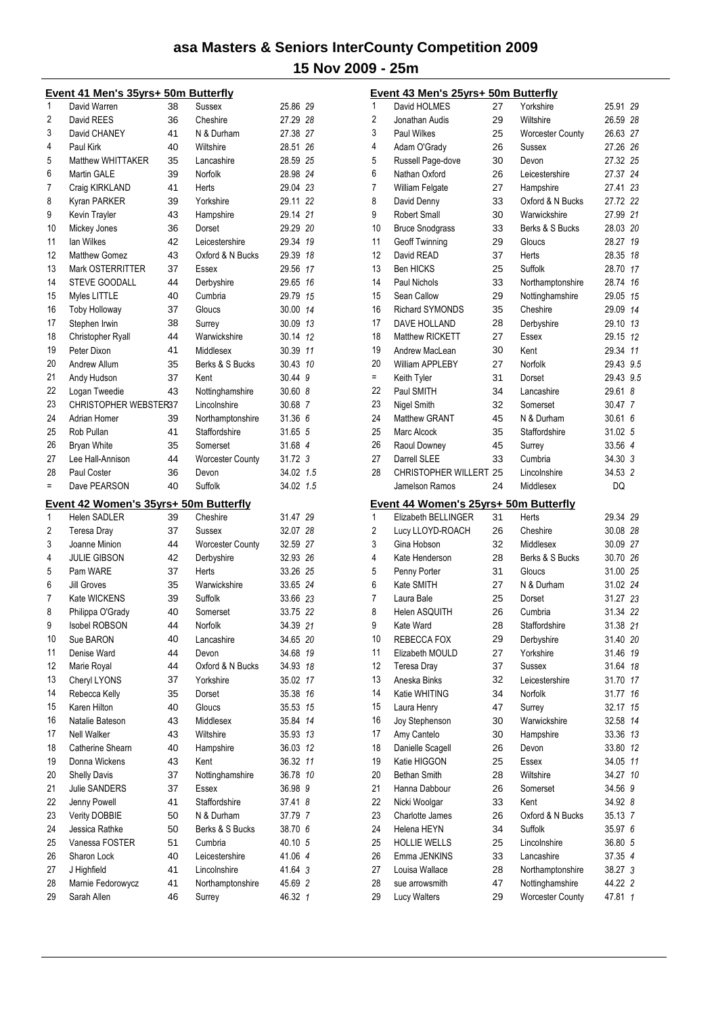|                | <u> Event 41 Men's 35yrs+ 50m Butterfly</u> |    |                         |           |     |
|----------------|---------------------------------------------|----|-------------------------|-----------|-----|
| 1              | David Warren                                | 38 | Sussex                  | 25.86 29  |     |
| 2              | David REES                                  | 36 | Cheshire                | 27.29 28  |     |
| 3              | David CHANEY                                | 41 | N & Durham              | 27.38 27  |     |
| 4              | Paul Kirk                                   | 40 | Wiltshire               | 28.51     | 26  |
| 5              | Matthew WHITTAKER                           | 35 | Lancashire              | 28.59 25  |     |
| 6              | <b>Martin GALE</b>                          | 39 | Norfolk                 | 28.98 24  |     |
| 7              | Craig KIRKLAND                              | 41 | Herts                   | 29.04 23  |     |
| 8              | Kyran PARKER                                | 39 | Yorkshire               | 29.11 22  |     |
| 9              | Kevin Trayler                               | 43 | Hampshire               | 29.14 21  |     |
| 10             | Mickey Jones                                | 36 | Dorset                  | 29.29 20  |     |
| 11             | lan Wilkes                                  | 42 | Leicestershire          | 29.34     | 19  |
| 12             | <b>Matthew Gomez</b>                        | 43 | Oxford & N Bucks        | 29.39     | 18  |
| 13             | Mark OSTERRITTER                            | 37 | Essex                   | 29.56     | 17  |
| 14             | <b>STEVE GOODALL</b>                        | 44 | Derbyshire              | 29.65     | 16  |
| 15             | Myles LITTLE                                | 40 | Cumbria                 | 29.79     | 15  |
| 16             | <b>Toby Holloway</b>                        | 37 | Gloucs                  | 30.00     | 14  |
| 17             | Stephen Irwin                               | 38 | Surrey                  | 30.09 13  |     |
| 18             | Christopher Ryall                           | 44 | Warwickshire            | 30.14     | 12  |
| 19             | Peter Dixon                                 | 41 | Middlesex               | 30.39     | 11  |
| 20             | Andrew Allum                                | 35 | Berks & S Bucks         | 30.43     | 10  |
| 21             | Andy Hudson                                 | 37 | Kent                    | 30.44 9   |     |
| 22             | Logan Tweedie                               | 43 | Nottinghamshire         | 30.60 8   |     |
| 23             | <b>CHRISTOPHER WEBSTER37</b>                |    | Lincolnshire            | 30.68 7   |     |
| 24             | Adrian Homer                                | 39 | Northamptonshire        | 31.36 6   |     |
| 25             | Rob Pullan                                  | 41 | Staffordshire           | 31.65 5   |     |
| 26             | <b>Bryan White</b>                          | 35 | Somerset                | 31.68 4   |     |
| 27             | Lee Hall-Annison                            | 44 | Worcester County        | 31.72 3   |     |
| 28             | Paul Coster                                 | 36 | Devon                   | 34.02 1.5 |     |
| $=$            | Dave PEARSON                                | 40 | Suffolk                 | 34.02     | 1.5 |
|                | Event 42 Women's 35yrs+ 50m Butterfly       |    |                         |           |     |
| 1              | <b>Helen SADLER</b>                         | 39 | Cheshire                | 31.47 29  |     |
| $\overline{2}$ | Teresa Dray                                 | 37 | Sussex                  | 32.07     | 28  |
| 3              | Joanne Minion                               | 44 | <b>Worcester County</b> | 32.59     | 27  |
| 4              | <b>JULIE GIBSON</b>                         | 42 | Derbyshire              | 32.93 26  |     |
| 5              | Pam WARE                                    | 37 | Herts                   | 33.26 25  |     |
| 6              | Jill Groves                                 | 35 | Warwickshire            | 33.65 24  |     |
| 7              | Kate WICKENS                                | 39 | Suffolk                 | 33.66 23  |     |
| 8              | Philippa O'Grady                            | 40 | Somerset                | 33.75 22  |     |
| 9              | <b>Isobel ROBSON</b>                        | 44 | Norfolk                 | 34.39     | 21  |
|                |                                             |    |                         |           |     |
| 10<br>11       | Sue BARON                                   | 40 | Lancashire              | 34.65 20  |     |
|                | Denise Ward                                 | 44 | Devon                   | 34.68     | 19  |
| 12             | Marie Royal                                 | 44 | Oxford & N Bucks        | 34.93     | 18  |
| 13             | Cheryl LYONS                                | 37 | Yorkshire               | 35.02     | 17  |
| 14             | Rebecca Kelly                               | 35 | Dorset                  | 35.38     | 16  |
| 15             | Karen Hilton                                | 40 | Gloucs                  | 35.53     | 15  |
| 16             | Natalie Bateson                             | 43 | Middlesex               | 35.84     | 14  |
| 17             | Nell Walker                                 | 43 | Wiltshire               | 35.93     | 13  |
| 18             | Catherine Shearn                            | 40 | Hampshire               | 36.03     | 12  |
| 19             | Donna Wickens                               | 43 | Kent                    | 36.32     | 11  |
| 20             | <b>Shelly Davis</b>                         | 37 | Nottinghamshire         | 36.78 10  |     |
| 21             | Julie SANDERS                               | 37 | Essex                   | 36.98 9   |     |
| 22             | Jenny Powell                                | 41 | Staffordshire           | 37.41 8   |     |
| 23             | Verity DOBBIE                               | 50 | N & Durham              | 37.79 7   |     |
| 24             | Jessica Rathke                              | 50 | Berks & S Bucks         | 38.70 6   |     |
| 25             | Vanessa FOSTER                              | 51 | Cumbria                 | 40.10 5   |     |
| 26             | Sharon Lock                                 | 40 | Leicestershire          | 41.06 4   |     |
| 27             | J Highfield                                 | 41 | Lincolnshire            | 41.64 3   |     |
|                |                                             |    |                         |           |     |
| 28             | Marnie Fedorowycz                           | 41 | Northamptonshire        | 45.69 2   |     |

|                | Event 43 Men's 25yrs+ 50m Butterfly          |    |                         |           |                |
|----------------|----------------------------------------------|----|-------------------------|-----------|----------------|
| 1              | David HOLMES                                 | 27 | Yorkshire               | 25.91     | 29             |
| 2              | Jonathan Audis                               | 29 | Wiltshire               | 26.59 28  |                |
| 3              | <b>Paul Wilkes</b>                           | 25 | <b>Worcester County</b> | 26.63 27  |                |
| 4              | Adam O'Grady                                 | 26 | Sussex                  | 27.26 26  |                |
| 5              | Russell Page-dove                            | 30 | Devon                   | 27.32 25  |                |
| 6              | Nathan Oxford                                | 26 | Leicestershire          | 27.37 24  |                |
| 7              | William Felgate                              | 27 | Hampshire               | 27.41     | 23             |
| 8              | David Denny                                  | 33 | Oxford & N Bucks        | 27.72 22  |                |
| 9              | <b>Robert Small</b>                          | 30 | Warwickshire            | 27.99 21  |                |
| 10             | <b>Bruce Snodgrass</b>                       | 33 | Berks & S Bucks         | 28.03 20  |                |
| 11             | <b>Geoff Twinning</b>                        | 29 | Gloucs                  | 28.27     | 19             |
| 12             | David READ                                   | 37 | Herts                   | 28.35     | 18             |
| 13             | <b>Ben HICKS</b>                             | 25 | Suffolk                 | 28.70     | 17             |
| 14             | Paul Nichols                                 | 33 | Northamptonshire        | 28.74     | 16             |
| 15             | Sean Callow                                  | 29 | Nottinghamshire         | 29.05     | 15             |
| 16             | <b>Richard SYMONDS</b>                       | 35 | Cheshire                | 29.09     | 14             |
| 17             | DAVE HOLLAND                                 | 28 | Derbyshire              | 29.10     | 13             |
| 18             | Matthew RICKETT                              | 27 | Essex                   | 29.15     | 12             |
| 19             | Andrew MacLean                               | 30 | Kent                    | 29.34 11  |                |
| 20             | William APPLEBY                              | 27 | Norfolk                 | 29.43 9.5 |                |
| $=$            | Keith Tyler                                  | 31 | Dorset                  | 29.43 9.5 |                |
| 22             | Paul SMITH                                   | 34 | Lancashire              | 29.61 8   |                |
| 23             | Nigel Smith                                  | 32 | Somerset                | 30.47     | $\overline{7}$ |
| 24             | <b>Matthew GRANT</b>                         | 45 | N & Durham              | 30.61     | 6              |
| 25             | Marc Alcock                                  | 35 | Staffordshire           | 31.02 5   |                |
| 26             | Raoul Downey                                 | 45 | Surrey                  | 33.56 4   |                |
| 27             | Darrell SLEE                                 | 33 | Cumbria                 | 34.30 3   |                |
| 28             | CHRISTOPHER WILLERT 25                       |    | Lincolnshire            | 34.53 2   |                |
|                | Jamelson Ramos                               | 24 | Middlesex               | DQ        |                |
|                | <b>Event 44 Women's 25yrs+ 50m Butterfly</b> |    |                         |           |                |
| 1              | Elizabeth BELLINGER                          | 31 | Herts                   | 29.34 29  |                |
| $\overline{c}$ | Lucy LLOYD-ROACH                             | 26 | Cheshire                | 30.08 28  |                |
| 3              | Gina Hobson                                  | 32 | Middlesex               | 30.09 27  |                |
| 4              | Kate Henderson                               | 28 | Berks & S Bucks         | 30.70 26  |                |
| 5              | Penny Porter                                 | 31 | Gloucs                  | 31.00 25  |                |
| 6              | Kate SMITH                                   | 27 | N & Durham              | 31.02 24  |                |
| 7              | Laura Bale                                   | 25 | Dorset                  | 31.27 23  |                |
| 8              | <b>Helen ASQUITH</b>                         | 26 | Cumbria                 | 31.34 22  |                |
| 9              | Kate Ward                                    | 28 | Staffordshire           | 31.38     | 21             |
| 10             | REBECCA FOX                                  | 29 | Derbyshire              | 31.40     | 20             |
| 11             | Elizabeth MOULD                              | 27 | Yorkshire               | 31.46     | 19             |
| 12             | Teresa Dray                                  | 37 | Sussex                  | 31.64     | 18             |
| 13             | Aneska Binks                                 | 32 | Leicestershire          | 31.70     | 17             |
| 14             | Katie WHITING                                | 34 | Norfolk                 | 31.77     | 16             |
| 15             | Laura Henry                                  | 47 | Surrey                  | 32.17     | 15             |
| 16             | Joy Stephenson                               | 30 | Warwickshire            | 32.58     | 14             |
| 17             | Amy Cantelo                                  | 30 | Hampshire               | 33.36     | 13             |
| 18             | Danielle Scagell                             | 26 | Devon                   | 33.80     | 12             |
| 19             | Katie HIGGON                                 | 25 | Essex                   | 34.05     | 11             |
| 20             | <b>Bethan Smith</b>                          | 28 | Wiltshire               | 34.27     | 10             |
| 21             | Hanna Dabbour                                | 26 | Somerset                | 34.56     | 9              |
| 22             | Nicki Woolgar                                | 33 | Kent                    | 34.92 8   |                |
| 23             | Charlotte James                              | 26 | Oxford & N Bucks        | 35.13 7   |                |
| 24             | Helena HEYN                                  | 34 | Suffolk                 | 35.97 6   |                |
| 25             | <b>HOLLIE WELLS</b>                          | 25 | Lincolnshire            | 36.80 5   |                |
| 26             | Emma JENKINS                                 | 33 | Lancashire              | 37.35 4   |                |
| 27             | Louisa Wallace                               | 28 | Northamptonshire        | 38.27 3   |                |
| 28             | sue arrowsmith                               | 47 | Nottinghamshire         | 44.22 2   |                |
|                |                                              |    |                         |           |                |
| 29             | Lucy Walters                                 | 29 | <b>Worcester County</b> | 47.81 1   |                |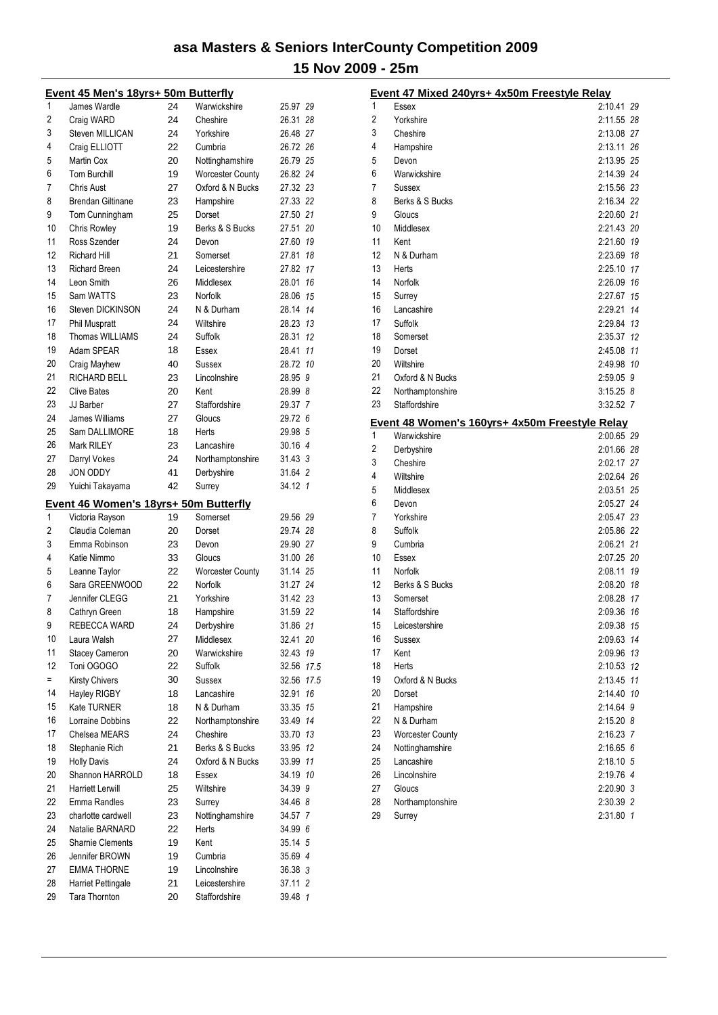|          | Event 45 Men's 18yrs+ 50m Butterfly          |    |                                 |                    |      |
|----------|----------------------------------------------|----|---------------------------------|--------------------|------|
| 1        | James Wardle                                 | 24 | Warwickshire                    | 25.97 29           |      |
| 2        | Craig WARD                                   | 24 | Cheshire                        | 26.31 28           |      |
| 3        | Steven MILLICAN                              | 24 | Yorkshire                       | 26.48 27           |      |
| 4        | Craig ELLIOTT                                | 22 | Cumbria                         | 26.72 26           |      |
| 5        | Martin Cox                                   | 20 | Nottinghamshire                 | 26.79 25           |      |
| 6        | <b>Tom Burchill</b>                          | 19 | <b>Worcester County</b>         | 26.82 24           |      |
| 7        | <b>Chris Aust</b>                            | 27 | Oxford & N Bucks                | 27.32 23           |      |
| 8        | <b>Brendan Giltinane</b>                     | 23 | Hampshire                       | 27.33 22           |      |
| 9        | Tom Cunningham                               | 25 | Dorset                          | 27.50 21           |      |
| 10       | Chris Rowley                                 | 19 | Berks & S Bucks                 | 27.51 20           |      |
| 11       | Ross Szender                                 | 24 | Devon                           | 27.60 19           |      |
| 12       | <b>Richard Hill</b>                          | 21 | Somerset                        | 27.81              | 18   |
| 13       | <b>Richard Breen</b>                         | 24 | Leicestershire                  | 27.82 17           |      |
| 14       | Leon Smith                                   | 26 | Middlesex                       | 28.01 16           |      |
| 15       | Sam WATTS                                    | 23 | Norfolk                         | 28.06              | 15   |
| 16       | Steven DICKINSON                             | 24 | N & Durham                      | 28.14              | 14   |
| 17       | <b>Phil Muspratt</b>                         | 24 | Wiltshire                       | 28.23 13           |      |
| 18       | Thomas WILLIAMS                              | 24 | Suffolk                         | 28.31              | 12   |
| 19       | Adam SPEAR                                   | 18 | Essex                           | 28.41              | 11   |
| 20       | Craig Mayhew                                 | 40 | Sussex                          | 28.72 10           |      |
| 21       | <b>RICHARD BELL</b>                          | 23 | Lincolnshire                    | 28.95 9            |      |
| 22       | <b>Clive Bates</b>                           | 20 | Kent                            | 28.99 8            |      |
| 23       | JJ Barber                                    | 27 | Staffordshire                   | 29.37 7            |      |
| 24       | James Williams                               | 27 | Gloucs                          | 29.72 6            |      |
| 25       | Sam DALLIMORE                                | 18 | <b>Herts</b>                    | 29.98 5            |      |
| 26       | Mark RILEY                                   | 23 | Lancashire                      | 30.16 4            |      |
| 27       | Darryl Vokes                                 | 24 | Northamptonshire                | 31.43 3            |      |
| 28       | <b>JON ODDY</b>                              | 41 | Derbyshire                      | 31.64 2            |      |
| 29       |                                              |    |                                 |                    |      |
|          |                                              |    |                                 |                    |      |
|          | Yuichi Takayama                              | 42 | Surrey                          | 34.12 1            |      |
|          | <u>Event 46 Women's 18yrs+ 50m Butterfly</u> |    |                                 |                    |      |
| 1        | Victoria Rayson                              | 19 | Somerset                        | 29.56 29           |      |
| 2        | Claudia Coleman                              | 20 | Dorset                          | 29.74 28           |      |
| 3        | Emma Robinson                                | 23 | Devon                           | 29.90 27           |      |
| 4        | Katie Nimmo                                  | 33 | Gloucs                          | 31.00 26           |      |
| 5        | Leanne Taylor                                | 22 | <b>Worcester County</b>         | 31.14 25           |      |
| 6        | Sara GREENWOOD                               | 22 | Norfolk                         | 31.27 24           |      |
| 7        | Jennifer CLEGG                               | 21 | Yorkshire                       | 31.42 23           |      |
| 8        | Cathryn Green                                | 18 | Hampshire                       | 31.59 22           |      |
| 9        | REBECCA WARD                                 | 24 | Derbyshire                      | 31.86 21           |      |
| 10       | Laura Walsh                                  | 27 | Middlesex                       | 32.41 20           |      |
| 11       | <b>Stacey Cameron</b>                        | 20 | Warwickshire                    | 32.43 19           |      |
| 12       | Toni OGOGO                                   | 22 | Suffolk                         | 32.56 17.5         |      |
| $=$      | <b>Kirsty Chivers</b>                        | 30 | Sussex                          | 32.56              | 17.5 |
| 14       | Hayley RIGBY                                 | 18 | Lancashire                      | 32.91              | 16   |
| 15       | Kate TURNER                                  | 18 | N & Durham                      | 33.35              | 15   |
| 16       | Lorraine Dobbins                             | 22 | Northamptonshire                | 33.49              | 14   |
| 17       | Chelsea MEARS                                | 24 | Cheshire                        | 33.70 13           |      |
| 18       | Stephanie Rich                               | 21 | Berks & S Bucks                 | 33.95              | 12   |
| 19       | <b>Holly Davis</b>                           | 24 | Oxford & N Bucks                | 33.99              | 11   |
| 20       | Shannon HARROLD                              | 18 | Essex                           | 34.19 10           |      |
| 21       | <b>Harriett Lerwill</b>                      | 25 | Wiltshire                       | 34.39 9            |      |
| 22       | Emma Randles                                 | 23 | Surrey                          | 34.46 8            |      |
| 23       | charlotte cardwell                           | 23 | Nottinghamshire                 | 34.57 7            |      |
| 24       | Natalie BARNARD                              | 22 | Herts                           | 34.99 6            |      |
| 25       | <b>Sharnie Clements</b>                      | 19 | Kent                            | 35.14 5            |      |
| 26       | Jennifer BROWN                               | 19 | Cumbria                         | 35.69 4            |      |
| 27       | <b>EMMA THORNE</b>                           | 19 | Lincolnshire                    | 36.38 3            |      |
| 28<br>29 | Harriet Pettingale<br>Tara Thornton          | 21 | Leicestershire<br>Staffordshire | 37.11 2<br>39.48 1 |      |

|    | Event 47 Mixed 240yrs+ 4x50m Freestyle Relay   |             |    |
|----|------------------------------------------------|-------------|----|
| 1  | Essex                                          | 2:10.41 29  |    |
| 2  | Yorkshire                                      | 2:11.55 28  |    |
| 3  | Cheshire                                       | 2:13.08 27  |    |
| 4  | Hampshire                                      | 2:13.11 26  |    |
| 5  | Devon                                          | 2:13.95 25  |    |
| 6  | Warwickshire                                   | 2:14.39 24  |    |
| 7  | <b>Sussex</b>                                  | 2:15.56 23  |    |
| 8  | Berks & S Bucks                                | 2:16.34 22  |    |
| 9  | Gloucs                                         | 2:20.60 21  |    |
| 10 | Middlesex                                      | 2:21.43 20  |    |
| 11 | Kent                                           | 2:21.60 19  |    |
| 12 | N & Durham                                     | 2:23.69 18  |    |
| 13 | Herts                                          | 2:25.10 17  |    |
| 14 | Norfolk                                        | 2:26.09 16  |    |
| 15 | Surrey                                         | 2:27.67 15  |    |
| 16 | Lancashire                                     | 2:29.21 14  |    |
| 17 | Suffolk                                        | 2:29.84 13  |    |
| 18 | Somerset                                       | 2:35.37 12  |    |
| 19 | Dorset                                         | 2:45.08 11  |    |
| 20 | Wiltshire                                      | 2:49.98 10  |    |
| 21 | Oxford & N Bucks                               | 2:59.05 9   |    |
| 22 | Northamptonshire                               | $3:15.25$ 8 |    |
| 23 | Staffordshire                                  | 3:32.52 7   |    |
|    | Event 48 Women's 160yrs+ 4x50m Freestyle Relay |             |    |
| 1  | Warwickshire                                   | 2:00.65 29  |    |
| 2  | Derbyshire                                     | 2:01.66 28  |    |
| 3  | Cheshire                                       | 2:02.17 27  |    |
| 4  | Wiltshire                                      | 2:02.64 26  |    |
| 5  | Middlesex                                      | 2:03.51 25  |    |
| 6  | Devon                                          | 2:05.27 24  |    |
| 7  | Yorkshire                                      | 2:05.47 23  |    |
| 8  | Suffolk                                        | 2:05.86 22  |    |
| 9  | Cumbria                                        | 2:06.21 21  |    |
| 10 | Essex                                          | 2:07.25 20  |    |
| 11 | Norfolk                                        | 2:08.11 19  |    |
| 12 | Berks & S Bucks                                | 2:08.20 18  |    |
| 13 | Somerset                                       | 2:08.28 17  |    |
| 14 | Staffordshire                                  | 2:09.36 16  |    |
| 15 | Leicestershire                                 | 2:09.38 15  |    |
| 16 | Sussex                                         | 2:09.63 14  |    |
| 17 | Kent                                           | 2:09.96     | 13 |
| 18 | Herts                                          | 2:10.53 12  |    |
| 19 | Oxford & N Bucks                               | 2:13.45 11  |    |
| 20 | Dorset                                         | 2:14.40 10  |    |
| 21 | Hampshire                                      | 2:14.64 9   |    |
| 22 | N & Durham                                     | 2:15.20 8   |    |
| 23 | <b>Worcester County</b>                        | 2:16.23 7   |    |
| 24 | Nottinghamshire                                | 2:16.656    |    |
| 25 | Lancashire                                     | $2:18.10$ 5 |    |
| 26 | Lincolnshire                                   | 2:19.76 4   |    |
| 27 | Gloucs                                         | 2:20.90 3   |    |
| 28 | Northamptonshire                               | 2:30.39 2   |    |
| 29 | Surrey                                         | 2:31.80 1   |    |
|    |                                                |             |    |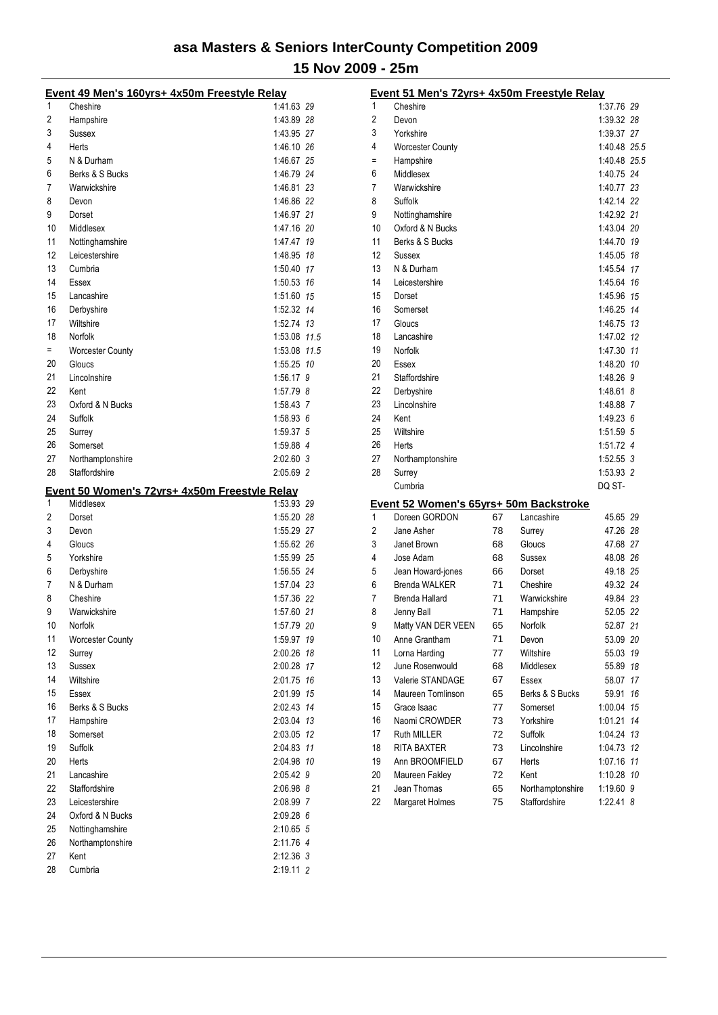|          | Event 49 Men's 160yrs+ 4x50m Freestyle Relay  |                        |  |
|----------|-----------------------------------------------|------------------------|--|
| 1        | Cheshire                                      | 1:41.63 29             |  |
| 2        | Hampshire                                     | 1:43.89 28             |  |
| 3        | Sussex                                        | 1:43.95 27             |  |
| 4        | Herts                                         | 1:46.10 26             |  |
| 5        | N & Durham                                    | 1:46.67 25             |  |
| 6        | Berks & S Bucks                               | 1:46.79 24             |  |
| 7        | Warwickshire                                  | 1:46.81 23             |  |
| 8        | Devon                                         | 1:46.86 22             |  |
| 9        | Dorset                                        | 1:46.97 21             |  |
| 10       | Middlesex                                     | 1:47.16 20             |  |
| 11       | Nottinghamshire                               | 1:47.47 19             |  |
| 12       | Leicestershire                                | 1:48.95 18             |  |
| 13       | Cumbria                                       | 1:50.40 17             |  |
| 14       | Essex                                         | 1:50.53 16             |  |
| 15       | Lancashire                                    | 1:51.60 15             |  |
| 16       | Derbyshire                                    | 1:52.32 14             |  |
| 17       | Wiltshire                                     | 1:52.74 13             |  |
| 18       | Norfolk                                       | 1:53.08 11.5           |  |
| $=$      | <b>Worcester County</b>                       | 1:53.08 11.5           |  |
| 20       | Gloucs                                        | 1:55.25 10             |  |
| 21       | Lincolnshire                                  | 1:56.17 9              |  |
| 22       | Kent                                          | 1:57.79 8              |  |
| 23       | Oxford & N Bucks                              | 1:58.43 7              |  |
| 24       | Suffolk                                       | 1:58.936               |  |
| 25       | Surrey                                        | 1:59.37 5              |  |
| 26       | Somerset                                      | 1:59.88 4              |  |
| 27       | Northamptonshire                              | 2:02.60 3              |  |
| 28       | Staffordshire                                 | 2:05.69 2              |  |
|          |                                               |                        |  |
|          | Event 50 Women's 72yrs+ 4x50m Freestyle Relay |                        |  |
| 1        | Middlesex                                     | 1:53.93 29             |  |
| 2        | Dorset                                        | 1:55.20 28             |  |
| 3        | Devon                                         | 1:55.29 27             |  |
| 4        | Gloucs                                        | 1:55.62 26             |  |
| 5        | Yorkshire                                     | 1:55.99 25             |  |
| 6        | Derbyshire                                    | 1:56.55 24             |  |
| 7        | N & Durham                                    | 1:57.04 23             |  |
| 8        | Cheshire                                      | 1:57.36 22             |  |
| 9        | Warwickshire                                  | 1:57.60 21             |  |
| 10       | Norfolk                                       | 1:57.79 20             |  |
| 11       | <b>Worcester County</b>                       | 1:59.97 19             |  |
| 12       | Surrey                                        | 2:00.26 18             |  |
| 13       | Sussex                                        | 2:00.28 17             |  |
| 14       | Wiltshire                                     | 2:01.75 16             |  |
| 15       | Essex                                         | 2:01.99 15             |  |
| 16       | Berks & S Bucks                               | 2.02.43 14             |  |
| 17       | Hampshire                                     | 2:03.04 13             |  |
| 18       | Somerset                                      | 2:03.05 12             |  |
| 19       | Suffolk                                       | 2:04.83 11             |  |
| 20       | Herts                                         | 2:04.98 10             |  |
| 21       | Lancashire                                    | 2:05.42 9              |  |
| 22       | Staffordshire                                 | 2:06.98 8              |  |
| 23       | Leicestershire                                | 2:08.99 7              |  |
| 24       | Oxford & N Bucks                              | 2:09.28 6              |  |
| 25       | Nottinghamshire                               | 2:10.65 5              |  |
| 26<br>27 | Northamptonshire<br>Kent                      | 2:11.76 4<br>2:12.36 3 |  |

|          | Event 51 Men's 72yrs+ 4x50m Freestyle Relay |    |                                   |                          |    |
|----------|---------------------------------------------|----|-----------------------------------|--------------------------|----|
| 1        | Cheshire                                    |    |                                   | 1:37.76 29               |    |
| 2        | Devon                                       |    |                                   | 1:39.32 28               |    |
| 3        | Yorkshire                                   |    |                                   | 1:39.37 27               |    |
| 4        | <b>Worcester County</b>                     |    |                                   | 1:40.48 25.5             |    |
| $=$      | Hampshire                                   |    |                                   | 1:40.48 25.5             |    |
| 6        | Middlesex                                   |    |                                   | 1:40.75 24               |    |
| 7        | Warwickshire                                |    |                                   | 1:40.77 23               |    |
| 8        | Suffolk                                     |    |                                   | 1:42.14 22               |    |
| 9        | Nottinghamshire                             |    |                                   | 1:42.92 21               |    |
| 10       | Oxford & N Bucks                            |    |                                   | 1:43.04 20               |    |
| 11       | Berks & S Bucks                             |    |                                   | 1:44.70 19               |    |
| 12       | Sussex                                      |    |                                   | 1:45.05 18               |    |
| 13       | N & Durham                                  |    |                                   | 1:45.54 17               |    |
| 14       | Leicestershire                              |    |                                   | 1:45.64 16               |    |
| 15       | Dorset                                      |    |                                   | 1:45.96 15               |    |
| 16       | Somerset                                    |    |                                   | 1:46.25 14               |    |
| 17       | Gloucs                                      |    |                                   | 1:46.75 13               |    |
| 18       | Lancashire                                  |    |                                   | 1:47.02 12               |    |
| 19       | Norfolk                                     |    |                                   | 1:47.30 11               |    |
| 20       | Essex                                       |    |                                   | 1:48.20 10               |    |
| 21       | Staffordshire                               |    |                                   | 1:48.26 9                |    |
| 22       | Derbyshire                                  |    |                                   | 1:48.61 8                |    |
| 23       | Lincolnshire                                |    |                                   | 1:48.88 7                |    |
| 24       | Kent                                        |    |                                   | 1:49.236                 |    |
| 25       | Wiltshire                                   |    |                                   | 1:51.59 5                |    |
| 26       | Herts                                       |    |                                   | 1:51.72 4                |    |
| 27       | Northamptonshire                            |    |                                   | $1:52.55$ 3              |    |
| 28       | Surrey                                      |    |                                   | 1:53.93 2                |    |
|          | Cumbria                                     |    |                                   | DQ ST-                   |    |
|          | Event 52 Women's 65yrs+ 50m Backstroke      |    |                                   |                          |    |
| 1        | Doreen GORDON                               | 67 | Lancashire                        | 45.65 29                 |    |
| 2        | Jane Asher                                  | 78 | Surrey                            | 47.26 28                 |    |
| 3        | Janet Brown                                 | 68 | Gloucs                            | 47.68 27                 |    |
| 4        | Jose Adam                                   | 68 | Sussex                            | 48.08 26                 |    |
| 5        | Jean Howard-jones                           | 66 | Dorset                            | 49.18 25                 |    |
| 6        | <b>Brenda WALKER</b>                        | 71 | Cheshire                          | 49.32 24                 |    |
| 7        | <b>Brenda Hallard</b>                       | 71 | Warwickshire                      | 49.84 23                 |    |
| 8        | Jenny Ball                                  | 71 | Hampshire                         | 52.05 22                 |    |
| 9        | Matty VAN DER VEEN                          | 65 | Norfolk                           | 52.87 21                 |    |
| 10       | Anne Grantham                               | 71 | Devon                             | 53.09 20                 |    |
| 11       | Lorna Harding                               | 77 | Wiltshire                         | 55.03                    | 19 |
| 12       | June Rosenwould                             | 68 | Middlesex                         | 55.89 18                 |    |
| 13       | Valerie STANDAGE                            | 67 | Essex                             | 58.07                    | 17 |
| 14       | Maureen Tomlinson                           | 65 | Berks & S Bucks                   | 59.91                    | 16 |
| 15       | Grace Isaac                                 | 77 | Somerset                          | 1:00.04                  | 15 |
| 16       | Naomi CROWDER                               | 73 | Yorkshire                         | 1:01.21                  | 14 |
| 17       | Ruth MILLER                                 | 72 | Suffolk                           | 1:04.24                  | 13 |
|          |                                             |    |                                   |                          |    |
| 18<br>19 | RITA BAXTER<br>Ann BROOMFIELD               | 73 | Lincolnshire                      | 1:04.73                  | 12 |
| 20       | Maureen Fakley                              | 67 | Herts<br>Kent                     | 1:07.16 11<br>1:10.28 10 |    |
| 21       |                                             | 72 |                                   |                          |    |
| 22       | Jean Thomas                                 | 65 | Northamptonshire<br>Staffordshire | 1:19.60 9                |    |
|          | Margaret Holmes                             | 75 |                                   | 1:22.41 8                |    |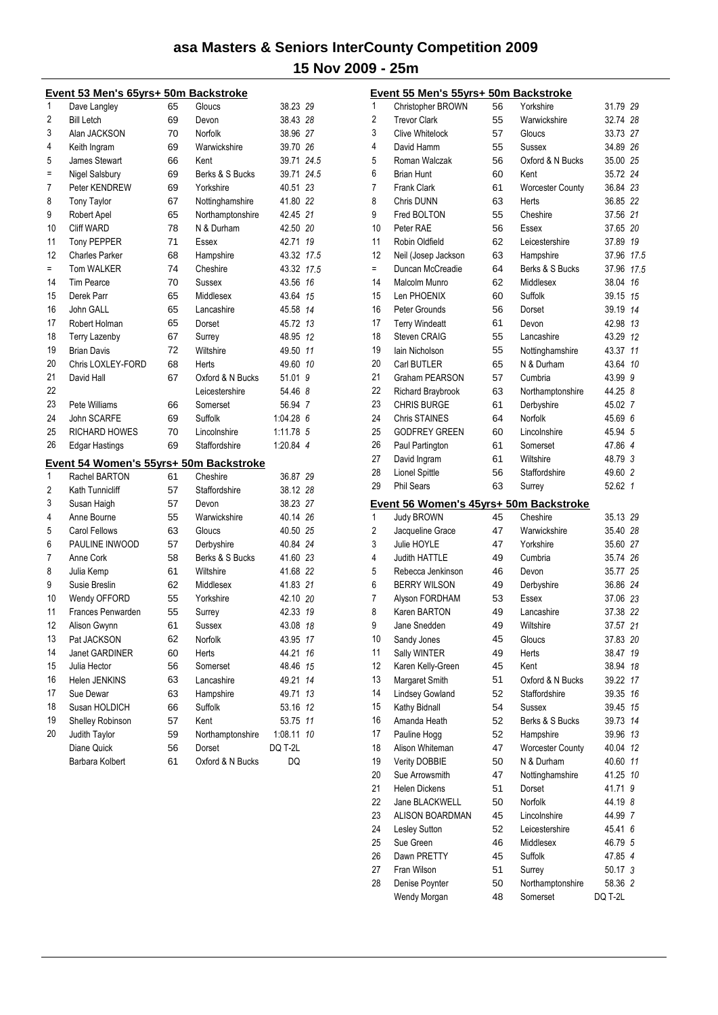|                | Event 53 Men's 65yrs+ 50m Backstroke   |    |                  |             |     |
|----------------|----------------------------------------|----|------------------|-------------|-----|
| 1              | Dave Langley                           | 65 | Gloucs           | 38.23 29    |     |
| $\overline{2}$ | <b>Bill Letch</b>                      | 69 | Devon            | 38.43 28    |     |
| 3              | Alan JACKSON                           | 70 | Norfolk          | 38.96 27    |     |
| 4              | Keith Ingram                           | 69 | Warwickshire     | 39.70 26    |     |
| 5              | James Stewart                          | 66 | Kent             | 39.71 24.5  |     |
| $=$            | Nigel Salsbury                         | 69 | Berks & S Bucks  | 39.71 24.5  |     |
| 7              | Peter KENDREW                          | 69 | Yorkshire        | 40.51       | -23 |
| 8              | <b>Tony Taylor</b>                     | 67 | Nottinghamshire  | 41.80 22    |     |
| 9              | Robert Apel                            | 65 | Northamptonshire | 42.45 21    |     |
| 10             | Cliff WARD                             | 78 | N & Durham       | 42.50 20    |     |
| 11             | <b>Tony PEPPER</b>                     | 71 | Essex            | 42.71 19    |     |
| 12             | <b>Charles Parker</b>                  | 68 | Hampshire        | 43.32 17.5  |     |
| $=$            | <b>Tom WALKER</b>                      | 74 | Cheshire         | 43.32 17.5  |     |
| 14             | <b>Tim Pearce</b>                      | 70 | Sussex           | 43.56       | 16  |
| 15             | Derek Parr                             | 65 | Middlesex        | 43.64 15    |     |
| 16             | John GALL                              | 65 | Lancashire       | 45.58 14    |     |
| 17             | Robert Holman                          | 65 | Dorset           | 45.72 13    |     |
| 18             | <b>Terry Lazenby</b>                   | 67 | Surrey           | 48.95 12    |     |
| 19             | <b>Brian Davis</b>                     | 72 | Wiltshire        | 49.50       | 11  |
| 20             | Chris LOXLEY-FORD                      | 68 | Herts            | 49.60 10    |     |
| 21             | David Hall                             | 67 | Oxford & N Bucks | 51.01 9     |     |
| 22             |                                        |    | Leicestershire   | 54.46 8     |     |
| 23             | Pete Williams                          | 66 | Somerset         | 56.94 7     |     |
| 24             | John SCARFE                            | 69 | Suffolk          | $1.04.28$ 6 |     |
| 25             | <b>RICHARD HOWES</b>                   | 70 | Lincolnshire     | 1:11.78 5   |     |
| 26             | <b>Edgar Hastings</b>                  | 69 | Staffordshire    | 1:20.84 4   |     |
|                | Event 54 Women's 55yrs+ 50m Backstroke |    |                  |             |     |
| 1              | Rachel BARTON                          | 61 | Cheshire         | 36.87 29    |     |
| $\overline{2}$ | Kath Tunnicliff                        | 57 | Staffordshire    | 38.12 28    |     |
| 3              | Susan Haigh                            | 57 | Devon            | 38.23 27    |     |
| 4              | Anne Bourne                            | 55 | Warwickshire     | 40.14 26    |     |
| 5              | <b>Carol Fellows</b>                   | 63 | Gloucs           | 40.50 25    |     |
| 6              | PAULINE INWOOD                         | 57 | Derbyshire       | 40.84 24    |     |
| 7              | Anne Cork                              | 58 | Berks & S Bucks  | 41.60 23    |     |
| 8              | Julia Kemp                             | 61 | Wiltshire        | 41.68 22    |     |
| 9              | Susie Breslin                          | 62 | Middlesex        | 41.83 21    |     |
| 10             | Wendy OFFORD                           | 55 | Yorkshire        | 42.10 20    |     |
| 11             | Frances Penwarden                      | 55 | Surrey           | 42.33 19    |     |
| 12             | Alison Gwynn                           | 61 | Sussex           | 43.08       | 18  |
| 13             | Pat JACKSON                            | 62 | Norfolk          | 43.95       | 17  |
| 14             | Janet GARDINER                         | 60 | Herts            | 44.21       | 16  |
| 15             | Julia Hector                           | 56 | Somerset         | 48.46       | 15  |
| 16             | Helen JENKINS                          | 63 | Lancashire       | 49.21       | 14  |
| 17             | Sue Dewar                              | 63 | Hampshire        | 49.71       | 13  |
| 18             | Susan HOLDICH                          | 66 | Suffolk          | 53.16       | 12  |
| 19             | Shelley Robinson                       | 57 | Kent             | 53.75       | 11  |
| 20             | Judith Taylor                          | 59 | Northamptonshire | 1:08.11 10  |     |
|                | Diane Quick                            | 56 | Dorset           | DQ T-2L     |     |
|                | Barbara Kolbert                        | 61 | Oxford & N Bucks | DQ          |     |
|                |                                        |    |                  |             |     |

|    | Event 55 Men's 55yrs+ 50m Backstroke   |    |                         |            |              |
|----|----------------------------------------|----|-------------------------|------------|--------------|
| 1  | Christopher BROWN                      | 56 | Yorkshire               | 31.79 29   |              |
| 2  | <b>Trevor Clark</b>                    | 55 | Warwickshire            | 32.74 28   |              |
| 3  | Clive Whitelock                        | 57 | Gloucs                  | 33.73 27   |              |
| 4  | David Hamm                             | 55 | Sussex                  | 34.89 26   |              |
| 5  | Roman Walczak                          | 56 | Oxford & N Bucks        | 35.00 25   |              |
| 6  | <b>Brian Hunt</b>                      | 60 | Kent                    | 35.72 24   |              |
| 7  | <b>Frank Clark</b>                     | 61 | <b>Worcester County</b> | 36.84 23   |              |
| 8  | <b>Chris DUNN</b>                      | 63 | Herts                   | 36.85 22   |              |
| 9  | Fred BOLTON                            | 55 | Cheshire                | 37.56 21   |              |
| 10 | Peter RAE                              | 56 | Essex                   | 37.65 20   |              |
| 11 | Robin Oldfield                         | 62 | Leicestershire          | 37.89 19   |              |
| 12 | Neil (Josep Jackson                    | 63 | Hampshire               | 37.96 17.5 |              |
| Ξ  | Duncan McCreadie                       | 64 | Berks & S Bucks         | 37.96 17.5 |              |
| 14 | Malcolm Munro                          | 62 | Middlesex               | 38.04 16   |              |
| 15 | Len PHOENIX                            | 60 | Suffolk                 | 39.15 15   |              |
| 16 | Peter Grounds                          | 56 | Dorset                  | 39.19 14   |              |
| 17 | <b>Terry Windeatt</b>                  | 61 | Devon                   | 42.98 13   |              |
| 18 | Steven CRAIG                           | 55 | Lancashire              | 43.29 12   |              |
| 19 | lain Nicholson                         | 55 | Nottinghamshire         | 43.37 11   |              |
| 20 | Carl BUTLER                            | 65 | N & Durham              | 43.64 10   |              |
| 21 | <b>Graham PEARSON</b>                  | 57 | Cumbria                 | 43.99 9    |              |
| 22 | Richard Braybrook                      | 63 | Northamptonshire        | 44.25 8    |              |
| 23 | <b>CHRIS BURGE</b>                     | 61 | Derbyshire              | 45.02 7    |              |
| 24 | Chris STAINES                          | 64 | Norfolk                 | 45.69 6    |              |
| 25 | <b>GODFREY GREEN</b>                   | 60 | Lincolnshire            | 45.94 5    |              |
| 26 | Paul Partington                        | 61 | Somerset                | 47.86 4    |              |
| 27 | David Ingram                           | 61 | Wiltshire               | 48.793     |              |
| 28 | <b>Lionel Spittle</b>                  | 56 | Staffordshire           | 49.60 2    |              |
| 29 | <b>Phil Sears</b>                      | 63 | Surrey                  | 52.62      | $\mathbf{1}$ |
|    | Event 56 Women's 45yrs+ 50m Backstroke |    |                         |            |              |
| 1  | <b>Judy BROWN</b>                      | 45 | Cheshire                | 35.13 29   |              |
| 2  | Jacqueline Grace                       | 47 | Warwickshire            | 35.40 28   |              |
| 3  | Julie HOYLE                            | 47 | Yorkshire               | 35.60 27   |              |
| 4  | <b>Judith HATTLE</b>                   | 49 | Cumbria                 | 35.74 26   |              |
| 5  | Rebecca Jenkinson                      | 46 | Devon                   | 35.77 25   |              |
| 6  | <b>BERRY WILSON</b>                    | 49 | Derbyshire              | 36.86 24   |              |
| 7  | Alyson FORDHAM                         | 53 | Essex                   | 37.06 23   |              |
| 8  | Karen BARTON                           | 49 | Lancashire              | 37.38 22   |              |
| 9  | Jane Snedden                           | 49 | Wiltshire               | 37.57 21   |              |
| 10 | Sandy Jones                            | 45 | Gloucs                  | 37.83 20   |              |
| 11 | Sally WINTER                           | 49 | Herts                   | 38.47      | 19           |
| 12 | Karen Kelly-Green                      | 45 | Kent                    | 38.94      | 18           |
| 13 | Margaret Smith                         | 51 | Oxford & N Bucks        | 39.22 17   |              |
| 14 | <b>Lindsey Gowland</b>                 | 52 | Staffordshire           | 39.35      | 16           |
| 15 | Kathy Bidnall                          | 54 | Sussex                  | 39.45      | 15           |
| 16 | Amanda Heath                           | 52 | Berks & S Bucks         | 39.73 14   |              |
| 17 | Pauline Hogg                           | 52 | Hampshire               | 39.96 13   |              |
| 18 | Alison Whiteman                        | 47 | <b>Worcester County</b> | 40.04 12   |              |
| 19 | <b>Verity DOBBIE</b>                   | 50 | N & Durham              | 40.60 11   |              |
| 20 | Sue Arrowsmith                         | 47 | Nottinghamshire         | 41.25      | 10           |
| 21 | <b>Helen Dickens</b>                   | 51 | Dorset                  | 41.71 9    |              |
| 22 | Jane BLACKWELL                         | 50 | Norfolk                 | 44.19 8    |              |
| 23 | ALISON BOARDMAN                        | 45 | Lincolnshire            | 44.99 7    |              |
| 24 | Lesley Sutton                          | 52 | Leicestershire          | 45.41 6    |              |
| 25 | Sue Green                              | 46 | Middlesex               | 46.79 5    |              |
| 26 | Dawn PRETTY                            | 45 | Suffolk                 | 47.85 4    |              |
| 27 | Fran Wilson                            | 51 | Surrey                  | 50.17 3    |              |
| 28 | Denise Poynter                         | 50 | Northamptonshire        | 58.36 2    |              |
|    | Wendy Morgan                           | 48 | Somerset                | DQ T-2L    |              |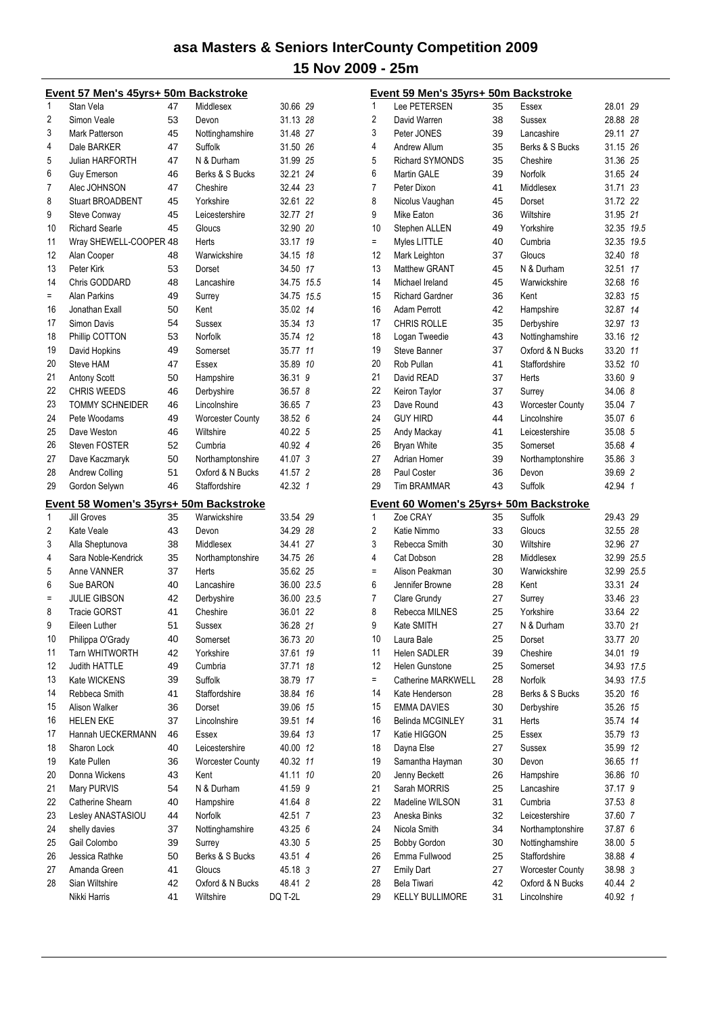|     | <u> Event 57 Men's 45yrs+ 50m Backstroke</u>  |    |                         |            |    |
|-----|-----------------------------------------------|----|-------------------------|------------|----|
| 1   | Stan Vela                                     | 47 | Middlesex               | 30.66 29   |    |
| 2   | Simon Veale                                   | 53 | Devon                   | 31.13 28   |    |
| 3   | Mark Patterson                                | 45 | Nottinghamshire         | 31.48 27   |    |
| 4   | Dale BARKER                                   | 47 | Suffolk                 | 31.50 26   |    |
| 5   | Julian HARFORTH                               | 47 | N & Durham              | 31.99 25   |    |
| 6   | <b>Guy Emerson</b>                            | 46 | Berks & S Bucks         | 32.21 24   |    |
| 7   | Alec JOHNSON                                  | 47 | Cheshire                | 32.44 23   |    |
| 8   | <b>Stuart BROADBENT</b>                       | 45 | Yorkshire               | 32.61 22   |    |
| 9   | Steve Conway                                  | 45 | Leicestershire          | 32.77 21   |    |
| 10  | <b>Richard Searle</b>                         | 45 | Gloucs                  | 32.90 20   |    |
| 11  | Wray SHEWELL-COOPER 48                        |    | Herts                   | 33.17 19   |    |
| 12  | Alan Cooper                                   | 48 | Warwickshire            | 34.15 18   |    |
| 13  | Peter Kirk                                    | 53 | Dorset                  | 34.50 17   |    |
| 14  | Chris GODDARD                                 | 48 | Lancashire              | 34.75 15.5 |    |
| $=$ | <b>Alan Parkins</b>                           | 49 | Surrey                  | 34.75 15.5 |    |
| 16  | Jonathan Exall                                | 50 | Kent                    | 35.02      | 14 |
| 17  | <b>Simon Davis</b>                            | 54 | Sussex                  | 35.34 13   |    |
| 18  | Phillip COTTON                                | 53 | Norfolk                 | 35.74 12   |    |
| 19  | David Hopkins                                 | 49 | Somerset                | 35.77      | 11 |
| 20  | Steve HAM                                     | 47 | Essex                   | 35.89      | 10 |
| 21  | <b>Antony Scott</b>                           | 50 | Hampshire               | 36.31      | 9  |
| 22  | <b>CHRIS WEEDS</b>                            | 46 | Derbyshire              | 36.57 8    |    |
| 23  | <b>TOMMY SCHNEIDER</b>                        | 46 | Lincolnshire            | 36.65 7    |    |
| 24  | Pete Woodams                                  | 49 |                         |            |    |
|     | Dave Weston                                   |    | <b>Worcester County</b> | 38.52 6    |    |
| 25  |                                               | 46 | Wiltshire               | 40.22 5    |    |
| 26  | <b>Steven FOSTER</b>                          | 52 | Cumbria                 | 40.92 4    |    |
| 27  | Dave Kaczmaryk                                | 50 | Northamptonshire        | 41.07 3    |    |
| 28  | <b>Andrew Colling</b>                         | 51 | Oxford & N Bucks        | 41.57 2    |    |
| 29  | Gordon Selywn                                 | 46 | Staffordshire           | 42.32 1    |    |
|     | <u>Event 58 Women's 35yrs+ 50m Backstroke</u> |    |                         |            |    |
| 1   | <b>Jill Groves</b>                            | 35 | Warwickshire            | 33.54 29   |    |
| 2   | Kate Veale                                    | 43 | Devon                   | 34.29 28   |    |
| 3   | Alla Sheptunova                               | 38 | Middlesex               | 34.41 27   |    |
| 4   | Sara Noble-Kendrick                           | 35 | Northamptonshire        | 34.75 26   |    |
| 5   | Anne VANNER                                   | 37 | Herts                   | 35.62 25   |    |
| 6   | Sue BARON                                     | 40 | Lancashire              | 36.00 23.5 |    |
| Ξ   | JULIE GIBSON                                  | 42 | Derbyshire              | 36.00 23.5 |    |
| 8   | <b>Tracie GORST</b>                           | 41 | Cheshire                | 36.01 22   |    |
| 9   | Eileen Luther                                 | 51 | Sussex                  | 36.28      | 21 |
| 10  | Philippa O'Grady                              | 40 | Somerset                | 36.73 20   |    |
| 11  | Tarn WHITWORTH                                | 42 | Yorkshire               | 37.61      | 19 |
| 12  | Judith HATTLE                                 | 49 | Cumbria                 | 37.71      | 18 |
| 13  | Kate WICKENS                                  | 39 | <b>Suffolk</b>          | 38.79 17   |    |
| 14  | Rebbeca Smith                                 | 41 | Staffordshire           | 38.84 16   |    |
| 15  | Alison Walker                                 | 36 | Dorset                  | 39.06 15   |    |
| 16  | HELEN EKE                                     | 37 | Lincolnshire            | 39.51      | 14 |
| 17  | Hannah UECKERMANN                             | 46 | Essex                   | 39.64 13   |    |
| 18  | Sharon Lock                                   | 40 | Leicestershire          | 40.00 12   |    |
| 19  | Kate Pullen                                   | 36 | <b>Worcester County</b> | 40.32 11   |    |
| 20  | Donna Wickens                                 | 43 | Kent                    | 41.11 10   |    |
| 21  | Mary PURVIS                                   | 54 | N & Durham              | 41.59 9    |    |
| 22  | Catherine Shearn                              | 40 | Hampshire               | 41.64 8    |    |
| 23  | Lesley ANASTASIOU                             | 44 | Norfolk                 | 42.51 7    |    |
| 24  | shelly davies                                 | 37 | Nottinghamshire         | 43.25 6    |    |
| 25  | Gail Colombo                                  | 39 | Surrey                  | 43.30 5    |    |
| 26  | Jessica Rathke                                | 50 | Berks & S Bucks         | 43.51 4    |    |
| 27  | Amanda Green                                  | 41 | Gloucs                  | 45.18 3    |    |
| 28  | Sian Wiltshire                                | 42 | Oxford & N Bucks        | 48.41 2    |    |
|     | Nikki Harris                                  | 41 | Wiltshire               | DQ T-2L    |    |
|     |                                               |    |                         |            |    |

|                | Event 59 Men's 35yrs+ 50m Backstroke   |    |                         |            |              |
|----------------|----------------------------------------|----|-------------------------|------------|--------------|
| 1              | Lee PETERSEN                           | 35 | Essex                   | 28.01 29   |              |
| $\overline{2}$ | David Warren                           | 38 | Sussex                  | 28.88 28   |              |
| 3              | Peter JONES                            | 39 | Lancashire              | 29.11 27   |              |
| 4              | Andrew Allum                           | 35 | Berks & S Bucks         | 31.15 26   |              |
| 5              | <b>Richard SYMONDS</b>                 | 35 | Cheshire                | 31.36 25   |              |
| 6              | <b>Martin GALE</b>                     | 39 | Norfolk                 | 31.65 24   |              |
| 7              | Peter Dixon                            | 41 | Middlesex               | 31.71 23   |              |
| 8              | Nicolus Vaughan                        | 45 | Dorset                  | 31.72 22   |              |
| 9              | Mike Eaton                             | 36 | Wiltshire               | 31.95 21   |              |
| 10             | Stephen ALLEN                          | 49 | Yorkshire               | 32.35 19.5 |              |
| $=$            | Myles LITTLE                           | 40 | Cumbria                 | 32.35      | 19.5         |
| 12             | Mark Leighton                          | 37 | Gloucs                  | 32.40      | 18           |
| 13             | <b>Matthew GRANT</b>                   | 45 | N & Durham              | 32.51      | 17           |
| 14             | Michael Ireland                        | 45 | Warwickshire            | 32.68      | 16           |
| 15             | <b>Richard Gardner</b>                 | 36 | Kent                    | 32.83      | 15           |
| 16             | <b>Adam Perrott</b>                    | 42 | Hampshire               | 32.87      | 14           |
| 17             | <b>CHRIS ROLLE</b>                     | 35 | Derbyshire              | 32.97      | 13           |
| 18             | Logan Tweedie                          | 43 | Nottinghamshire         | 33.16      | 12           |
| 19             | <b>Steve Banner</b>                    | 37 | Oxford & N Bucks        | 33.20 11   |              |
| 20             | Rob Pullan                             | 41 | Staffordshire           | 33.52      | 10           |
| 21             | David READ                             | 37 | Herts                   | 33.60      | 9            |
| 22             | Keiron Taylor                          | 37 | Surrey                  | 34.06 8    |              |
| 23             | Dave Round                             | 43 | <b>Worcester County</b> | 35.04 7    |              |
| 24             | <b>GUY HIRD</b>                        | 44 | Lincolnshire            | 35.07      | 6            |
| 25             | Andy Mackay                            | 41 | Leicestershire          | 35.08      | 5            |
| 26             | <b>Bryan White</b>                     | 35 | Somerset                | 35.68 4    |              |
| 27             | Adrian Homer                           | 39 | Northamptonshire        | 35.86 3    |              |
| 28             | Paul Coster                            | 36 | Devon                   | 39.69 2    |              |
| 29             | <b>Tim BRAMMAR</b>                     | 43 | Suffolk                 | 42.94      | $\mathbf{1}$ |
|                | Event 60 Women's 25yrs+ 50m Backstroke |    |                         |            |              |
| 1              | Zoe CRAY                               | 35 | <b>Suffolk</b>          | 29.43 29   |              |
| 2              | Katie Nimmo                            | 33 | Gloucs                  | 32.55 28   |              |
| 3              | Rebecca Smith                          | 30 | Wiltshire               | 32.96 27   |              |
| 4              | Cat Dobson                             | 28 | Middlesex               | 32.99 25.5 |              |
| $=$            | Alison Peakman                         | 30 | Warwickshire            | 32.99 25.5 |              |
| 6              | Jennifer Browne                        | 28 | Kent                    | 33.31 24   |              |
| 7              | Clare Grundy                           | 27 | Surrey                  | 33.46 23   |              |
| 8              | Rebecca MILNES                         | 25 | Yorkshire               | 33.64 22   |              |
| 9              | Kate SMITH                             | 27 | N & Durham              | 33.70 21   |              |
| 10             | Laura Bale                             | 25 | Dorset                  | 33.77 20   |              |
| 11             | <b>Helen SADLER</b>                    | 39 | Cheshire                | 34.01      | 19           |
| 12             | Helen Gunstone                         | 25 | Somerset                | 34.93      | 17.5         |
| $=$            | Catherine MARKWELL                     | 28 | Norfolk                 | 34.93      | 17.5         |
| 14             | Kate Henderson                         | 28 | Berks & S Bucks         | 35.20      | 16           |
| 15             | <b>EMMA DAVIES</b>                     | 30 | Derbyshire              | 35.26      | 15           |
| 16             | Belinda MCGINLEY                       | 31 | Herts                   | 35.74      | 14           |
| 17             | Katie HIGGON                           | 25 | Essex                   | 35.79      | 13           |
| 18             | Dayna Else                             | 27 | Sussex                  | 35.99      | 12           |
| 19             | Samantha Hayman                        | 30 | Devon                   | 36.65      | 11           |
| 20             | Jenny Beckett                          | 26 | Hampshire               | 36.86      | 10           |
| 21             | Sarah MORRIS                           | 25 | Lancashire              | 37.17 9    |              |
| 22             | Madeline WILSON                        | 31 | Cumbria                 | 37.53 8    |              |
| 23             | Aneska Binks                           | 32 | Leicestershire          | 37.60 7    |              |
| 24             | Nicola Smith                           | 34 | Northamptonshire        | 37.87      | 6            |
| 25             |                                        |    |                         |            |              |
|                | <b>Bobby Gordon</b>                    | 30 | Nottinghamshire         | 38.00 5    |              |
| 26             | Emma Fullwood                          | 25 | Staffordshire           | 38.88 4    |              |
| 27             | <b>Emily Dart</b>                      | 27 | <b>Worcester County</b> | 38.98 3    |              |
| 28             | Bela Tiwari                            | 42 | Oxford & N Bucks        | 40.44 2    |              |
| 29             | <b>KELLY BULLIMORE</b>                 | 31 | Lincolnshire            | 40.92 1    |              |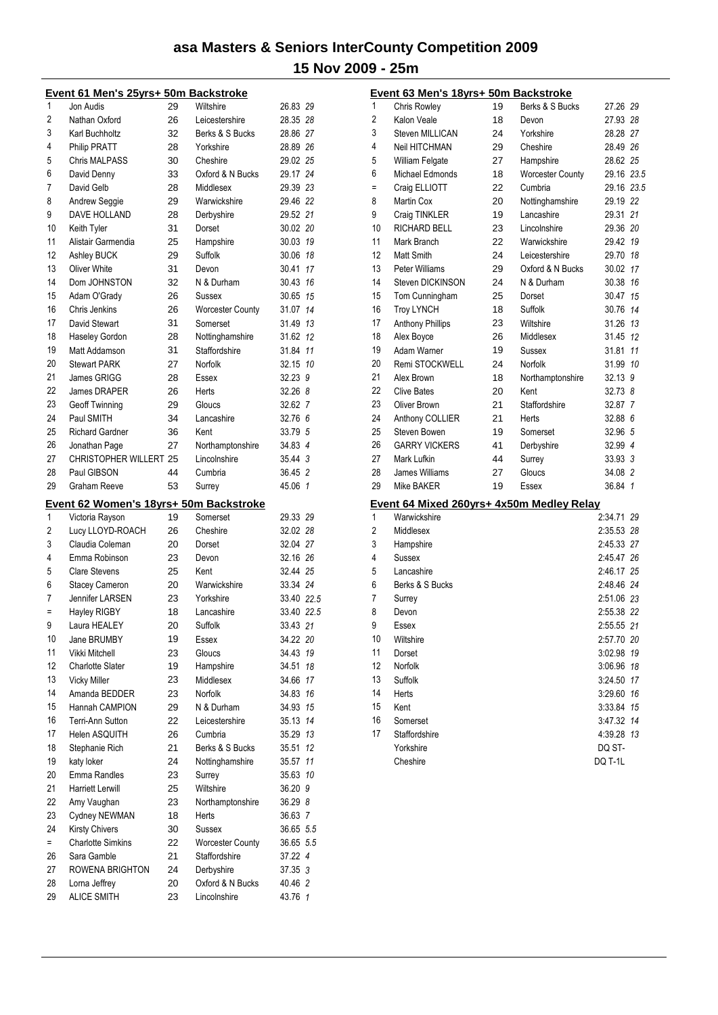|                | Event 61 Men's 25yrs+ 50m Backstroke            |    |                         |                      |     |
|----------------|-------------------------------------------------|----|-------------------------|----------------------|-----|
| 1              | Jon Audis                                       | 29 | Wiltshire               | 26.83 29             |     |
| $\overline{c}$ | Nathan Oxford                                   | 26 | Leicestershire          | 28.35 28             |     |
| 3              | Karl Buchholtz                                  | 32 | Berks & S Bucks         | 28.86 27             |     |
| 4              | <b>Philip PRATT</b>                             | 28 | Yorkshire               | 28.89 26             |     |
| 5              | <b>Chris MALPASS</b>                            | 30 | Cheshire                | 29.02 25             |     |
| 6              | David Denny                                     | 33 | Oxford & N Bucks        | 29.17 24             |     |
| 7              | David Gelb                                      | 28 | Middlesex               | 29.39 23             |     |
| 8              | Andrew Seggie                                   | 29 | Warwickshire            | 29.46 22             |     |
| 9              | DAVE HOLLAND                                    | 28 | Derbyshire              | 29.52 21             |     |
| 10             | Keith Tyler                                     | 31 | Dorset                  | 30.02 20             |     |
| 11             | Alistair Garmendia                              | 25 | Hampshire               | 30.03 19             |     |
| 12             | Ashley BUCK                                     | 29 | Suffolk                 | 30.06 18             |     |
| 13             | <b>Oliver White</b>                             | 31 | Devon                   | 30.41                | 17  |
| 14             | Dom JOHNSTON                                    | 32 | N & Durham              | 30.43                | 16  |
| 15             | Adam O'Grady                                    | 26 | Sussex                  | 30.65 15             |     |
| 16             | Chris Jenkins                                   | 26 | <b>Worcester County</b> | 31.07                | 14  |
| 17             | David Stewart                                   | 31 | Somerset                | 31.49 13             |     |
| 18             | Haseley Gordon                                  | 28 | Nottinghamshire         | 31.62 12             |     |
| 19             | Matt Addamson                                   | 31 | Staffordshire           | 31.84                | 11  |
| 20             | <b>Stewart PARK</b>                             | 27 | Norfolk                 | 32.15                | -10 |
| 21             | <b>James GRIGG</b>                              | 28 | Essex                   | 32.23 9              |     |
| 22             | James DRAPER                                    | 26 | Herts                   | 32.26 8              |     |
| 23             | <b>Geoff Twinning</b>                           | 29 | Gloucs                  | 32.62 7              |     |
| 24             | Paul SMITH                                      | 34 | Lancashire              | 32.76 6              |     |
| 25             | <b>Richard Gardner</b>                          | 36 | Kent                    | 33.79 5              |     |
| 26             | Jonathan Page                                   | 27 | Northamptonshire        | 34.83 4              |     |
| 27             | <b>CHRISTOPHER WILLERT 25</b>                   |    | Lincolnshire            | 35.44 3              |     |
| 28             | Paul GIBSON                                     | 44 | Cumbria                 | 36.45 2              |     |
| 29             | Graham Reeve                                    | 53 | Surrey                  | 45.06 1              |     |
|                |                                                 |    |                         |                      |     |
| 1              | Event 62 Women's 18yrs+ 50m Backstroke          | 19 | Somerset                | 29.33 29             |     |
|                | Victoria Rayson                                 |    |                         |                      |     |
| 2<br>3         | Lucy LLOYD-ROACH<br>Claudia Coleman             | 26 | Cheshire                | 32.02 28             |     |
|                | Emma Robinson                                   | 20 | Dorset                  | 32.04 27             |     |
| 4              |                                                 | 23 | Devon                   | 32.16 26<br>32.44 25 |     |
| 5              | <b>Clare Stevens</b>                            | 25 | Kent                    |                      |     |
| 6              | <b>Stacey Cameron</b><br><b>Jennifer LARSEN</b> | 20 | Warwickshire            | 33.34 24             |     |
| 7              |                                                 | 23 | Yorkshire               | 33.40 22.5           |     |
| $=$            | <b>Hayley RIGBY</b>                             | 18 | Lancashire              | 33.40 22.5           |     |
| 9              | Laura HEALEY                                    | 20 | Suffolk                 | 33.43 21             |     |
| 10             | Jane BRUMBY                                     | 19 | Essex                   | 34.22 20             |     |
| 11             | Vikki Mitchell                                  | 23 | Gloucs                  | 34.43                | 19  |
| 12             | <b>Charlotte Slater</b>                         | 19 | Hampshire               | 34.51                | 18  |
| 13             | <b>Vicky Miller</b>                             | 23 | Middlesex               | 34.66                | 17  |
| 14             | Amanda BEDDER                                   | 23 | Norfolk                 | 34.83                | 16  |
| 15             | Hannah CAMPION                                  | 29 | N & Durham              | 34.93                | 15  |
| 16             | Terri-Ann Sutton                                | 22 | Leicestershire          | 35.13                | 14  |
| 17             | <b>Helen ASQUITH</b>                            | 26 | Cumbria                 | 35.29                | 13  |
| 18             | Stephanie Rich                                  | 21 | Berks & S Bucks         | 35.51                | 12  |
| 19             | katy loker                                      | 24 | Nottinghamshire         | 35.57                | 11  |
| 20             | Emma Randles                                    | 23 | Surrey                  | 35.63                | 10  |
| 21             | <b>Harriett Lerwill</b>                         | 25 | Wiltshire               | 36.20 9              |     |
| 22             | Amy Vaughan                                     | 23 | Northamptonshire        | 36.29 8              |     |
| 23             | Cydney NEWMAN                                   | 18 | Herts                   | 36.63 7              |     |
| 24             | <b>Kirsty Chivers</b>                           | 30 | Sussex                  | 36.65 5.5            |     |
| $=$            | <b>Charlotte Simkins</b>                        | 22 | <b>Worcester County</b> | 36.65 5.5            |     |
| 26             | Sara Gamble                                     | 21 | Staffordshire           | 37.22 4              |     |
| 27             | ROWENA BRIGHTON                                 | 24 | Derbyshire              | 37.35 3              |     |
| 28             | Lorna Jeffrey                                   | 20 | Oxford & N Bucks        | 40.46 2              |     |
| 29             | <b>ALICE SMITH</b>                              | 23 | Lincolnshire            | 43.76 1              |     |

|     | Event 63 Men's 18yrs+ 50m Backstroke      |    |                  |            |    |
|-----|-------------------------------------------|----|------------------|------------|----|
| 1   | Chris Rowley                              | 19 | Berks & S Bucks  | 27.26 29   |    |
| 2   | Kalon Veale                               | 18 | Devon            | 27.93 28   |    |
| 3   | <b>Steven MILLICAN</b>                    | 24 | Yorkshire        | 28.28 27   |    |
| 4   | Neil HITCHMAN                             | 29 | Cheshire         | 28.49 26   |    |
| 5   | <b>William Felgate</b>                    | 27 | Hampshire        | 28.62 25   |    |
| 6   | Michael Edmonds                           | 18 | Worcester County | 29.16 23.5 |    |
| $=$ | Craig ELLIOTT                             | 22 | Cumbria          | 29.16 23.5 |    |
| 8   | Martin Cox                                | 20 | Nottinghamshire  | 29.19 22   |    |
| 9   | Craig TINKLER                             | 19 | Lancashire       | 29.31 21   |    |
| 10  | <b>RICHARD BELL</b>                       | 23 | Lincolnshire     | 29.36 20   |    |
| 11  | Mark Branch                               | 22 | Warwickshire     | 29.42 19   |    |
| 12  | Matt Smith                                | 24 | Leicestershire   | 29.70 18   |    |
| 13  | Peter Williams                            | 29 | Oxford & N Bucks | 30.02 17   |    |
| 14  | Steven DICKINSON                          | 24 | N & Durham       | 30.38 16   |    |
| 15  | Tom Cunningham                            | 25 | Dorset           | 30.47 15   |    |
| 16  | <b>Troy LYNCH</b>                         | 18 | Suffolk          | 30.76 14   |    |
| 17  | <b>Anthony Phillips</b>                   | 23 | Wiltshire        | 31.26 13   |    |
| 18  | Alex Boyce                                | 26 | Middlesex        | 31.45 12   |    |
| 19  | Adam Warner                               | 19 | Sussex           | 31.81      | 11 |
| 20  | Remi STOCKWELL                            | 24 | Norfolk          | 31.99 10   |    |
| 21  | Alex Brown                                | 18 | Northamptonshire | 32.13 9    |    |
| 22  | <b>Clive Bates</b>                        | 20 | Kent             | 32.73 8    |    |
| 23  | Oliver Brown                              | 21 | Staffordshire    | 32.87 7    |    |
| 24  | Anthony COLLIER                           | 21 | Herts            | 32.88 6    |    |
| 25  | Steven Bowen                              | 19 | Somerset         | 32.96 5    |    |
| 26  | <b>GARRY VICKERS</b>                      | 41 | Derbyshire       | 32.99 4    |    |
| 27  | Mark Lufkin                               | 44 | Surrey           | 33.93 3    |    |
| 28  | James Williams                            | 27 | Gloucs           | 34.08 2    |    |
| 29  | Mike BAKER                                | 19 | Essex            | 36.84 1    |    |
|     | Event 64 Mixed 260yrs+ 4x50m Medley Relay |    |                  |            |    |
| 1   | Warwickshire                              |    |                  | 2:34.71 29 |    |
| 2   | Middlesex                                 |    |                  | 2:35.53 28 |    |
| 3   | Hampshire                                 |    |                  | 2:45.33 27 |    |
| 4   | Sussex                                    |    |                  | 2:45.47 26 |    |
| 5   | Lancashire                                |    |                  | 2:46.17 25 |    |
| 6   | Berks & S Bucks                           |    |                  | 2:48.46 24 |    |
| 7   | Surrey                                    |    |                  | 2:51.06 23 |    |
| 8   | Devon                                     |    |                  | 2:55.38 22 |    |
| 9   | Essex                                     |    |                  | 2:55.55 21 |    |
| 10  | Wiltshire                                 |    |                  | 2:57.70 20 |    |
| 11  | Dorset                                    |    |                  | 3:02.98 19 |    |
| 12  | Norfolk                                   |    |                  | 3:06.96    | 18 |
| 13  | Suffolk                                   |    |                  | 3:24.50    | 17 |
| 14  | Herts                                     |    |                  | 3:29.60    | 16 |
| 15  | Kent                                      |    |                  | 3:33.84    | 15 |
| 16  | Somerset                                  |    |                  | 3:47.32 14 |    |
| 17  | Staffordshire                             |    |                  | 4:39.28    | 13 |
|     | Yorkshire                                 |    |                  | DQ ST-     |    |
|     | Cheshire                                  |    |                  | DQ T-1L    |    |
|     |                                           |    |                  |            |    |